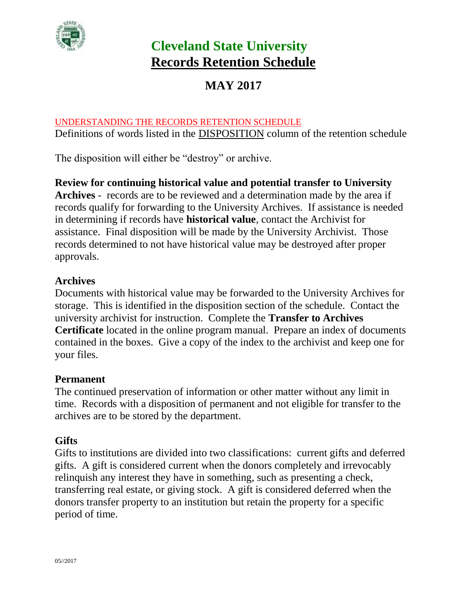

# **MAY 2017**

#### UNDERSTANDING THE RECORDS RETENTION SCHEDULE

Definitions of words listed in the DISPOSITION column of the retention schedule

The disposition will either be "destroy" or archive.

**Review for continuing historical value and potential transfer to University Archives** - records are to be reviewed and a determination made by the area if records qualify for forwarding to the University Archives. If assistance is needed in determining if records have **historical value**, contact the Archivist for assistance. Final disposition will be made by the University Archivist. Those records determined to not have historical value may be destroyed after proper approvals.

#### **Archives**

Documents with historical value may be forwarded to the University Archives for storage. This is identified in the disposition section of the schedule. Contact the university archivist for instruction. Complete the **Transfer to Archives Certificate** located in the online program manual. Prepare an index of documents contained in the boxes. Give a copy of the index to the archivist and keep one for your files.

#### **Permanent**

The continued preservation of information or other matter without any limit in time. Records with a disposition of permanent and not eligible for transfer to the archives are to be stored by the department.

#### **Gifts**

Gifts to institutions are divided into two classifications: current gifts and deferred gifts. A gift is considered current when the donors completely and irrevocably relinquish any interest they have in something, such as presenting a check, transferring real estate, or giving stock. A gift is considered deferred when the donors transfer property to an institution but retain the property for a specific period of time.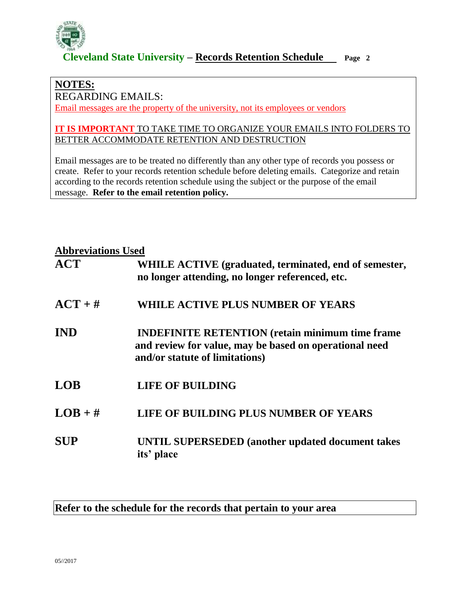

#### **NOTES:**

REGARDING EMAILS:

Email messages are the property of the university, not its employees or vendors

#### **IT IS IMPORTANT** TO TAKE TIME TO ORGANIZE YOUR EMAILS INTO FOLDERS TO BETTER ACCOMMODATE RETENTION AND DESTRUCTION

Email messages are to be treated no differently than any other type of records you possess or create. Refer to your records retention schedule before deleting emails. Categorize and retain according to the records retention schedule using the subject or the purpose of the email message. **Refer to the email retention policy.**

#### **Abbreviations Used**

| <i><b>IRODI CYRRIOHS</b></i> CBCG |                                                                                                                                                     |
|-----------------------------------|-----------------------------------------------------------------------------------------------------------------------------------------------------|
| <b>ACT</b>                        | WHILE ACTIVE (graduated, terminated, end of semester,<br>no longer attending, no longer referenced, etc.                                            |
| $ACT + #$                         | WHILE ACTIVE PLUS NUMBER OF YEARS                                                                                                                   |
| <b>IND</b>                        | <b>INDEFINITE RETENTION</b> (retain minimum time frame)<br>and review for value, may be based on operational need<br>and/or statute of limitations) |
| <b>LOB</b>                        | <b>LIFE OF BUILDING</b>                                                                                                                             |
| $LOB + #$                         | LIFE OF BUILDING PLUS NUMBER OF YEARS                                                                                                               |
| <b>SUP</b>                        | <b>UNTIL SUPERSEDED</b> (another updated document takes<br>its' place                                                                               |

#### **Refer to the schedule for the records that pertain to your area**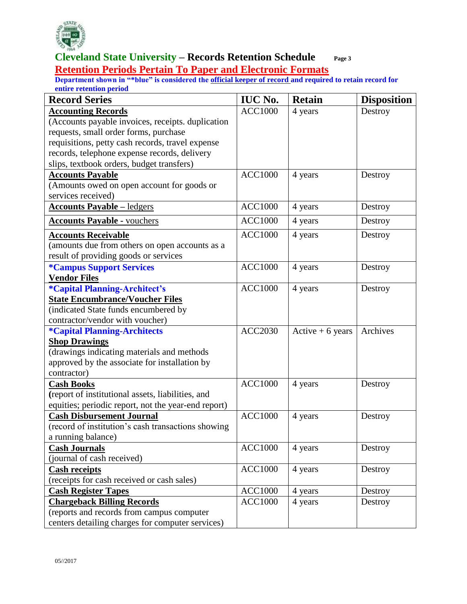

#### **Cleveland State University – Records Retention Schedule Page 3 Retention Periods Pertain To Paper and Electronic Formats**

| <b>Record Series</b>                                | <b>IUC No.</b> | <b>Retain</b>     | <b>Disposition</b> |
|-----------------------------------------------------|----------------|-------------------|--------------------|
| <b>Accounting Records</b>                           | <b>ACC1000</b> | 4 years           | Destroy            |
| (Accounts payable invoices, receipts. duplication   |                |                   |                    |
| requests, small order forms, purchase               |                |                   |                    |
| requisitions, petty cash records, travel expense    |                |                   |                    |
| records, telephone expense records, delivery        |                |                   |                    |
| slips, textbook orders, budget transfers)           |                |                   |                    |
| <b>Accounts Payable</b>                             | <b>ACC1000</b> | 4 years           | Destroy            |
| (Amounts owed on open account for goods or          |                |                   |                    |
| services received)                                  |                |                   |                    |
| <b>Accounts Payable – ledgers</b>                   | <b>ACC1000</b> | 4 years           | Destroy            |
| <b>Accounts Payable - vouchers</b>                  | <b>ACC1000</b> | 4 years           | Destroy            |
| <b>Accounts Receivable</b>                          | ACC1000        | 4 years           | Destroy            |
| (amounts due from others on open accounts as a      |                |                   |                    |
| result of providing goods or services               |                |                   |                    |
| <i><b>*Campus Support Services</b></i>              | <b>ACC1000</b> | 4 years           | Destroy            |
| <b>Vendor Files</b>                                 |                |                   |                    |
| <i><b>*Capital Planning-Architect's</b></i>         | <b>ACC1000</b> | 4 years           | Destroy            |
| <b>State Encumbrance/Voucher Files</b>              |                |                   |                    |
| (indicated State funds encumbered by                |                |                   |                    |
| contractor/vendor with voucher)                     |                |                   |                    |
| <i><b>*Capital Planning-Architects</b></i>          | <b>ACC2030</b> | Active $+6$ years | Archives           |
| <b>Shop Drawings</b>                                |                |                   |                    |
| (drawings indicating materials and methods          |                |                   |                    |
| approved by the associate for installation by       |                |                   |                    |
| contractor)                                         |                |                   |                    |
| <b>Cash Books</b>                                   | <b>ACC1000</b> | 4 years           | Destroy            |
| (report of institutional assets, liabilities, and   |                |                   |                    |
| equities; periodic report, not the year-end report) |                |                   |                    |
| <b>Cash Disbursement Journal</b>                    | <b>ACC1000</b> | 4 years           | Destroy            |
| (record of institution's cash transactions showing  |                |                   |                    |
| a running balance)                                  |                |                   |                    |
| <b>Cash Journals</b>                                | <b>ACC1000</b> | 4 years           | Destroy            |
| (journal of cash received)                          |                |                   |                    |
| <b>Cash receipts</b>                                | <b>ACC1000</b> | 4 years           | Destroy            |
| (receipts for cash received or cash sales)          |                |                   |                    |
| <b>Cash Register Tapes</b>                          | <b>ACC1000</b> | 4 years           | Destroy            |
| <b>Chargeback Billing Records</b>                   | <b>ACC1000</b> | 4 years           | Destroy            |
| (reports and records from campus computer           |                |                   |                    |
| centers detailing charges for computer services)    |                |                   |                    |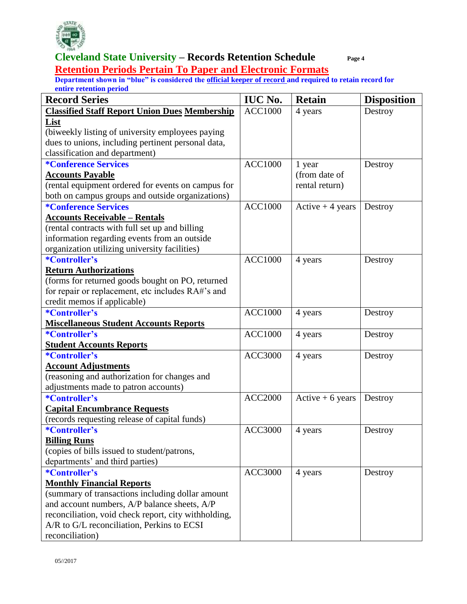

**Retention Periods Pertain To Paper and Electronic Formats**

| <b>Record Series</b>                                 | <b>IUC No.</b> | <b>Retain</b>     | <b>Disposition</b> |
|------------------------------------------------------|----------------|-------------------|--------------------|
| <b>Classified Staff Report Union Dues Membership</b> | <b>ACC1000</b> | 4 years           | Destroy            |
| List                                                 |                |                   |                    |
| (biweekly listing of university employees paying     |                |                   |                    |
| dues to unions, including pertinent personal data,   |                |                   |                    |
| classification and department)                       |                |                   |                    |
| <i><b>*Conference Services</b></i>                   | <b>ACC1000</b> | 1 year            | Destroy            |
| <b>Accounts Payable</b>                              |                | (from date of     |                    |
| (rental equipment ordered for events on campus for   |                | rental return)    |                    |
| both on campus groups and outside organizations)     |                |                   |                    |
| <i><b>*Conference Services</b></i>                   | <b>ACC1000</b> | Active $+4$ years | Destroy            |
| <b>Accounts Receivable - Rentals</b>                 |                |                   |                    |
| (rental contracts with full set up and billing       |                |                   |                    |
| information regarding events from an outside         |                |                   |                    |
| organization utilizing university facilities)        |                |                   |                    |
| *Controller's                                        | <b>ACC1000</b> | 4 years           | Destroy            |
| <b>Return Authorizations</b>                         |                |                   |                    |
| (forms for returned goods bought on PO, returned     |                |                   |                    |
| for repair or replacement, etc includes RA#'s and    |                |                   |                    |
| credit memos if applicable)                          |                |                   |                    |
| *Controller's                                        | <b>ACC1000</b> | 4 years           | Destroy            |
| <b>Miscellaneous Student Accounts Reports</b>        |                |                   |                    |
| *Controller's                                        | <b>ACC1000</b> | 4 years           | Destroy            |
| <b>Student Accounts Reports</b>                      |                |                   |                    |
| *Controller's                                        | <b>ACC3000</b> | 4 years           | Destroy            |
| <b>Account Adjustments</b>                           |                |                   |                    |
| (reasoning and authorization for changes and         |                |                   |                    |
| adjustments made to patron accounts)                 |                |                   |                    |
| *Controller's                                        | <b>ACC2000</b> | Active $+6$ years | Destroy            |
| <b>Capital Encumbrance Requests</b>                  |                |                   |                    |
| (records requesting release of capital funds)        |                |                   |                    |
| *Controller's                                        | <b>ACC3000</b> | 4 years           | Destroy            |
| <b>Billing Runs</b>                                  |                |                   |                    |
| (copies of bills issued to student/patrons,          |                |                   |                    |
| departments' and third parties)                      |                |                   |                    |
| <i>*Controller's</i>                                 | <b>ACC3000</b> | 4 years           | Destroy            |
| <b>Monthly Financial Reports</b>                     |                |                   |                    |
| (summary of transactions including dollar amount     |                |                   |                    |
| and account numbers, A/P balance sheets, A/P         |                |                   |                    |
| reconciliation, void check report, city withholding, |                |                   |                    |
| A/R to G/L reconciliation, Perkins to ECSI           |                |                   |                    |
| reconciliation)                                      |                |                   |                    |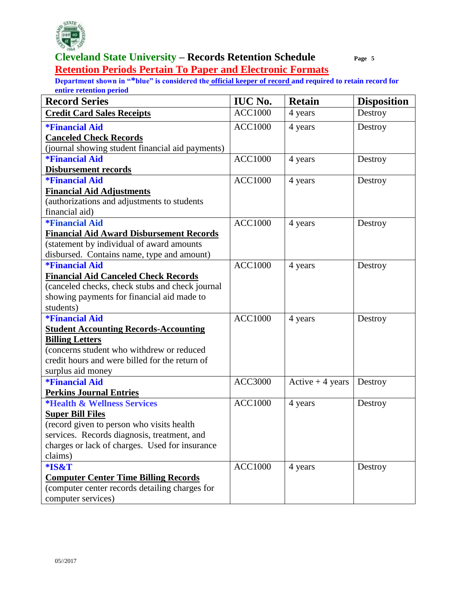

**Retention Periods Pertain To Paper and Electronic Formats** 

| <b>Record Series</b>                             | <b>IUC No.</b> | <b>Retain</b>     | <b>Disposition</b> |
|--------------------------------------------------|----------------|-------------------|--------------------|
| <b>Credit Card Sales Receipts</b>                | <b>ACC1000</b> | 4 years           | Destroy            |
| <i><b>*Financial Aid</b></i>                     | <b>ACC1000</b> | 4 years           | Destroy            |
| <b>Canceled Check Records</b>                    |                |                   |                    |
| (journal showing student financial aid payments) |                |                   |                    |
| <i><b>*Financial Aid</b></i>                     | <b>ACC1000</b> | 4 years           | Destroy            |
| <b>Disbursement records</b>                      |                |                   |                    |
| <i><b>*Financial Aid</b></i>                     | <b>ACC1000</b> | 4 years           | Destroy            |
| <b>Financial Aid Adjustments</b>                 |                |                   |                    |
| (authorizations and adjustments to students      |                |                   |                    |
| financial aid)                                   |                |                   |                    |
| <i><b>*Financial Aid</b></i>                     | <b>ACC1000</b> | 4 years           | Destroy            |
| <b>Financial Aid Award Disbursement Records</b>  |                |                   |                    |
| (statement by individual of award amounts        |                |                   |                    |
| disbursed. Contains name, type and amount)       |                |                   |                    |
| <i><b>*Financial Aid</b></i>                     | <b>ACC1000</b> | 4 years           | Destroy            |
| <b>Financial Aid Canceled Check Records</b>      |                |                   |                    |
| (canceled checks, check stubs and check journal  |                |                   |                    |
| showing payments for financial aid made to       |                |                   |                    |
| students)                                        |                |                   |                    |
| <i><b>*Financial Aid</b></i>                     | <b>ACC1000</b> | 4 years           | Destroy            |
| <b>Student Accounting Records-Accounting</b>     |                |                   |                    |
| <b>Billing Letters</b>                           |                |                   |                    |
| (concerns student who withdrew or reduced        |                |                   |                    |
| credit hours and were billed for the return of   |                |                   |                    |
| surplus aid money                                |                |                   |                    |
| <i><b>*Financial Aid</b></i>                     | <b>ACC3000</b> | Active $+4$ years | Destroy            |
| <b>Perkins Journal Entries</b>                   |                |                   |                    |
| <i><b>*Health &amp; Wellness Services</b></i>    | <b>ACC1000</b> | 4 years           | Destroy            |
| <b>Super Bill Files</b>                          |                |                   |                    |
| (record given to person who visits health        |                |                   |                    |
| services. Records diagnosis, treatment, and      |                |                   |                    |
| charges or lack of charges. Used for insurance   |                |                   |                    |
| claims)                                          |                |                   |                    |
| *IS&T                                            | <b>ACC1000</b> | 4 years           | Destroy            |
| <b>Computer Center Time Billing Records</b>      |                |                   |                    |
| (computer center records detailing charges for   |                |                   |                    |
| computer services)                               |                |                   |                    |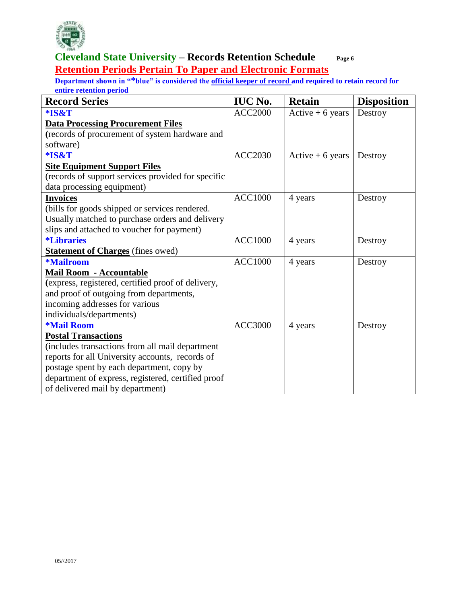

#### **Cleveland State University – Records Retention Schedule Page 6 Retention Periods Pertain To Paper and Electronic Formats**

| <b>Record Series</b>                               | <b>IUC No.</b> | <b>Retain</b>     | <b>Disposition</b> |
|----------------------------------------------------|----------------|-------------------|--------------------|
| *IS&T                                              | <b>ACC2000</b> | Active $+6$ years | Destroy            |
| <b>Data Processing Procurement Files</b>           |                |                   |                    |
| (records of procurement of system hardware and     |                |                   |                    |
| software)                                          |                |                   |                    |
| *IS&T                                              | <b>ACC2030</b> | Active $+6$ years | Destroy            |
| <b>Site Equipment Support Files</b>                |                |                   |                    |
| (records of support services provided for specific |                |                   |                    |
| data processing equipment)                         |                |                   |                    |
| <b>Invoices</b>                                    | <b>ACC1000</b> | 4 years           | Destroy            |
| (bills for goods shipped or services rendered.     |                |                   |                    |
| Usually matched to purchase orders and delivery    |                |                   |                    |
| slips and attached to voucher for payment)         |                |                   |                    |
| <i><b>*Libraries</b></i>                           | <b>ACC1000</b> | 4 years           | Destroy            |
| <b>Statement of Charges</b> (fines owed)           |                |                   |                    |
| <b>*Mailroom</b>                                   | <b>ACC1000</b> | 4 years           | Destroy            |
| Mail Room - Accountable                            |                |                   |                    |
| (express, registered, certified proof of delivery, |                |                   |                    |
| and proof of outgoing from departments,            |                |                   |                    |
| incoming addresses for various                     |                |                   |                    |
| individuals/departments)                           |                |                   |                    |
| <b>*Mail Room</b>                                  | <b>ACC3000</b> | 4 years           | Destroy            |
| <b>Postal Transactions</b>                         |                |                   |                    |
| (includes transactions from all mail department    |                |                   |                    |
| reports for all University accounts, records of    |                |                   |                    |
| postage spent by each department, copy by          |                |                   |                    |
| department of express, registered, certified proof |                |                   |                    |
| of delivered mail by department)                   |                |                   |                    |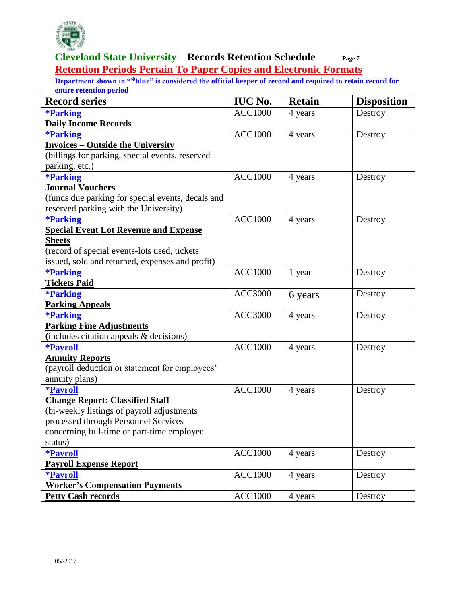

#### **Cleveland State University – Records Retention Schedule Page 7 Retention Periods Pertain To Paper Copies and Electronic Formats**

| <b>Record series</b>                              | <b>IUC No.</b> | <b>Retain</b> | <b>Disposition</b> |
|---------------------------------------------------|----------------|---------------|--------------------|
| <b>*Parking</b>                                   | <b>ACC1000</b> | 4 years       | Destroy            |
| <b>Daily Income Records</b>                       |                |               |                    |
| <b>*Parking</b>                                   | <b>ACC1000</b> | 4 years       | Destroy            |
| <b>Invoices - Outside the University</b>          |                |               |                    |
| (billings for parking, special events, reserved   |                |               |                    |
| parking, etc.)                                    |                |               |                    |
| <b>*Parking</b>                                   | <b>ACC1000</b> | 4 years       | Destroy            |
| <b>Journal Vouchers</b>                           |                |               |                    |
| (funds due parking for special events, decals and |                |               |                    |
| reserved parking with the University)             |                |               |                    |
| <b>*Parking</b>                                   | <b>ACC1000</b> | 4 years       | Destroy            |
| <b>Special Event Lot Revenue and Expense</b>      |                |               |                    |
| <b>Sheets</b>                                     |                |               |                    |
| (record of special events-lots used, tickets      |                |               |                    |
| issued, sold and returned, expenses and profit)   |                |               |                    |
| <b>*Parking</b>                                   | <b>ACC1000</b> | 1 year        | Destroy            |
| <b>Tickets Paid</b>                               |                |               |                    |
| <b>*Parking</b>                                   | <b>ACC3000</b> | 6 years       | Destroy            |
| <b>Parking Appeals</b>                            |                |               |                    |
| <b>*Parking</b>                                   | <b>ACC3000</b> | 4 years       | Destroy            |
| <b>Parking Fine Adjustments</b>                   |                |               |                    |
| (includes citation appeals & decisions)           |                |               |                    |
| <b>*Payroll</b>                                   | <b>ACC1000</b> | 4 years       | Destroy            |
| <b>Annuity Reports</b>                            |                |               |                    |
| (payroll deduction or statement for employees'    |                |               |                    |
| annuity plans)                                    |                |               |                    |
| <b>*Payroll</b>                                   | <b>ACC1000</b> | 4 years       | Destroy            |
| <b>Change Report: Classified Staff</b>            |                |               |                    |
| (bi-weekly listings of payroll adjustments        |                |               |                    |
| processed through Personnel Services              |                |               |                    |
| concerning full-time or part-time employee        |                |               |                    |
| status)                                           |                |               |                    |
| <i><b>*Payroll</b></i>                            | <b>ACC1000</b> | 4 years       | Destroy            |
| <b>Payroll Expense Report</b>                     |                |               |                    |
| <i><b>*Payroll</b></i>                            | <b>ACC1000</b> | 4 years       | Destroy            |
| <b>Worker's Compensation Payments</b>             |                |               |                    |
| <b>Petty Cash records</b>                         | <b>ACC1000</b> | 4 years       | Destroy            |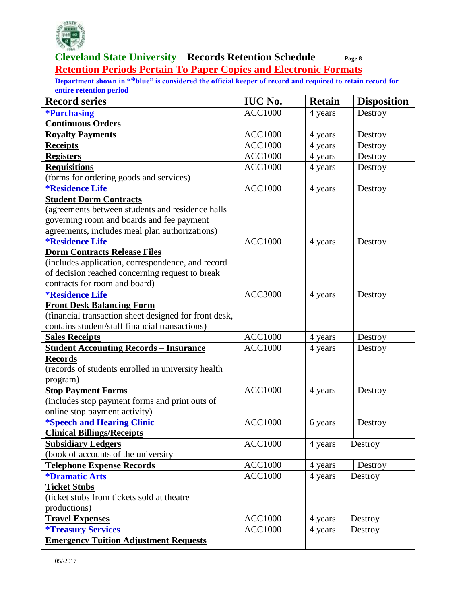

#### **Cleveland State University – Records Retention Schedule Page 8 Retention Periods Pertain To Paper Copies and Electronic Formats**

| <b>Record series</b>                                  | <b>IUC No.</b> | <b>Retain</b> | <b>Disposition</b> |
|-------------------------------------------------------|----------------|---------------|--------------------|
| <b>*Purchasing</b>                                    | <b>ACC1000</b> | 4 years       | Destroy            |
| <b>Continuous Orders</b>                              |                |               |                    |
| <b>Royalty Payments</b>                               | <b>ACC1000</b> | 4 years       | Destroy            |
| <b>Receipts</b>                                       | <b>ACC1000</b> | 4 years       | Destroy            |
| <b>Registers</b>                                      | <b>ACC1000</b> | 4 years       | Destroy            |
| <b>Requisitions</b>                                   | <b>ACC1000</b> | 4 years       | Destroy            |
| (forms for ordering goods and services)               |                |               |                    |
| <b>*Residence Life</b>                                | <b>ACC1000</b> | 4 years       | Destroy            |
| <b>Student Dorm Contracts</b>                         |                |               |                    |
| (agreements between students and residence halls      |                |               |                    |
| governing room and boards and fee payment             |                |               |                    |
| agreements, includes meal plan authorizations)        |                |               |                    |
| <i><b>*Residence Life</b></i>                         | <b>ACC1000</b> | 4 years       | Destroy            |
| <b>Dorm Contracts Release Files</b>                   |                |               |                    |
| (includes application, correspondence, and record     |                |               |                    |
| of decision reached concerning request to break       |                |               |                    |
| contracts for room and board)                         |                |               |                    |
| <i><b>*Residence Life</b></i>                         | <b>ACC3000</b> | 4 years       | Destroy            |
| <b>Front Desk Balancing Form</b>                      |                |               |                    |
| (financial transaction sheet designed for front desk, |                |               |                    |
| contains student/staff financial transactions)        |                |               |                    |
| <b>Sales Receipts</b>                                 | <b>ACC1000</b> | 4 years       | Destroy            |
| <b>Student Accounting Records - Insurance</b>         | <b>ACC1000</b> | 4 years       | Destroy            |
| <b>Records</b>                                        |                |               |                    |
| (records of students enrolled in university health    |                |               |                    |
| program)                                              |                |               |                    |
| <b>Stop Payment Forms</b>                             | <b>ACC1000</b> | 4 years       | Destroy            |
| (includes stop payment forms and print outs of        |                |               |                    |
| online stop payment activity)                         |                |               |                    |
| <i><b>*Speech and Hearing Clinic</b></i>              | <b>ACC1000</b> | 6 years       | Destroy            |
| <b>Clinical Billings/Receipts</b>                     |                |               |                    |
| <b>Subsidiary Ledgers</b>                             | <b>ACC1000</b> | 4 years       | Destroy            |
| (book of accounts of the university                   |                |               |                    |
| <b>Telephone Expense Records</b>                      | <b>ACC1000</b> | 4 years       | Destroy            |
| <i><b>*Dramatic Arts</b></i>                          | <b>ACC1000</b> | 4 years       | Destroy            |
| <b>Ticket Stubs</b>                                   |                |               |                    |
| (ticket stubs from tickets sold at theatre            |                |               |                    |
| productions)                                          |                |               |                    |
| <b>Travel Expenses</b>                                | <b>ACC1000</b> | 4 years       | Destroy            |
| <i><b>*Treasury Services</b></i>                      | <b>ACC1000</b> | 4 years       | Destroy            |
| <b>Emergency Tuition Adjustment Requests</b>          |                |               |                    |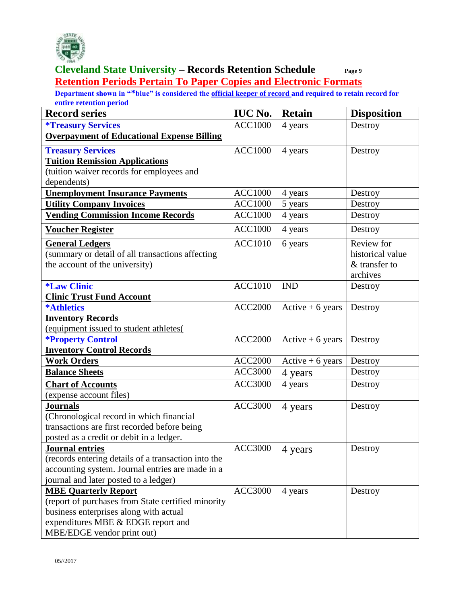

#### **Cleveland State University – Records Retention Schedule Page 9 Retention Periods Pertain To Paper Copies and Electronic Formats**

| <b>Record series</b>                                | <b>IUC No.</b> | <b>Retain</b>      | <b>Disposition</b> |
|-----------------------------------------------------|----------------|--------------------|--------------------|
| <i><b>*Treasury Services</b></i>                    | <b>ACC1000</b> | 4 years            | Destroy            |
| <b>Overpayment of Educational Expense Billing</b>   |                |                    |                    |
| <b>Treasury Services</b>                            | <b>ACC1000</b> | 4 years            | Destroy            |
| <b>Tuition Remission Applications</b>               |                |                    |                    |
| (tuition waiver records for employees and           |                |                    |                    |
| dependents)                                         |                |                    |                    |
| <b>Unemployment Insurance Payments</b>              | <b>ACC1000</b> | 4 years            | Destroy            |
| <b>Utility Company Invoices</b>                     | <b>ACC1000</b> | 5 years            | Destroy            |
| <b>Vending Commission Income Records</b>            | <b>ACC1000</b> | 4 years            | Destroy            |
| <b>Voucher Register</b>                             | <b>ACC1000</b> | 4 years            | Destroy            |
| <b>General Ledgers</b>                              | <b>ACC1010</b> | 6 years            | Review for         |
| (summary or detail of all transactions affecting    |                |                    | historical value   |
| the account of the university)                      |                |                    | & transfer to      |
|                                                     |                |                    | archives           |
| <i><b>*Law Clinic</b></i>                           | <b>ACC1010</b> | <b>IND</b>         | Destroy            |
| <b>Clinic Trust Fund Account</b>                    |                |                    |                    |
| <b>*Athletics</b>                                   | <b>ACC2000</b> | Active $+6$ years  | Destroy            |
| <b>Inventory Records</b>                            |                |                    |                    |
| (equipment issued to student athletes(              |                |                    |                    |
| <b>*Property Control</b>                            | <b>ACC2000</b> | Active $+6$ years  | Destroy            |
| <b>Inventory Control Records</b>                    |                |                    |                    |
| <b>Work Orders</b>                                  | <b>ACC2000</b> | $Active + 6 years$ | Destroy            |
| <b>Balance Sheets</b>                               | <b>ACC3000</b> | 4 years            | Destroy            |
| <b>Chart of Accounts</b>                            | <b>ACC3000</b> | 4 years            | Destroy            |
| (expense account files)                             |                |                    |                    |
| <b>Journals</b>                                     | <b>ACC3000</b> | 4 years            | Destroy            |
| (Chronological record in which financial            |                |                    |                    |
| transactions are first recorded before being        |                |                    |                    |
| posted as a credit or debit in a ledger.            |                |                    |                    |
| <b>Journal entries</b>                              | <b>ACC3000</b> | 4 years            | Destroy            |
| (records entering details of a transaction into the |                |                    |                    |
| accounting system. Journal entries are made in a    |                |                    |                    |
| journal and later posted to a ledger)               |                |                    |                    |
| <b>MBE Quarterly Report</b>                         | <b>ACC3000</b> | 4 years            | Destroy            |
| (report of purchases from State certified minority  |                |                    |                    |
| business enterprises along with actual              |                |                    |                    |
| expenditures MBE & EDGE report and                  |                |                    |                    |
| MBE/EDGE vendor print out)                          |                |                    |                    |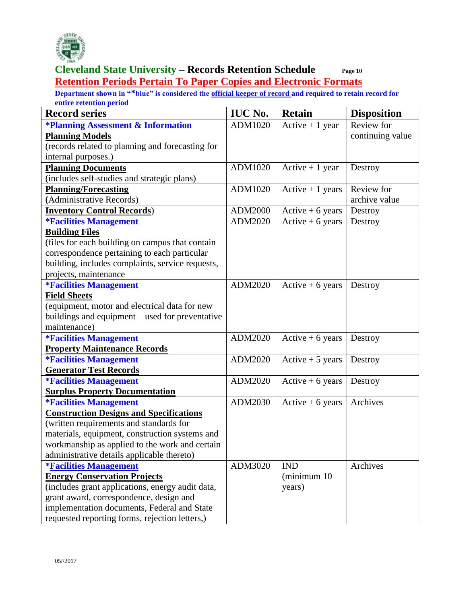

#### **Cleveland State University – Records Retention Schedule Page 10 Retention Periods Pertain To Paper Copies and Electronic Formats**

| <b>Record series</b>                             | <b>IUC No.</b> | <b>Retain</b>      | <b>Disposition</b> |
|--------------------------------------------------|----------------|--------------------|--------------------|
| <b>*Planning Assessment &amp; Information</b>    | ADM1020        | Active $+1$ year   | Review for         |
| <b>Planning Models</b>                           |                |                    | continuing value   |
| (records related to planning and forecasting for |                |                    |                    |
| internal purposes.)                              |                |                    |                    |
| <b>Planning Documents</b>                        | ADM1020        | Active $+1$ year   | Destroy            |
| (includes self-studies and strategic plans)      |                |                    |                    |
| <b>Planning/Forecasting</b>                      | ADM1020        | Active $+1$ years  | Review for         |
| (Administrative Records)                         |                |                    | archive value      |
| <b>Inventory Control Records)</b>                | ADM2000        | $Active + 6 years$ | Destroy            |
| <b><i>*Facilities Management</i></b>             | ADM2020        | Active $+6$ years  | Destroy            |
| <b>Building Files</b>                            |                |                    |                    |
| (files for each building on campus that contain  |                |                    |                    |
| correspondence pertaining to each particular     |                |                    |                    |
| building, includes complaints, service requests, |                |                    |                    |
| projects, maintenance                            |                |                    |                    |
| <b>*Facilities Management</b>                    | ADM2020        | Active $+6$ years  | Destroy            |
| <b>Field Sheets</b>                              |                |                    |                    |
| (equipment, motor and electrical data for new    |                |                    |                    |
| buildings and equipment - used for preventative  |                |                    |                    |
| maintenance)                                     |                |                    |                    |
| <b><i>*Facilities Management</i></b>             | ADM2020        | Active $+6$ years  | Destroy            |
| <b>Property Maintenance Records</b>              |                |                    |                    |
| <b>*Facilities Management</b>                    | ADM2020        | Active $+5$ years  | Destroy            |
| <b>Generator Test Records</b>                    |                |                    |                    |
| <b>*Facilities Management</b>                    | ADM2020        | Active $+6$ years  | Destroy            |
| <b>Surplus Property Documentation</b>            |                |                    |                    |
| <b>*Facilities Management</b>                    | ADM2030        | Active $+6$ years  | Archives           |
| <b>Construction Designs and Specifications</b>   |                |                    |                    |
| (written requirements and standards for          |                |                    |                    |
| materials, equipment, construction systems and   |                |                    |                    |
| workmanship as applied to the work and certain   |                |                    |                    |
| administrative details applicable thereto)       |                |                    |                    |
| <b>*Facilities Management</b>                    | ADM3020        | <b>IND</b>         | Archives           |
| <b>Energy Conservation Projects</b>              |                | (minimum 10        |                    |
| (includes grant applications, energy audit data, |                | years)             |                    |
| grant award, correspondence, design and          |                |                    |                    |
| implementation documents, Federal and State      |                |                    |                    |
| requested reporting forms, rejection letters,)   |                |                    |                    |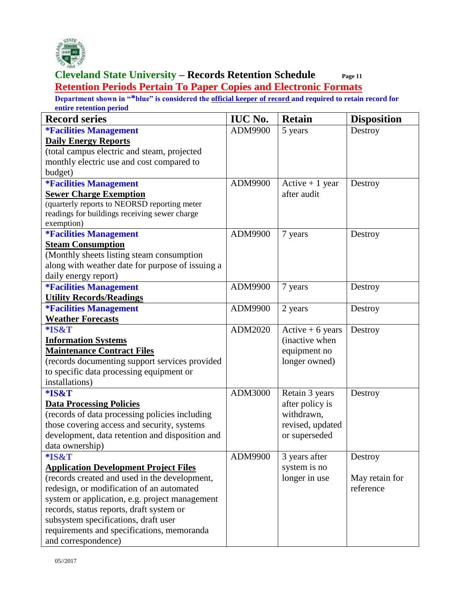

# **Cleveland State University – Records Retention Schedule**<br>Cleveland State University – Records Retention Schedule **Page 11 Retention Periods Pertain To Paper Copies and Electronic Formats**

| <b>Record series</b>                             | <b>IUC No.</b> | <b>Retain</b>      | <b>Disposition</b> |
|--------------------------------------------------|----------------|--------------------|--------------------|
| <b><i>*Facilities Management</i></b>             | ADM9900        | 5 years            | Destroy            |
| <b>Daily Energy Reports</b>                      |                |                    |                    |
| (total campus electric and steam, projected      |                |                    |                    |
| monthly electric use and cost compared to        |                |                    |                    |
| budget)                                          |                |                    |                    |
| <b><i>*Facilities Management</i></b>             | ADM9900        | Active $+1$ year   | Destroy            |
| <b>Sewer Charge Exemption</b>                    |                | after audit        |                    |
| (quarterly reports to NEORSD reporting meter     |                |                    |                    |
| readings for buildings receiving sewer charge    |                |                    |                    |
| exemption)                                       |                |                    |                    |
| <b><i>*Facilities Management</i></b>             | ADM9900        | 7 years            | Destroy            |
| <b>Steam Consumption</b>                         |                |                    |                    |
| (Monthly sheets listing steam consumption        |                |                    |                    |
| along with weather date for purpose of issuing a |                |                    |                    |
| daily energy report)                             |                |                    |                    |
| <b><i>*Facilities Management</i></b>             | ADM9900        | 7 years            | Destroy            |
| <b>Utility Records/Readings</b>                  |                |                    |                    |
| <i><b>*Facilities Management</b></i>             | ADM9900        | 2 years            | Destroy            |
| <b>Weather Forecasts</b>                         |                |                    |                    |
| *IS&T                                            | ADM2020        | $Active + 6 years$ | Destroy            |
| <b>Information Systems</b>                       |                | (inactive when     |                    |
| <b>Maintenance Contract Files</b>                |                | equipment no       |                    |
| (records documenting support services provided   |                | longer owned)      |                    |
| to specific data processing equipment or         |                |                    |                    |
| installations)                                   |                |                    |                    |
| *IS&T                                            | ADM3000        | Retain 3 years     | Destroy            |
| <b>Data Processing Policies</b>                  |                | after policy is    |                    |
| (records of data processing policies including   |                | withdrawn,         |                    |
| those covering access and security, systems      |                | revised, updated   |                    |
| development, data retention and disposition and  |                | or superseded      |                    |
| data ownership)                                  |                |                    |                    |
| *IS&T                                            | ADM9900        | 3 years after      | Destroy            |
| <b>Application Development Project Files</b>     |                | system is no       |                    |
| (records created and used in the development,    |                | longer in use      | May retain for     |
| redesign, or modification of an automated        |                |                    | reference          |
| system or application, e.g. project management   |                |                    |                    |
| records, status reports, draft system or         |                |                    |                    |
| subsystem specifications, draft user             |                |                    |                    |
| requirements and specifications, memoranda       |                |                    |                    |
| and correspondence)                              |                |                    |                    |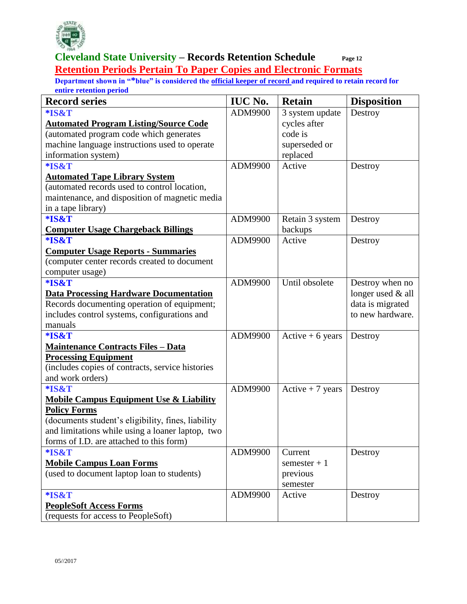

#### **Cleveland State University – Records Retention Schedule Page 12 Retention Periods Pertain To Paper Copies and Electronic Formats**

| <b>Record series</b>                               | <b>IUC No.</b> | <b>Retain</b>     | <b>Disposition</b> |
|----------------------------------------------------|----------------|-------------------|--------------------|
| *IS&T                                              | ADM9900        | 3 system update   | Destroy            |
| <b>Automated Program Listing/Source Code</b>       |                | cycles after      |                    |
| (automated program code which generates            |                | code is           |                    |
| machine language instructions used to operate      |                | superseded or     |                    |
| information system)                                |                | replaced          |                    |
| *IS&T                                              | ADM9900        | Active            | Destroy            |
| <b>Automated Tape Library System</b>               |                |                   |                    |
| (automated records used to control location,       |                |                   |                    |
| maintenance, and disposition of magnetic media     |                |                   |                    |
| in a tape library)                                 |                |                   |                    |
| *IS&T                                              | ADM9900        | Retain 3 system   | Destroy            |
| <b>Computer Usage Chargeback Billings</b>          |                | backups           |                    |
| *IS&T                                              | ADM9900        | Active            | Destroy            |
| <b>Computer Usage Reports - Summaries</b>          |                |                   |                    |
| (computer center records created to document       |                |                   |                    |
| computer usage)                                    |                |                   |                    |
| *IS&T                                              | ADM9900        | Until obsolete    | Destroy when no    |
| <b>Data Processing Hardware Documentation</b>      |                |                   | longer used & all  |
| Records documenting operation of equipment;        |                |                   | data is migrated   |
| includes control systems, configurations and       |                |                   | to new hardware.   |
| manuals                                            |                |                   |                    |
| *IS&T                                              | ADM9900        | Active $+6$ years | Destroy            |
| <b>Maintenance Contracts Files - Data</b>          |                |                   |                    |
| <b>Processing Equipment</b>                        |                |                   |                    |
| (includes copies of contracts, service histories   |                |                   |                    |
| and work orders)                                   |                |                   |                    |
| *IS&T                                              | ADM9900        | Active $+7$ years | Destroy            |
| <b>Mobile Campus Equipment Use &amp; Liability</b> |                |                   |                    |
| <b>Policy Forms</b>                                |                |                   |                    |
| (documents student's eligibility, fines, liability |                |                   |                    |
| and limitations while using a loaner laptop, two   |                |                   |                    |
| forms of I.D. are attached to this form)           |                |                   |                    |
| *IS&T                                              | ADM9900        | Current           | Destroy            |
| <b>Mobile Campus Loan Forms</b>                    |                | semester $+1$     |                    |
| (used to document laptop loan to students)         |                | previous          |                    |
|                                                    |                | semester          |                    |
| *IS&T                                              | ADM9900        | Active            | Destroy            |
| <b>PeopleSoft Access Forms</b>                     |                |                   |                    |
| (requests for access to PeopleSoft)                |                |                   |                    |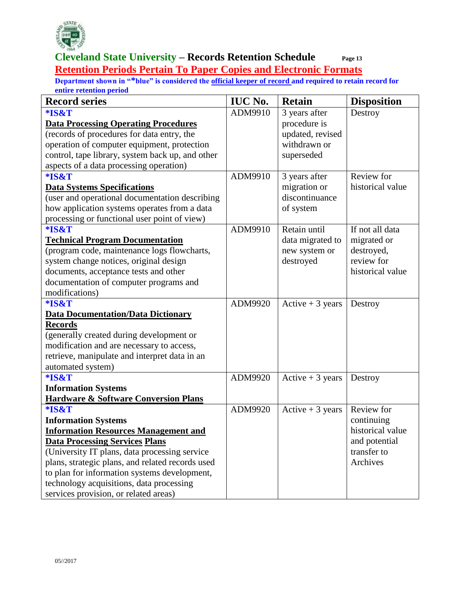

#### **Cleveland State University – Records Retention Schedule Page 13 Retention Periods Pertain To Paper Copies and Electronic Formats**

| <b>Record series</b>                             | <b>IUC No.</b> | <b>Retain</b>     | <b>Disposition</b> |
|--------------------------------------------------|----------------|-------------------|--------------------|
| *IS&T                                            | ADM9910        | 3 years after     | Destroy            |
| <b>Data Processing Operating Procedures</b>      |                | procedure is      |                    |
| (records of procedures for data entry, the       |                | updated, revised  |                    |
| operation of computer equipment, protection      |                | withdrawn or      |                    |
| control, tape library, system back up, and other |                | superseded        |                    |
| aspects of a data processing operation)          |                |                   |                    |
| *IS&T                                            | ADM9910        | 3 years after     | Review for         |
| <b>Data Systems Specifications</b>               |                | migration or      | historical value   |
| (user and operational documentation describing   |                | discontinuance    |                    |
| how application systems operates from a data     |                | of system         |                    |
| processing or functional user point of view)     |                |                   |                    |
| *IS&T                                            | ADM9910        | Retain until      | If not all data    |
| <b>Technical Program Documentation</b>           |                | data migrated to  | migrated or        |
| (program code, maintenance logs flowcharts,      |                | new system or     | destroyed,         |
| system change notices, original design           |                | destroyed         | review for         |
| documents, acceptance tests and other            |                |                   | historical value   |
| documentation of computer programs and           |                |                   |                    |
| modifications)                                   |                |                   |                    |
| *IS&T                                            | ADM9920        | Active $+3$ years | Destroy            |
| <b>Data Documentation/Data Dictionary</b>        |                |                   |                    |
| <b>Records</b>                                   |                |                   |                    |
| (generally created during development or         |                |                   |                    |
| modification and are necessary to access,        |                |                   |                    |
| retrieve, manipulate and interpret data in an    |                |                   |                    |
| automated system)                                |                |                   |                    |
| *IS&T                                            | ADM9920        | Active $+3$ years | Destroy            |
| <b>Information Systems</b>                       |                |                   |                    |
| <b>Hardware &amp; Software Conversion Plans</b>  |                |                   |                    |
| *IS&T                                            | ADM9920        | Active $+3$ years | Review for         |
| <b>Information Systems</b>                       |                |                   | continuing         |
| <b>Information Resources Management and</b>      |                |                   | historical value   |
| <b>Data Processing Services Plans</b>            |                |                   | and potential      |
| (University IT plans, data processing service)   |                |                   | transfer to        |
| plans, strategic plans, and related records used |                |                   | Archives           |
| to plan for information systems development,     |                |                   |                    |
| technology acquisitions, data processing         |                |                   |                    |
| services provision, or related areas)            |                |                   |                    |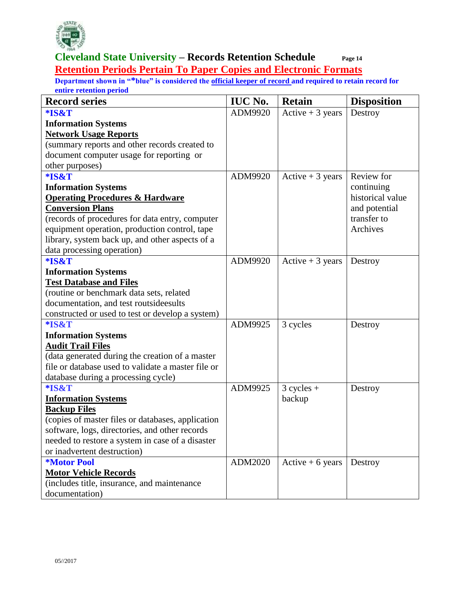

#### **Cleveland State University – Records Retention Schedule Page 14 Retention Periods Pertain To Paper Copies and Electronic Formats**

| <b>Record series</b>                                                                                                                                                                                                                                                                                                                 | <b>IUC No.</b> | <b>Retain</b>     | <b>Disposition</b> |
|--------------------------------------------------------------------------------------------------------------------------------------------------------------------------------------------------------------------------------------------------------------------------------------------------------------------------------------|----------------|-------------------|--------------------|
| *IS&T                                                                                                                                                                                                                                                                                                                                | ADM9920        | Active $+3$ years | Destroy            |
| <b>Information Systems</b>                                                                                                                                                                                                                                                                                                           |                |                   |                    |
| <b>Network Usage Reports</b>                                                                                                                                                                                                                                                                                                         |                |                   |                    |
| (summary reports and other records created to                                                                                                                                                                                                                                                                                        |                |                   |                    |
| document computer usage for reporting or                                                                                                                                                                                                                                                                                             |                |                   |                    |
| other purposes)                                                                                                                                                                                                                                                                                                                      |                |                   |                    |
| *IS&T                                                                                                                                                                                                                                                                                                                                | ADM9920        | Active $+3$ years | Review for         |
| <b>Information Systems</b>                                                                                                                                                                                                                                                                                                           |                |                   | continuing         |
| <b>Operating Procedures &amp; Hardware</b>                                                                                                                                                                                                                                                                                           |                |                   | historical value   |
| <b>Conversion Plans</b>                                                                                                                                                                                                                                                                                                              |                |                   | and potential      |
| (records of procedures for data entry, computer                                                                                                                                                                                                                                                                                      |                |                   | transfer to        |
| equipment operation, production control, tape                                                                                                                                                                                                                                                                                        |                |                   | Archives           |
| library, system back up, and other aspects of a                                                                                                                                                                                                                                                                                      |                |                   |                    |
| data processing operation)                                                                                                                                                                                                                                                                                                           |                |                   |                    |
| *IS&T                                                                                                                                                                                                                                                                                                                                | ADM9920        | Active $+3$ years | Destroy            |
| <b>Information Systems</b>                                                                                                                                                                                                                                                                                                           |                |                   |                    |
| <b>Test Database and Files</b>                                                                                                                                                                                                                                                                                                       |                |                   |                    |
| (routine or benchmark data sets, related                                                                                                                                                                                                                                                                                             |                |                   |                    |
| documentation, and test routsideesults                                                                                                                                                                                                                                                                                               |                |                   |                    |
| constructed or used to test or develop a system)                                                                                                                                                                                                                                                                                     |                |                   |                    |
| *IS&T                                                                                                                                                                                                                                                                                                                                | ADM9925        | 3 cycles          | Destroy            |
| <b>Information Systems</b>                                                                                                                                                                                                                                                                                                           |                |                   |                    |
| <b>Audit Trail Files</b>                                                                                                                                                                                                                                                                                                             |                |                   |                    |
| (data generated during the creation of a master                                                                                                                                                                                                                                                                                      |                |                   |                    |
| file or database used to validate a master file or                                                                                                                                                                                                                                                                                   |                |                   |                    |
| database during a processing cycle)                                                                                                                                                                                                                                                                                                  |                |                   |                    |
| *IS&T                                                                                                                                                                                                                                                                                                                                | ADM9925        | $3 cycles +$      | Destroy            |
| <b>Information Systems</b>                                                                                                                                                                                                                                                                                                           |                | backup            |                    |
|                                                                                                                                                                                                                                                                                                                                      |                |                   |                    |
|                                                                                                                                                                                                                                                                                                                                      |                |                   |                    |
|                                                                                                                                                                                                                                                                                                                                      |                |                   |                    |
|                                                                                                                                                                                                                                                                                                                                      |                |                   |                    |
|                                                                                                                                                                                                                                                                                                                                      |                |                   |                    |
|                                                                                                                                                                                                                                                                                                                                      |                |                   |                    |
|                                                                                                                                                                                                                                                                                                                                      |                |                   |                    |
|                                                                                                                                                                                                                                                                                                                                      |                |                   |                    |
| <b>Backup Files</b><br>(copies of master files or databases, application<br>software, logs, directories, and other records<br>needed to restore a system in case of a disaster<br>or inadvertent destruction)<br><b>*Motor Pool</b><br><b>Motor Vehicle Records</b><br>(includes title, insurance, and maintenance<br>documentation) | ADM2020        | Active $+6$ years | Destroy            |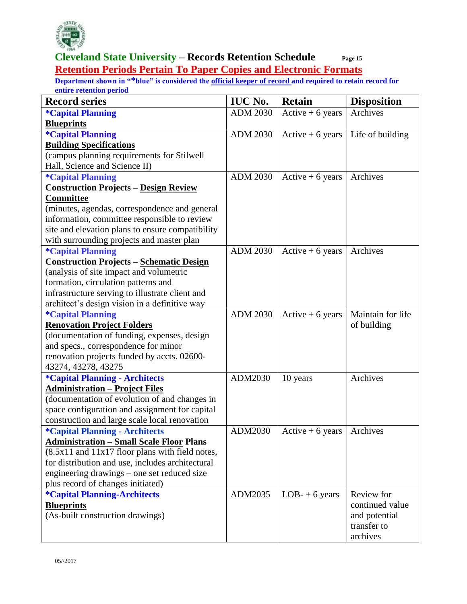

#### **Cleveland State University – Records Retention Schedule Page 15 Retention Periods Pertain To Paper Copies and Electronic Formats**

| <b>Record series</b>                                | <b>IUC No.</b>  | <b>Retain</b>     | <b>Disposition</b> |
|-----------------------------------------------------|-----------------|-------------------|--------------------|
| <i><b>*Capital Planning</b></i>                     | <b>ADM 2030</b> | Active $+6$ years | Archives           |
| <b>Blueprints</b>                                   |                 |                   |                    |
| <i><b>*Capital Planning</b></i>                     | <b>ADM 2030</b> | Active $+6$ years | Life of building   |
| <b>Building Specifications</b>                      |                 |                   |                    |
| (campus planning requirements for Stilwell          |                 |                   |                    |
| Hall, Science and Science II)                       |                 |                   |                    |
| <i><b>*Capital Planning</b></i>                     | <b>ADM 2030</b> | Active $+6$ years | Archives           |
| <b>Construction Projects - Design Review</b>        |                 |                   |                    |
| <b>Committee</b>                                    |                 |                   |                    |
| (minutes, agendas, correspondence and general       |                 |                   |                    |
| information, committee responsible to review        |                 |                   |                    |
| site and elevation plans to ensure compatibility    |                 |                   |                    |
| with surrounding projects and master plan           |                 |                   |                    |
| <i><b>*Capital Planning</b></i>                     | <b>ADM 2030</b> | Active $+6$ years | Archives           |
| <b>Construction Projects - Schematic Design</b>     |                 |                   |                    |
| (analysis of site impact and volumetric             |                 |                   |                    |
| formation, circulation patterns and                 |                 |                   |                    |
| infrastructure serving to illustrate client and     |                 |                   |                    |
| architect's design vision in a definitive way       |                 |                   |                    |
| <i><b>*Capital Planning</b></i>                     | <b>ADM 2030</b> | Active $+6$ years | Maintain for life  |
| <b>Renovation Project Folders</b>                   |                 |                   | of building        |
| (documentation of funding, expenses, design         |                 |                   |                    |
| and specs., correspondence for minor                |                 |                   |                    |
| renovation projects funded by accts. 02600-         |                 |                   |                    |
| 43274, 43278, 43275                                 |                 |                   |                    |
| <i><b>*Capital Planning - Architects</b></i>        | ADM2030         | 10 years          | Archives           |
| <b>Administration - Project Files</b>               |                 |                   |                    |
| (documentation of evolution of and changes in       |                 |                   |                    |
| space configuration and assignment for capital      |                 |                   |                    |
| construction and large scale local renovation       |                 |                   |                    |
| <i><b>*Capital Planning - Architects</b></i>        | ADM2030         | Active $+6$ years | Archives           |
| <b>Administration - Small Scale Floor Plans</b>     |                 |                   |                    |
| $(8.5x11$ and $11x17$ floor plans with field notes, |                 |                   |                    |
| for distribution and use, includes architectural    |                 |                   |                    |
| engineering drawings - one set reduced size         |                 |                   |                    |
| plus record of changes initiated)                   |                 |                   |                    |
| <i><b>*Capital Planning-Architects</b></i>          | ADM2035         | $LOB-+6$ years    | Review for         |
| <b>Blueprints</b>                                   |                 |                   | continued value    |
| (As-built construction drawings)                    |                 |                   | and potential      |
|                                                     |                 |                   | transfer to        |
|                                                     |                 |                   | archives           |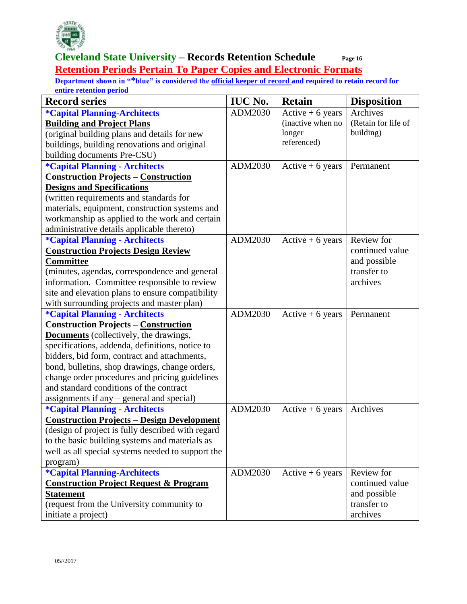

#### **Cleveland State University – Records Retention Schedule Page 16 Retention Periods Pertain To Paper Copies and Electronic Formats**

| <b>Record series</b>                              | <b>IUC No.</b> | <b>Retain</b>      | <b>Disposition</b>  |
|---------------------------------------------------|----------------|--------------------|---------------------|
| <i><b>*Capital Planning-Architects</b></i>        | ADM2030        | $Active + 6 years$ | Archives            |
| <b>Building and Project Plans</b>                 |                | (inactive when no  | (Retain for life of |
| (original building plans and details for new      |                | longer             | building)           |
| buildings, building renovations and original      |                | referenced)        |                     |
| building documents Pre-CSU)                       |                |                    |                     |
| <i><b>*Capital Planning - Architects</b></i>      | ADM2030        | $Active + 6 years$ | Permanent           |
| <b>Construction Projects - Construction</b>       |                |                    |                     |
| <b>Designs and Specifications</b>                 |                |                    |                     |
| (written requirements and standards for           |                |                    |                     |
| materials, equipment, construction systems and    |                |                    |                     |
| workmanship as applied to the work and certain    |                |                    |                     |
| administrative details applicable thereto)        |                |                    |                     |
| <i><b>*Capital Planning - Architects</b></i>      | ADM2030        | Active $+6$ years  | Review for          |
| <b>Construction Projects Design Review</b>        |                |                    | continued value     |
| <b>Committee</b>                                  |                |                    | and possible        |
| (minutes, agendas, correspondence and general     |                |                    | transfer to         |
| information. Committee responsible to review      |                |                    | archives            |
| site and elevation plans to ensure compatibility  |                |                    |                     |
| with surrounding projects and master plan)        |                |                    |                     |
| <i><b>*Capital Planning - Architects</b></i>      | ADM2030        | Active $+6$ years  | Permanent           |
| <b>Construction Projects - Construction</b>       |                |                    |                     |
| <b>Documents</b> (collectively, the drawings,     |                |                    |                     |
| specifications, addenda, definitions, notice to   |                |                    |                     |
| bidders, bid form, contract and attachments,      |                |                    |                     |
| bond, bulletins, shop drawings, change orders,    |                |                    |                     |
| change order procedures and pricing guidelines    |                |                    |                     |
| and standard conditions of the contract           |                |                    |                     |
| assignments if any – general and special)         |                |                    |                     |
| <i><b>*Capital Planning - Architects</b></i>      | ADM2030        | Active $+6$ years  | Archives            |
| <b>Construction Projects - Design Development</b> |                |                    |                     |
| (design of project is fully described with regard |                |                    |                     |
| to the basic building systems and materials as    |                |                    |                     |
| well as all special systems needed to support the |                |                    |                     |
| program)                                          |                |                    |                     |
| <i><b>*Capital Planning-Architects</b></i>        | ADM2030        | Active $+6$ years  | Review for          |
| <b>Construction Project Request &amp; Program</b> |                |                    | continued value     |
| <b>Statement</b>                                  |                |                    | and possible        |
| (request from the University community to         |                |                    | transfer to         |
| initiate a project)                               |                |                    | archives            |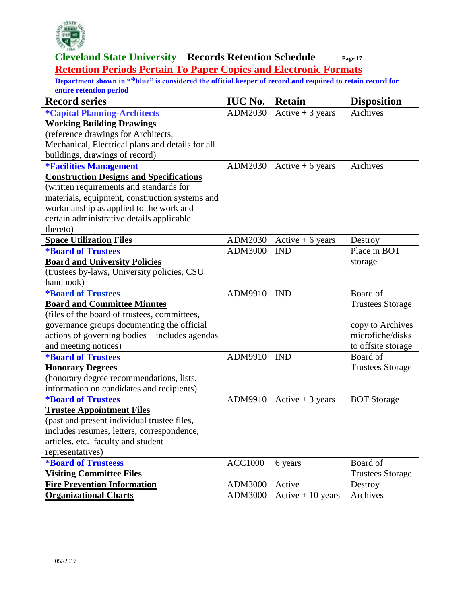

#### **Cleveland State University – Records Retention Schedule Page 17 Retention Periods Pertain To Paper Copies and Electronic Formats**

| <b>Record series</b>                             | <b>IUC No.</b> | <b>Retain</b>       | <b>Disposition</b>      |
|--------------------------------------------------|----------------|---------------------|-------------------------|
| <i><b>*Capital Planning-Architects</b></i>       | ADM2030        | Active $+3$ years   | Archives                |
| <b>Working Building Drawings</b>                 |                |                     |                         |
| (reference drawings for Architects,              |                |                     |                         |
| Mechanical, Electrical plans and details for all |                |                     |                         |
| buildings, drawings of record)                   |                |                     |                         |
| <b><i>*Facilities Management</i></b>             | ADM2030        | Active $+6$ years   | Archives                |
| <b>Construction Designs and Specifications</b>   |                |                     |                         |
| (written requirements and standards for          |                |                     |                         |
| materials, equipment, construction systems and   |                |                     |                         |
| workmanship as applied to the work and           |                |                     |                         |
| certain administrative details applicable        |                |                     |                         |
| thereto)                                         |                |                     |                         |
| <b>Space Utilization Files</b>                   | ADM2030        | Active $+6$ years   | Destroy                 |
| <i><b>*Board of Trustees</b></i>                 | ADM3000        | <b>IND</b>          | Place in BOT            |
| <b>Board and University Policies</b>             |                |                     | storage                 |
| (trustees by-laws, University policies, CSU      |                |                     |                         |
| handbook)                                        |                |                     |                         |
| <i><b>*Board of Trustees</b></i>                 | ADM9910        | <b>IND</b>          | Board of                |
| <b>Board and Committee Minutes</b>               |                |                     | <b>Trustees Storage</b> |
| (files of the board of trustees, committees,     |                |                     |                         |
| governance groups documenting the official       |                |                     | copy to Archives        |
| actions of governing bodies – includes agendas   |                |                     | microfiche/disks        |
| and meeting notices)                             |                |                     | to offsite storage      |
| <b>*Board of Trustees</b>                        | ADM9910        | <b>IND</b>          | Board of                |
| <b>Honorary Degrees</b>                          |                |                     | <b>Trustees Storage</b> |
| (honorary degree recommendations, lists,         |                |                     |                         |
| information on candidates and recipients)        |                |                     |                         |
| <i><b>*Board of Trustees</b></i>                 | ADM9910        | Active $+3$ years   | <b>BOT</b> Storage      |
| <b>Trustee Appointment Files</b>                 |                |                     |                         |
| (past and present individual trustee files,      |                |                     |                         |
| includes resumes, letters, correspondence,       |                |                     |                         |
| articles, etc. faculty and student               |                |                     |                         |
| representatives)                                 |                |                     |                         |
| <i><b>*Board of Trusteess</b></i>                | <b>ACC1000</b> | 6 years             | Board of                |
| <b>Visiting Committee Files</b>                  |                |                     | <b>Trustees Storage</b> |
| <b>Fire Prevention Information</b>               | ADM3000        | Active              | Destroy                 |
| <b>Organizational Charts</b>                     | ADM3000        | $Active + 10 years$ | Archives                |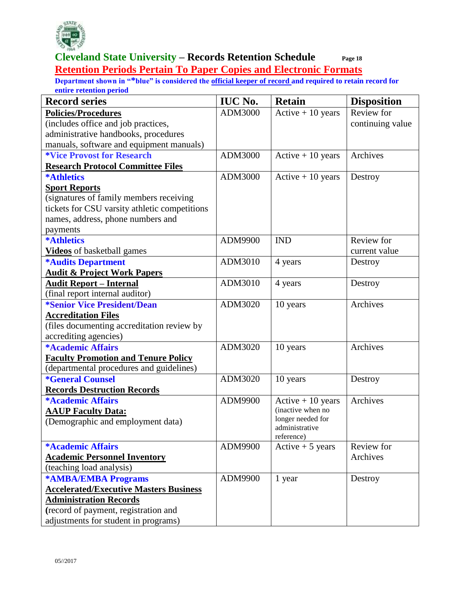

#### **Cleveland State University – Records Retention Schedule Page 18 Retention Periods Pertain To Paper Copies and Electronic Formats**

| <b>Record series</b>                          | <b>IUC No.</b> | <b>Retain</b>                       | <b>Disposition</b> |
|-----------------------------------------------|----------------|-------------------------------------|--------------------|
| <b>Policies/Procedures</b>                    | ADM3000        | $Active + 10 years$                 | Review for         |
| (includes office and job practices,           |                |                                     | continuing value   |
| administrative handbooks, procedures          |                |                                     |                    |
| manuals, software and equipment manuals)      |                |                                     |                    |
| <i><b>*Vice Provost for Research</b></i>      | ADM3000        | $Active + 10 years$                 | Archives           |
| <b>Research Protocol Committee Files</b>      |                |                                     |                    |
| <b>*Athletics</b>                             | ADM3000        | Active $+10$ years                  | Destroy            |
| <b>Sport Reports</b>                          |                |                                     |                    |
| (signatures of family members receiving       |                |                                     |                    |
| tickets for CSU varsity athletic competitions |                |                                     |                    |
| names, address, phone numbers and             |                |                                     |                    |
| payments                                      |                |                                     |                    |
| <b>*Athletics</b>                             | ADM9900        | <b>IND</b>                          | Review for         |
| <b>Videos</b> of basketball games             |                |                                     | current value      |
| <b>*Audits Department</b>                     | ADM3010        | 4 years                             | Destroy            |
| <b>Audit &amp; Project Work Papers</b>        |                |                                     |                    |
| <b>Audit Report - Internal</b>                | ADM3010        | 4 years                             | Destroy            |
| (final report internal auditor)               |                |                                     |                    |
| <i><b>*Senior Vice President/Dean</b></i>     | ADM3020        | 10 years                            | Archives           |
| <b>Accreditation Files</b>                    |                |                                     |                    |
| (files documenting accreditation review by    |                |                                     |                    |
| accrediting agencies)                         |                |                                     |                    |
| *Academic Affairs                             | ADM3020        | 10 years                            | Archives           |
| <b>Faculty Promotion and Tenure Policy</b>    |                |                                     |                    |
| (departmental procedures and guidelines)      |                |                                     |                    |
| <i><b>*General Counsel</b></i>                | ADM3020        | 10 years                            | Destroy            |
| <b>Records Destruction Records</b>            |                |                                     |                    |
| <b>*Academic Affairs</b>                      | ADM9900        | Active $+10$ years                  | Archives           |
| <b>AAUP Faculty Data:</b>                     |                | (inactive when no                   |                    |
| (Demographic and employment data)             |                | longer needed for<br>administrative |                    |
|                                               |                | reference)                          |                    |
| <b>*Academic Affairs</b>                      | ADM9900        | Active $+5$ years                   | Review for         |
| <b>Academic Personnel Inventory</b>           |                |                                     | Archives           |
| (teaching load analysis)                      |                |                                     |                    |
| <b>*AMBA/EMBA Programs</b>                    | ADM9900        | 1 year                              | Destroy            |
| <b>Accelerated/Executive Masters Business</b> |                |                                     |                    |
| <b>Administration Records</b>                 |                |                                     |                    |
| (record of payment, registration and          |                |                                     |                    |
| adjustments for student in programs)          |                |                                     |                    |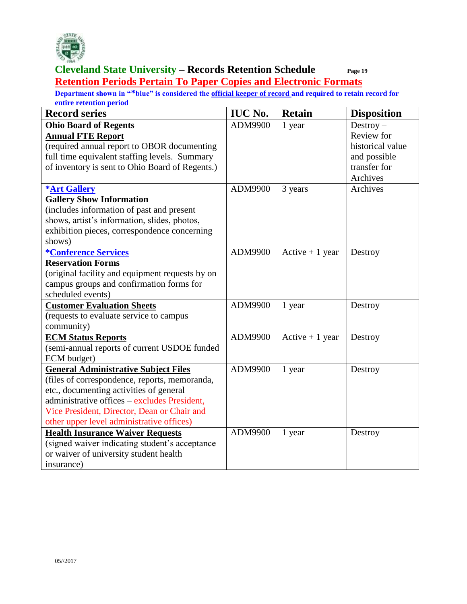

**Retention Periods Pertain To Paper Copies and Electronic Formats** 

| <b>Record series</b>                            | <b>IUC No.</b> | <b>Retain</b>    | <b>Disposition</b> |
|-------------------------------------------------|----------------|------------------|--------------------|
| <b>Ohio Board of Regents</b>                    | ADM9900        | 1 year           | $Destroy -$        |
| <b>Annual FTE Report</b>                        |                |                  | Review for         |
| (required annual report to OBOR documenting     |                |                  | historical value   |
| full time equivalent staffing levels. Summary   |                |                  | and possible       |
| of inventory is sent to Ohio Board of Regents.) |                |                  | transfer for       |
|                                                 |                |                  | Archives           |
| <b>*Art Gallery</b>                             | ADM9900        | 3 years          | Archives           |
| <b>Gallery Show Information</b>                 |                |                  |                    |
| (includes information of past and present       |                |                  |                    |
| shows, artist's information, slides, photos,    |                |                  |                    |
| exhibition pieces, correspondence concerning    |                |                  |                    |
| shows)                                          |                |                  |                    |
| <i><b>*Conference Services</b></i>              | ADM9900        | Active $+1$ year | Destroy            |
| <b>Reservation Forms</b>                        |                |                  |                    |
| (original facility and equipment requests by on |                |                  |                    |
| campus groups and confirmation forms for        |                |                  |                    |
| scheduled events)                               |                |                  |                    |
| <b>Customer Evaluation Sheets</b>               | ADM9900        | 1 year           | Destroy            |
| (requests to evaluate service to campus         |                |                  |                    |
| community)                                      |                |                  |                    |
| <b>ECM Status Reports</b>                       | ADM9900        | Active $+1$ year | Destroy            |
| (semi-annual reports of current USDOE funded    |                |                  |                    |
| ECM budget)                                     |                |                  |                    |
| <b>General Administrative Subject Files</b>     | ADM9900        | 1 year           | Destroy            |
| (files of correspondence, reports, memoranda,   |                |                  |                    |
| etc., documenting activities of general         |                |                  |                    |
| administrative offices – excludes President,    |                |                  |                    |
| Vice President, Director, Dean or Chair and     |                |                  |                    |
| other upper level administrative offices)       |                |                  |                    |
| <b>Health Insurance Waiver Requests</b>         | ADM9900        | 1 year           | Destroy            |
| (signed waiver indicating student's acceptance  |                |                  |                    |
| or waiver of university student health          |                |                  |                    |
| insurance)                                      |                |                  |                    |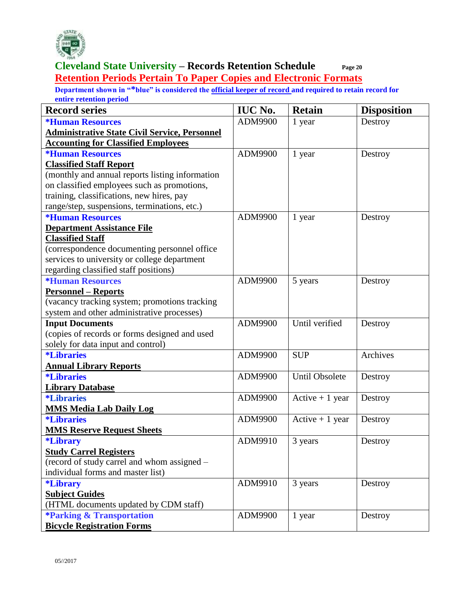

**Cleveland State University – Records Retention Schedule Page 20 Retention Periods Pertain To Paper Copies and Electronic Formats** 

| <b>Record series</b>                                 | <b>IUC No.</b> | <b>Retain</b>         | <b>Disposition</b> |
|------------------------------------------------------|----------------|-----------------------|--------------------|
| <b>*Human Resources</b>                              | ADM9900        | 1 year                | Destroy            |
| <b>Administrative State Civil Service, Personnel</b> |                |                       |                    |
| <b>Accounting for Classified Employees</b>           |                |                       |                    |
| <i><b>*Human Resources</b></i>                       | ADM9900        | 1 year                | Destroy            |
| <b>Classified Staff Report</b>                       |                |                       |                    |
| (monthly and annual reports listing information      |                |                       |                    |
| on classified employees such as promotions,          |                |                       |                    |
| training, classifications, new hires, pay            |                |                       |                    |
| range/step, suspensions, terminations, etc.)         |                |                       |                    |
| <b>*Human Resources</b>                              | ADM9900        | 1 year                | Destroy            |
| <b>Department Assistance File</b>                    |                |                       |                    |
| <b>Classified Staff</b>                              |                |                       |                    |
| (correspondence documenting personnel office         |                |                       |                    |
| services to university or college department         |                |                       |                    |
| regarding classified staff positions)                |                |                       |                    |
| <i><b>*Human Resources</b></i>                       | ADM9900        | 5 years               | Destroy            |
| <b>Personnel – Reports</b>                           |                |                       |                    |
| (vacancy tracking system; promotions tracking        |                |                       |                    |
| system and other administrative processes)           |                |                       |                    |
| <b>Input Documents</b>                               | ADM9900        | Until verified        | Destroy            |
| (copies of records or forms designed and used        |                |                       |                    |
| solely for data input and control)                   |                |                       |                    |
| <i><b>*Libraries</b></i>                             | ADM9900        | <b>SUP</b>            | Archives           |
| <b>Annual Library Reports</b>                        |                |                       |                    |
| <i><b>*Libraries</b></i>                             | ADM9900        | <b>Until Obsolete</b> | Destroy            |
| <b>Library Database</b>                              |                |                       |                    |
| <i><b>*Libraries</b></i>                             | ADM9900        | Active $+1$ year      | Destroy            |
| <b>MMS Media Lab Daily Log</b>                       |                |                       |                    |
| <i><b>*Libraries</b></i>                             | ADM9900        | Active $+1$ year      | Destroy            |
| <b>MMS Reserve Request Sheets</b>                    |                |                       |                    |
| <i><b>*Library</b></i>                               | ADM9910        | 3 years               | Destroy            |
| <b>Study Carrel Registers</b>                        |                |                       |                    |
| (record of study carrel and whom assigned -          |                |                       |                    |
| individual forms and master list)                    |                |                       |                    |
| <i><b>*Library</b></i>                               | ADM9910        | 3 years               | Destroy            |
| <b>Subject Guides</b>                                |                |                       |                    |
| (HTML documents updated by CDM staff)                |                |                       |                    |
| <b>*Parking &amp; Transportation</b>                 | ADM9900        | 1 year                | Destroy            |
| <b>Bicycle Registration Forms</b>                    |                |                       |                    |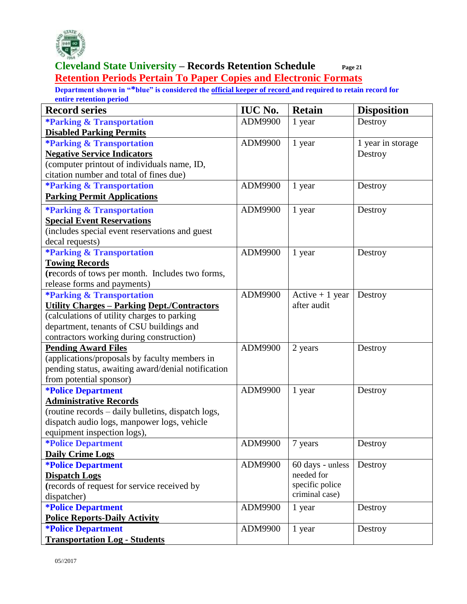

#### **Cleveland State University – Records Retention Schedule Page 21 Retention Periods Pertain To Paper Copies and Electronic Formats**

| <b>Record series</b>                               | <b>IUC No.</b> | <b>Retain</b>    | <b>Disposition</b> |
|----------------------------------------------------|----------------|------------------|--------------------|
| <i><b>*Parking &amp; Transportation</b></i>        | ADM9900        | 1 year           | Destroy            |
| <b>Disabled Parking Permits</b>                    |                |                  |                    |
| <b>*Parking &amp; Transportation</b>               | ADM9900        | 1 year           | 1 year in storage  |
| <b>Negative Service Indicators</b>                 |                |                  | Destroy            |
| (computer printout of individuals name, ID,        |                |                  |                    |
| citation number and total of fines due)            |                |                  |                    |
| <b>*Parking &amp; Transportation</b>               | ADM9900        | 1 year           | Destroy            |
| <b>Parking Permit Applications</b>                 |                |                  |                    |
| <b>*Parking &amp; Transportation</b>               | ADM9900        | 1 year           | Destroy            |
| <b>Special Event Reservations</b>                  |                |                  |                    |
| (includes special event reservations and guest     |                |                  |                    |
| decal requests)                                    |                |                  |                    |
| <b>*Parking &amp; Transportation</b>               | ADM9900        | 1 year           | Destroy            |
| <b>Towing Records</b>                              |                |                  |                    |
| (records of tows per month. Includes two forms,    |                |                  |                    |
| release forms and payments)                        |                |                  |                    |
| <b>*Parking &amp; Transportation</b>               | ADM9900        | Active $+1$ year | Destroy            |
| <b>Utility Charges - Parking Dept./Contractors</b> |                | after audit      |                    |
| (calculations of utility charges to parking        |                |                  |                    |
| department, tenants of CSU buildings and           |                |                  |                    |
| contractors working during construction)           |                |                  |                    |
| <b>Pending Award Files</b>                         | ADM9900        | 2 years          | Destroy            |
| (applications/proposals by faculty members in      |                |                  |                    |
| pending status, awaiting award/denial notification |                |                  |                    |
| from potential sponsor)                            |                |                  |                    |
| <i><b>*Police Department</b></i>                   | ADM9900        | 1 year           | Destroy            |
| <b>Administrative Records</b>                      |                |                  |                    |
| (routine records - daily bulletins, dispatch logs, |                |                  |                    |
| dispatch audio logs, manpower logs, vehicle        |                |                  |                    |
| equipment inspection logs),                        |                |                  |                    |
| <i><b>*Police Department</b></i>                   | ADM9900        | 7 years          | Destroy            |
| <b>Daily Crime Logs</b>                            |                |                  |                    |
| <i><b>*Police Department</b></i>                   | ADM9900        | 60 days - unless | Destroy            |
| <b>Dispatch Logs</b>                               |                | needed for       |                    |
| (records of request for service received by        |                | specific police  |                    |
| dispatcher)                                        |                | criminal case)   |                    |
| <i><b>*Police Department</b></i>                   | ADM9900        | 1 year           | Destroy            |
| <b>Police Reports-Daily Activity</b>               |                |                  |                    |
| <i><b>*Police Department</b></i>                   | ADM9900        | 1 year           | Destroy            |
| <b>Transportation Log - Students</b>               |                |                  |                    |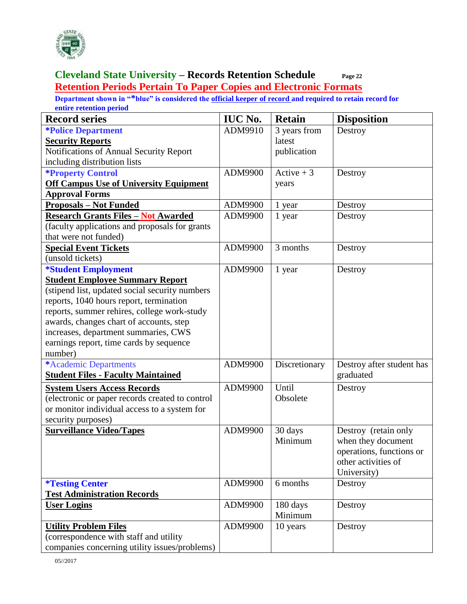

#### **Cleveland State University – Records Retention Schedule Page 22 Retention Periods Pertain To Paper Copies and Electronic Formats**

| <b>Record series</b>                            | <b>IUC No.</b> | <b>Retain</b> | <b>Disposition</b>        |
|-------------------------------------------------|----------------|---------------|---------------------------|
| <i><b>*Police Department</b></i>                | ADM9910        | 3 years from  | Destroy                   |
| <b>Security Reports</b>                         |                | latest        |                           |
| Notifications of Annual Security Report         |                | publication   |                           |
| including distribution lists                    |                |               |                           |
| <b>*Property Control</b>                        | ADM9900        | Active $+3$   | Destroy                   |
| <b>Off Campus Use of University Equipment</b>   |                | years         |                           |
| <b>Approval Forms</b>                           |                |               |                           |
| <b>Proposals – Not Funded</b>                   | ADM9900        | 1 year        | Destroy                   |
| <b>Research Grants Files - Not Awarded</b>      | ADM9900        | 1 year        | Destroy                   |
| (faculty applications and proposals for grants  |                |               |                           |
| that were not funded)                           |                |               |                           |
| <b>Special Event Tickets</b>                    | ADM9900        | 3 months      | Destroy                   |
| (unsold tickets)                                |                |               |                           |
| *Student Employment                             | ADM9900        | 1 year        | Destroy                   |
| <b>Student Employee Summary Report</b>          |                |               |                           |
| (stipend list, updated social security numbers  |                |               |                           |
| reports, 1040 hours report, termination         |                |               |                           |
| reports, summer rehires, college work-study     |                |               |                           |
| awards, changes chart of accounts, step         |                |               |                           |
| increases, department summaries, CWS            |                |               |                           |
| earnings report, time cards by sequence         |                |               |                           |
| number)                                         |                |               |                           |
| *Academic Departments                           | ADM9900        | Discretionary | Destroy after student has |
| <b>Student Files - Faculty Maintained</b>       |                |               | graduated                 |
| <b>System Users Access Records</b>              | ADM9900        | Until         | Destroy                   |
| (electronic or paper records created to control |                | Obsolete      |                           |
| or monitor individual access to a system for    |                |               |                           |
| security purposes)                              |                |               |                           |
| <b>Surveillance Video/Tapes</b>                 | ADM9900        | 30 days       | Destroy (retain only      |
|                                                 |                | Minimum       | when they document        |
|                                                 |                |               | operations, functions or  |
|                                                 |                |               | other activities of       |
|                                                 |                |               | University)               |
| <i><b>*Testing Center</b></i>                   | ADM9900        | 6 months      | Destroy                   |
| <b>Test Administration Records</b>              |                |               |                           |
| <b>User Logins</b>                              | ADM9900        | 180 days      | Destroy                   |
|                                                 |                | Minimum       |                           |
| <b>Utility Problem Files</b>                    | ADM9900        | 10 years      | Destroy                   |
| (correspondence with staff and utility          |                |               |                           |
| companies concerning utility issues/problems)   |                |               |                           |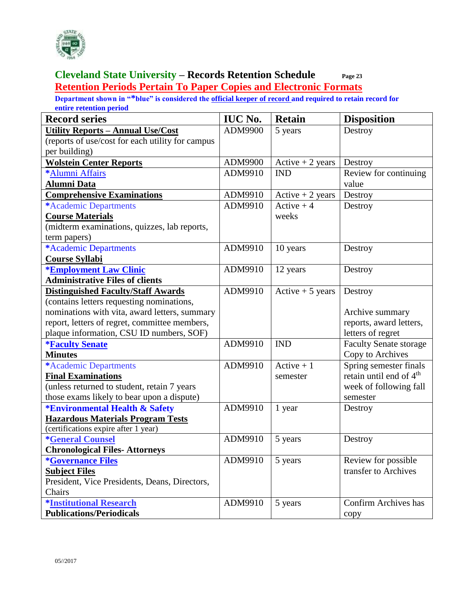

#### **Cleveland State University – Records Retention Schedule Page 23 Retention Periods Pertain To Paper Copies and Electronic Formats**

| <b>Record series</b>                             | <b>IUC No.</b> | <b>Retain</b>      | <b>Disposition</b>                  |
|--------------------------------------------------|----------------|--------------------|-------------------------------------|
| <b>Utility Reports - Annual Use/Cost</b>         | ADM9900        | 5 years            | Destroy                             |
| (reports of use/cost for each utility for campus |                |                    |                                     |
| per building)                                    |                |                    |                                     |
| <b>Wolstein Center Reports</b>                   | ADM9900        | $Active + 2 years$ | Destroy                             |
| *Alumni Affairs                                  | ADM9910        | <b>IND</b>         | Review for continuing               |
| <b>Alumni Data</b>                               |                |                    | value                               |
| <b>Comprehensive Examinations</b>                | ADM9910        | Active $+2$ years  | Destroy                             |
| *Academic Departments                            | ADM9910        | Active $+4$        | Destroy                             |
| <b>Course Materials</b>                          |                | weeks              |                                     |
| (midterm examinations, quizzes, lab reports,     |                |                    |                                     |
| term papers)                                     |                |                    |                                     |
| *Academic Departments                            | ADM9910        | 10 years           | Destroy                             |
| <b>Course Syllabi</b>                            |                |                    |                                     |
| <b>*Employment Law Clinic</b>                    | ADM9910        | 12 years           | Destroy                             |
| <b>Administrative Files of clients</b>           |                |                    |                                     |
| <b>Distinguished Faculty/Staff Awards</b>        | ADM9910        | Active $+5$ years  | Destroy                             |
| (contains letters requesting nominations,        |                |                    |                                     |
| nominations with vita, award letters, summary    |                |                    | Archive summary                     |
| report, letters of regret, committee members,    |                |                    | reports, award letters,             |
| plaque information, CSU ID numbers, SOF)         |                |                    | letters of regret                   |
| <b>*Faculty Senate</b>                           | ADM9910        | <b>IND</b>         | <b>Faculty Senate storage</b>       |
| <b>Minutes</b>                                   |                |                    | Copy to Archives                    |
| *Academic Departments                            | ADM9910        | Active $+1$        | Spring semester finals              |
| <b>Final Examinations</b>                        |                | semester           | retain until end of 4 <sup>th</sup> |
| (unless returned to student, retain 7 years      |                |                    | week of following fall              |
| those exams likely to bear upon a dispute)       |                |                    | semester                            |
| <b>*Environmental Health &amp; Safety</b>        | ADM9910        | 1 year             | Destroy                             |
| <b>Hazardous Materials Program Tests</b>         |                |                    |                                     |
| (certifications expire after 1 year)             |                |                    |                                     |
| <b>*General Counsel</b>                          | ADM9910        | 5 years            | Destroy                             |
| <b>Chronological Files-Attorneys</b>             |                |                    |                                     |
| <i><b>*Governance Files</b></i>                  | ADM9910        | 5 years            | Review for possible                 |
| <b>Subject Files</b>                             |                |                    | transfer to Archives                |
| President, Vice Presidents, Deans, Directors,    |                |                    |                                     |
| Chairs                                           |                |                    |                                     |
| <b>*Institutional Research</b>                   | ADM9910        | 5 years            | <b>Confirm Archives has</b>         |
| <b>Publications/Periodicals</b>                  |                |                    | copy                                |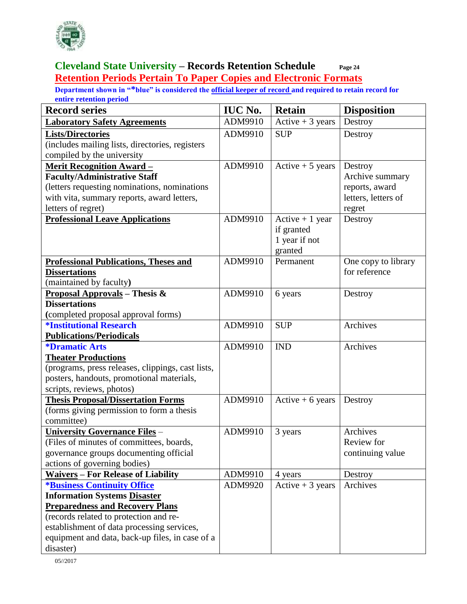

#### **Cleveland State University – Records Retention Schedule Page 24 Retention Periods Pertain To Paper Copies and Electronic Formats**

| <b>Record series</b>                              | <b>IUC No.</b> | <b>Retain</b>                  | <b>Disposition</b>  |
|---------------------------------------------------|----------------|--------------------------------|---------------------|
| <b>Laboratory Safety Agreements</b>               | ADM9910        | Active $+3$ years              | Destroy             |
| <b>Lists/Directories</b>                          | ADM9910        | <b>SUP</b>                     | Destroy             |
| (includes mailing lists, directories, registers   |                |                                |                     |
| compiled by the university                        |                |                                |                     |
| <b>Merit Recognition Award -</b>                  | ADM9910        | Active $+5$ years              | Destroy             |
| <b>Faculty/Administrative Staff</b>               |                |                                | Archive summary     |
| (letters requesting nominations, nominations      |                |                                | reports, award      |
| with vita, summary reports, award letters,        |                |                                | letters, letters of |
| letters of regret)                                |                |                                | regret              |
| <b>Professional Leave Applications</b>            | ADM9910        | Active $+1$ year<br>if granted | Destroy             |
|                                                   |                | 1 year if not                  |                     |
|                                                   |                | granted                        |                     |
| <b>Professional Publications, Theses and</b>      | ADM9910        | Permanent                      | One copy to library |
| <b>Dissertations</b>                              |                |                                | for reference       |
| (maintained by faculty)                           |                |                                |                     |
| <b>Proposal Approvals</b> – Thesis &              | ADM9910        | 6 years                        | Destroy             |
| <b>Dissertations</b>                              |                |                                |                     |
| (completed proposal approval forms)               |                |                                |                     |
| <b><i><u>*Institutional Research</u></i></b>      | ADM9910        | <b>SUP</b>                     | Archives            |
| <b>Publications/Periodicals</b>                   |                |                                |                     |
| <i><b>*Dramatic Arts</b></i>                      | ADM9910        | <b>IND</b>                     | Archives            |
| <b>Theater Productions</b>                        |                |                                |                     |
| (programs, press releases, clippings, cast lists, |                |                                |                     |
| posters, handouts, promotional materials,         |                |                                |                     |
| scripts, reviews, photos)                         |                |                                |                     |
| <b>Thesis Proposal/Dissertation Forms</b>         | ADM9910        | Active $+6$ years              | Destroy             |
| (forms giving permission to form a thesis         |                |                                |                     |
| committee)                                        |                |                                |                     |
| <b>University Governance Files -</b>              | ADM9910        | 3 years                        | Archives            |
| (Files of minutes of committees, boards,          |                |                                | Review for          |
| governance groups documenting official            |                |                                | continuing value    |
| actions of governing bodies)                      |                |                                |                     |
| <b>Waivers - For Release of Liability</b>         | ADM9910        | 4 years                        | Destroy             |
| <b>*Business Continuity Office</b>                | ADM9920        | Active $+3$ years              | Archives            |
| <b>Information Systems Disaster</b>               |                |                                |                     |
| <b>Preparedness and Recovery Plans</b>            |                |                                |                     |
| (records related to protection and re-            |                |                                |                     |
| establishment of data processing services,        |                |                                |                     |
| equipment and data, back-up files, in case of a   |                |                                |                     |
| disaster)                                         |                |                                |                     |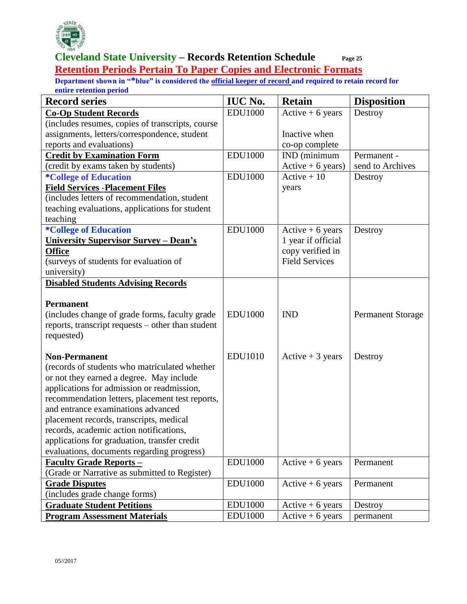

#### **Cleveland State University – Records Retention Schedule Page 25 Retention Periods Pertain To Paper Copies and Electronic Formats**

| <b>Record series</b>                              | <b>IUC No.</b> | <b>Retain</b>         | <b>Disposition</b>       |
|---------------------------------------------------|----------------|-----------------------|--------------------------|
| <b>Co-Op Student Records</b>                      | <b>EDU1000</b> | Active $+6$ years     | Destroy                  |
| (includes resumes, copies of transcripts, course  |                |                       |                          |
| assignments, letters/correspondence, student      |                | Inactive when         |                          |
| reports and evaluations)                          |                | co-op complete        |                          |
| <b>Credit by Examination Form</b>                 | <b>EDU1000</b> | IND (minimum          | Permanent -              |
| (credit by exams taken by students)               |                | $Active + 6 years)$   | send to Archives         |
| <i>*College of Education</i>                      | <b>EDU1000</b> | $Active + 10$         | Destroy                  |
| <b>Field Services - Placement Files</b>           |                | years                 |                          |
| (includes letters of recommendation, student      |                |                       |                          |
| teaching evaluations, applications for student    |                |                       |                          |
| teaching                                          |                |                       |                          |
| <i><b>*College of Education</b></i>               | <b>EDU1000</b> | Active $+6$ years     | Destroy                  |
| <b>University Supervisor Survey – Dean's</b>      |                | 1 year if official    |                          |
| <b>Office</b>                                     |                | copy verified in      |                          |
| (surveys of students for evaluation of            |                | <b>Field Services</b> |                          |
| university)                                       |                |                       |                          |
| <b>Disabled Students Advising Records</b>         |                |                       |                          |
|                                                   |                |                       |                          |
| <b>Permanent</b>                                  |                |                       |                          |
| (includes change of grade forms, faculty grade    | <b>EDU1000</b> | <b>IND</b>            | <b>Permanent Storage</b> |
| reports, transcript requests – other than student |                |                       |                          |
| requested)                                        |                |                       |                          |
|                                                   |                |                       |                          |
| <b>Non-Permanent</b>                              | <b>EDU1010</b> | Active $+3$ years     | Destroy                  |
| (records of students who matriculated whether     |                |                       |                          |
| or not they earned a degree. May include          |                |                       |                          |
| applications for admission or readmission,        |                |                       |                          |
| recommendation letters, placement test reports,   |                |                       |                          |
| and entrance examinations advanced                |                |                       |                          |
| placement records, transcripts, medical           |                |                       |                          |
| records, academic action notifications,           |                |                       |                          |
| applications for graduation, transfer credit      |                |                       |                          |
| evaluations, documents regarding progress)        |                |                       |                          |
| <b>Faculty Grade Reports -</b>                    | <b>EDU1000</b> | $Active + 6 years$    | Permanent                |
| (Grade or Narrative as submitted to Register)     |                |                       |                          |
| <b>Grade Disputes</b>                             | <b>EDU1000</b> | Active $+6$ years     | Permanent                |
| (includes grade change forms)                     |                |                       |                          |
| <b>Graduate Student Petitions</b>                 | <b>EDU1000</b> | Active $+6$ years     | Destroy                  |
| <b>Program Assessment Materials</b>               | <b>EDU1000</b> | Active $+6$ years     | permanent                |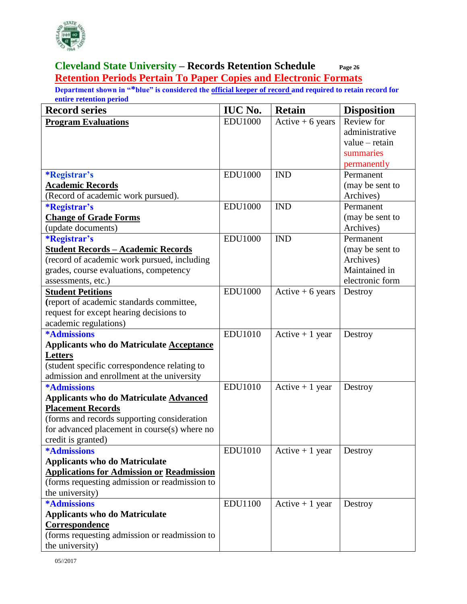

#### **Cleveland State University – Records Retention Schedule Page 26 Retention Periods Pertain To Paper Copies and Electronic Formats**

| <b>Record series</b>                             | <b>IUC No.</b> | <b>Retain</b>      | <b>Disposition</b> |
|--------------------------------------------------|----------------|--------------------|--------------------|
| <b>Program Evaluations</b>                       | <b>EDU1000</b> | $Active + 6 years$ | Review for         |
|                                                  |                |                    | administrative     |
|                                                  |                |                    | value – retain     |
|                                                  |                |                    | summaries          |
|                                                  |                |                    | permanently        |
| <i><b>*Registrar's</b></i>                       | <b>EDU1000</b> | <b>IND</b>         | Permanent          |
| <b>Academic Records</b>                          |                |                    | (may be sent to    |
| (Record of academic work pursued).               |                |                    | Archives)          |
| <i><b>*Registrar's</b></i>                       | <b>EDU1000</b> | <b>IND</b>         | Permanent          |
| <b>Change of Grade Forms</b>                     |                |                    | (may be sent to    |
| (update documents)                               |                |                    | Archives)          |
| <i><b>*Registrar's</b></i>                       | <b>EDU1000</b> | <b>IND</b>         | Permanent          |
| <b>Student Records - Academic Records</b>        |                |                    | (may be sent to    |
| (record of academic work pursued, including      |                |                    | Archives)          |
| grades, course evaluations, competency           |                |                    | Maintained in      |
| assessments, etc.)                               |                |                    | electronic form    |
| <b>Student Petitions</b>                         | <b>EDU1000</b> | $Active + 6 years$ | Destroy            |
| (report of academic standards committee,         |                |                    |                    |
| request for except hearing decisions to          |                |                    |                    |
| academic regulations)                            |                |                    |                    |
| <b>*Admissions</b>                               | <b>EDU1010</b> | Active $+1$ year   | Destroy            |
| <b>Applicants who do Matriculate Acceptance</b>  |                |                    |                    |
| Letters                                          |                |                    |                    |
| (student specific correspondence relating to     |                |                    |                    |
| admission and enrollment at the university       |                |                    |                    |
| <b>*Admissions</b>                               | <b>EDU1010</b> | Active $+1$ year   | Destroy            |
| <b>Applicants who do Matriculate Advanced</b>    |                |                    |                    |
| <b>Placement Records</b>                         |                |                    |                    |
| (forms and records supporting consideration      |                |                    |                    |
| for advanced placement in course(s) where no     |                |                    |                    |
| credit is granted)                               |                |                    |                    |
| <b>*Admissions</b>                               | <b>EDU1010</b> | Active $+1$ year   | Destroy            |
| <b>Applicants who do Matriculate</b>             |                |                    |                    |
| <b>Applications for Admission or Readmission</b> |                |                    |                    |
| (forms requesting admission or readmission to    |                |                    |                    |
| the university)                                  |                |                    |                    |
| <b>*Admissions</b>                               | <b>EDU1100</b> | Active $+1$ year   | Destroy            |
| <b>Applicants who do Matriculate</b>             |                |                    |                    |
| Correspondence                                   |                |                    |                    |
| (forms requesting admission or readmission to    |                |                    |                    |
| the university)                                  |                |                    |                    |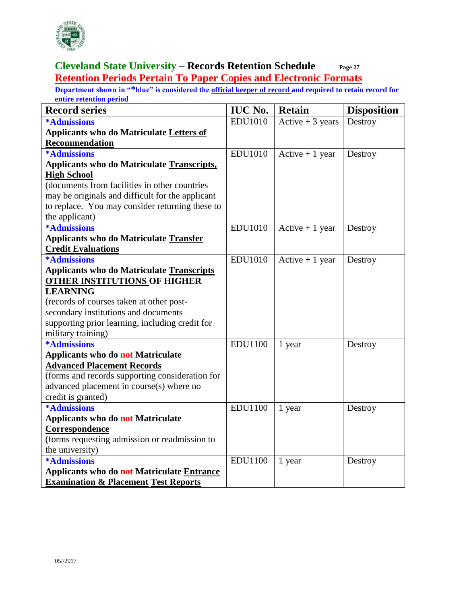

#### **Cleveland State University – Records Retention Schedule Page 27 Retention Periods Pertain To Paper Copies and Electronic Formats**

| <b>Record series</b>                              | <b>IUC No.</b> | <b>Retain</b>     | <b>Disposition</b> |
|---------------------------------------------------|----------------|-------------------|--------------------|
| *Admissions                                       | <b>EDU1010</b> | Active $+3$ years | Destroy            |
| <b>Applicants who do Matriculate Letters of</b>   |                |                   |                    |
| <b>Recommendation</b>                             |                |                   |                    |
| <b>*Admissions</b>                                | <b>EDU1010</b> | Active $+1$ year  | Destroy            |
| Applicants who do Matriculate Transcripts,        |                |                   |                    |
| <b>High School</b>                                |                |                   |                    |
| (documents from facilities in other countries     |                |                   |                    |
| may be originals and difficult for the applicant  |                |                   |                    |
| to replace. You may consider returning these to   |                |                   |                    |
| the applicant)                                    |                |                   |                    |
| <b>*Admissions</b>                                | <b>EDU1010</b> | Active $+1$ year  | Destroy            |
| <b>Applicants who do Matriculate Transfer</b>     |                |                   |                    |
| <b>Credit Evaluations</b>                         |                |                   |                    |
| *Admissions                                       | <b>EDU1010</b> | Active $+1$ year  | Destroy            |
| <b>Applicants who do Matriculate Transcripts</b>  |                |                   |                    |
| <b>OTHER INSTITUTIONS OF HIGHER</b>               |                |                   |                    |
| <b>LEARNING</b>                                   |                |                   |                    |
| (records of courses taken at other post-          |                |                   |                    |
| secondary institutions and documents              |                |                   |                    |
| supporting prior learning, including credit for   |                |                   |                    |
| military training)                                |                |                   |                    |
| *Admissions                                       | <b>EDU1100</b> | 1 year            | Destroy            |
| <b>Applicants who do not Matriculate</b>          |                |                   |                    |
| <b>Advanced Placement Records</b>                 |                |                   |                    |
| (forms and records supporting consideration for   |                |                   |                    |
| advanced placement in course(s) where no          |                |                   |                    |
| credit is granted)                                |                |                   |                    |
| <b>*Admissions</b>                                | <b>EDU1100</b> | 1 year            | Destroy            |
| <b>Applicants who do not Matriculate</b>          |                |                   |                    |
| Correspondence                                    |                |                   |                    |
| (forms requesting admission or readmission to     |                |                   |                    |
| the university)                                   |                |                   |                    |
| <b>*Admissions</b>                                | <b>EDU1100</b> | 1 year            | Destroy            |
| <b>Applicants who do not Matriculate Entrance</b> |                |                   |                    |
| <b>Examination &amp; Placement Test Reports</b>   |                |                   |                    |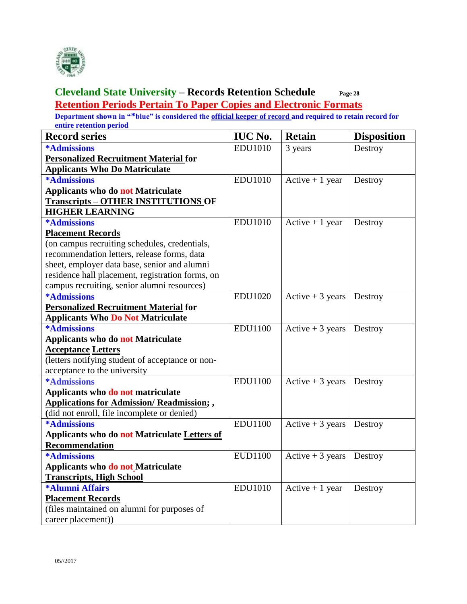

#### **Cleveland State University – Records Retention Schedule Page 28 Retention Periods Pertain To Paper Copies and Electronic Formats**

| <b>Record series</b>                              | <b>IUC No.</b> | <b>Retain</b>     | <b>Disposition</b> |
|---------------------------------------------------|----------------|-------------------|--------------------|
| <b>*Admissions</b>                                | <b>EDU1010</b> | 3 years           | Destroy            |
| <b>Personalized Recruitment Material for</b>      |                |                   |                    |
| <b>Applicants Who Do Matriculate</b>              |                |                   |                    |
| <b>*Admissions</b>                                | <b>EDU1010</b> | Active $+1$ year  | Destroy            |
| <b>Applicants who do not Matriculate</b>          |                |                   |                    |
| <b>Transcripts - OTHER INSTITUTIONS OF</b>        |                |                   |                    |
| <b>HIGHER LEARNING</b>                            |                |                   |                    |
| <b>*Admissions</b>                                | <b>EDU1010</b> | Active $+1$ year  | Destroy            |
| <b>Placement Records</b>                          |                |                   |                    |
| (on campus recruiting schedules, credentials,     |                |                   |                    |
| recommendation letters, release forms, data       |                |                   |                    |
| sheet, employer data base, senior and alumni      |                |                   |                    |
| residence hall placement, registration forms, on  |                |                   |                    |
| campus recruiting, senior alumni resources)       |                |                   |                    |
| <b>*Admissions</b>                                | <b>EDU1020</b> | Active $+3$ years | Destroy            |
| <b>Personalized Recruitment Material for</b>      |                |                   |                    |
| <b>Applicants Who Do Not Matriculate</b>          |                |                   |                    |
| <b>*Admissions</b>                                | <b>EDU1100</b> | Active $+3$ years | Destroy            |
| <b>Applicants who do not Matriculate</b>          |                |                   |                    |
| <b>Acceptance Letters</b>                         |                |                   |                    |
| (letters notifying student of acceptance or non-  |                |                   |                    |
| acceptance to the university                      |                |                   |                    |
| <b>*Admissions</b>                                | <b>EDU1100</b> | Active $+3$ years | Destroy            |
| Applicants who do not matriculate                 |                |                   |                    |
| <b>Applications for Admission/ Readmission; ,</b> |                |                   |                    |
| (did not enroll, file incomplete or denied)       |                |                   |                    |
| <b>*Admissions</b>                                | <b>EDU1100</b> | Active $+3$ years | Destroy            |
| Applicants who do not Matriculate Letters of      |                |                   |                    |
| Recommendation                                    |                |                   |                    |
| <b>*Admissions</b>                                | <b>EUD1100</b> | Active $+3$ years | Destroy            |
| Applicants who do not Matriculate                 |                |                   |                    |
| <b>Transcripts, High School</b>                   |                |                   |                    |
| *Alumni Affairs                                   | <b>EDU1010</b> | Active $+1$ year  | Destroy            |
| <b>Placement Records</b>                          |                |                   |                    |
| (files maintained on alumni for purposes of       |                |                   |                    |
| career placement))                                |                |                   |                    |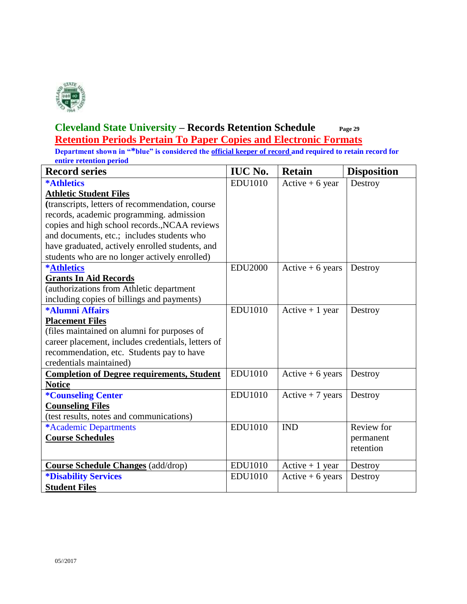

#### **Cleveland State University – Records Retention Schedule Page 29 Retention Periods Pertain To Paper Copies and Electronic Formats**

| <b>Record series</b>                               | <b>IUC No.</b> | <b>Retain</b>     | <b>Disposition</b> |
|----------------------------------------------------|----------------|-------------------|--------------------|
| <b>*Athletics</b>                                  | <b>EDU1010</b> | Active $+6$ year  | Destroy            |
| <b>Athletic Student Files</b>                      |                |                   |                    |
| (transcripts, letters of recommendation, course    |                |                   |                    |
| records, academic programming. admission           |                |                   |                    |
| copies and high school records., NCAA reviews      |                |                   |                    |
| and documents, etc.; includes students who         |                |                   |                    |
| have graduated, actively enrolled students, and    |                |                   |                    |
| students who are no longer actively enrolled)      |                |                   |                    |
| <b>*Athletics</b>                                  | <b>EDU2000</b> | Active $+6$ years | Destroy            |
| <b>Grants In Aid Records</b>                       |                |                   |                    |
| (authorizations from Athletic department           |                |                   |                    |
| including copies of billings and payments)         |                |                   |                    |
| *Alumni Affairs                                    | <b>EDU1010</b> | Active $+1$ year  | Destroy            |
| <b>Placement Files</b>                             |                |                   |                    |
| (files maintained on alumni for purposes of        |                |                   |                    |
| career placement, includes credentials, letters of |                |                   |                    |
| recommendation, etc. Students pay to have          |                |                   |                    |
| credentials maintained)                            |                |                   |                    |
| <b>Completion of Degree requirements, Student</b>  | <b>EDU1010</b> | Active $+6$ years | Destroy            |
| <b>Notice</b>                                      |                |                   |                    |
| <i><b>*Counseling Center</b></i>                   | <b>EDU1010</b> | Active $+7$ years | Destroy            |
| <b>Counseling Files</b>                            |                |                   |                    |
| (test results, notes and communications)           |                |                   |                    |
| *Academic Departments                              | <b>EDU1010</b> | <b>IND</b>        | Review for         |
| <b>Course Schedules</b>                            |                |                   | permanent          |
|                                                    |                |                   | retention          |
|                                                    |                |                   |                    |
| <b>Course Schedule Changes</b> (add/drop)          | <b>EDU1010</b> | Active $+1$ year  | Destroy            |
| <i><b>*Disability Services</b></i>                 | <b>EDU1010</b> | Active $+6$ years | Destroy            |
| <b>Student Files</b>                               |                |                   |                    |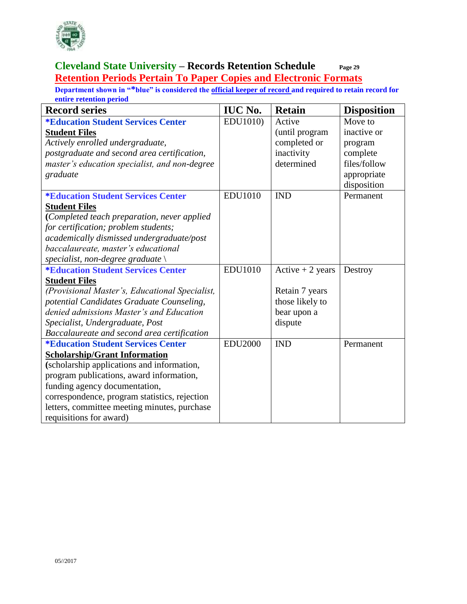

#### **Cleveland State University – Records Retention Schedule Page 29 Retention Periods Pertain To Paper Copies and Electronic Formats**

| <b>Record series</b>                             | <b>IUC No.</b> | <b>Retain</b>     | <b>Disposition</b> |
|--------------------------------------------------|----------------|-------------------|--------------------|
| <i><b>*Education Student Services Center</b></i> | EDU1010)       | Active            | Move to            |
| <b>Student Files</b>                             |                | (until program    | inactive or        |
| Actively enrolled undergraduate,                 |                | completed or      | program            |
| postgraduate and second area certification,      |                | inactivity        | complete           |
| master's education specialist, and non-degree    |                | determined        | files/follow       |
| graduate                                         |                |                   | appropriate        |
|                                                  |                |                   | disposition        |
| <i><b>*Education Student Services Center</b></i> | <b>EDU1010</b> | <b>IND</b>        | Permanent          |
| <b>Student Files</b>                             |                |                   |                    |
| (Completed teach preparation, never applied      |                |                   |                    |
| for certification; problem students;             |                |                   |                    |
| academically dismissed undergraduate/post        |                |                   |                    |
| baccalaureate, master's educational              |                |                   |                    |
| specialist, non-degree graduate $\setminus$      |                |                   |                    |
| <b>*Education Student Services Center</b>        | <b>EDU1010</b> | Active $+2$ years | Destroy            |
| <b>Student Files</b>                             |                |                   |                    |
| (Provisional Master's, Educational Specialist,   |                | Retain 7 years    |                    |
| potential Candidates Graduate Counseling,        |                | those likely to   |                    |
| denied admissions Master's and Education         |                | bear upon a       |                    |
| Specialist, Undergraduate, Post                  |                | dispute           |                    |
| Baccalaureate and second area certification      |                |                   |                    |
| <i><b>*Education Student Services Center</b></i> | <b>EDU2000</b> | <b>IND</b>        | Permanent          |
| <b>Scholarship/Grant Information</b>             |                |                   |                    |
| (scholarship applications and information,       |                |                   |                    |
| program publications, award information,         |                |                   |                    |
| funding agency documentation,                    |                |                   |                    |
| correspondence, program statistics, rejection    |                |                   |                    |
| letters, committee meeting minutes, purchase     |                |                   |                    |
| requisitions for award)                          |                |                   |                    |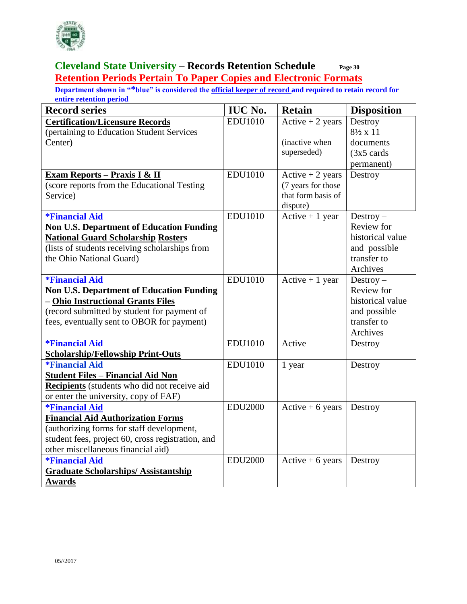

#### **Cleveland State University – Records Retention Schedule Page 30 Retention Periods Pertain To Paper Copies and Electronic Formats**

| <b>Record series</b>                              | <b>IUC No.</b> | <b>Retain</b>      | <b>Disposition</b>    |
|---------------------------------------------------|----------------|--------------------|-----------------------|
| <b>Certification/Licensure Records</b>            | <b>EDU1010</b> | Active $+2$ years  | Destroy               |
| (pertaining to Education Student Services         |                |                    | $8\frac{1}{2}$ x 11   |
| Center)                                           |                | (inactive when     | documents             |
|                                                   |                | superseded)        | $(3x5 \text{ cards})$ |
|                                                   |                |                    | permanent)            |
| Exam Reports - Praxis I & II                      | <b>EDU1010</b> | Active $+2$ years  | Destroy               |
| (score reports from the Educational Testing       |                | (7 years for those |                       |
| Service)                                          |                | that form basis of |                       |
|                                                   |                | dispute)           |                       |
| <i><b>*Financial Aid</b></i>                      | <b>EDU1010</b> | Active $+1$ year   | $Destry -$            |
| <b>Non U.S. Department of Education Funding</b>   |                |                    | Review for            |
| <b>National Guard Scholarship Rosters</b>         |                |                    | historical value      |
| (lists of students receiving scholarships from    |                |                    | and possible          |
| the Ohio National Guard)                          |                |                    | transfer to           |
|                                                   |                |                    | Archives              |
| <i><b>*Financial Aid</b></i>                      | <b>EDU1010</b> | Active $+1$ year   | $Destry -$            |
| <b>Non U.S. Department of Education Funding</b>   |                |                    | Review for            |
| - Ohio Instructional Grants Files                 |                |                    | historical value      |
| (record submitted by student for payment of       |                |                    | and possible          |
| fees, eventually sent to OBOR for payment)        |                |                    | transfer to           |
|                                                   |                |                    | Archives              |
| <i><b>*Financial Aid</b></i>                      | <b>EDU1010</b> | Active             | Destroy               |
| <b>Scholarship/Fellowship Print-Outs</b>          |                |                    |                       |
| <i><b>*Financial Aid</b></i>                      | <b>EDU1010</b> | 1 year             | Destroy               |
| <b>Student Files - Financial Aid Non</b>          |                |                    |                       |
| Recipients (students who did not receive aid      |                |                    |                       |
| or enter the university, copy of FAF)             |                |                    |                       |
| <i><b>*Financial Aid</b></i>                      | <b>EDU2000</b> | Active $+6$ years  | Destroy               |
| <b>Financial Aid Authorization Forms</b>          |                |                    |                       |
| (authorizing forms for staff development,         |                |                    |                       |
| student fees, project 60, cross registration, and |                |                    |                       |
| other miscellaneous financial aid)                |                |                    |                       |
| <i><b>*Financial Aid</b></i>                      | <b>EDU2000</b> | Active $+6$ years  | Destroy               |
| <b>Graduate Scholarships/Assistantship</b>        |                |                    |                       |
| <b>Awards</b>                                     |                |                    |                       |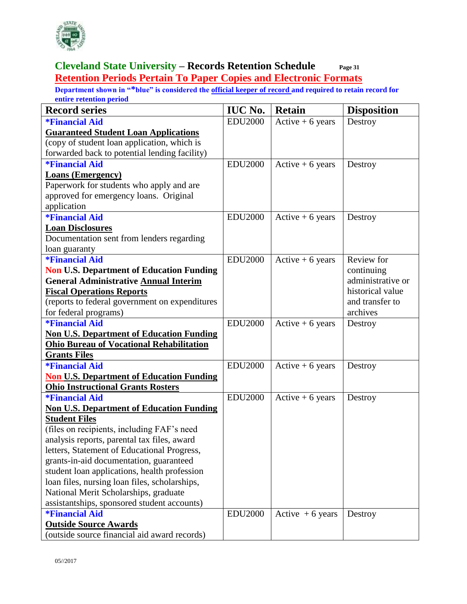

#### **Cleveland State University – Records Retention Schedule Page 31 Retention Periods Pertain To Paper Copies and Electronic Formats**

| <b>Record series</b>                            | <b>IUC No.</b> | <b>Retain</b>      | <b>Disposition</b> |
|-------------------------------------------------|----------------|--------------------|--------------------|
| <i><b>*Financial Aid</b></i>                    | <b>EDU2000</b> | Active $+6$ years  | Destroy            |
| <b>Guaranteed Student Loan Applications</b>     |                |                    |                    |
| (copy of student loan application, which is     |                |                    |                    |
| forwarded back to potential lending facility)   |                |                    |                    |
| <i><b>*Financial Aid</b></i>                    | <b>EDU2000</b> | Active $+6$ years  | Destroy            |
| <b>Loans (Emergency)</b>                        |                |                    |                    |
| Paperwork for students who apply and are        |                |                    |                    |
| approved for emergency loans. Original          |                |                    |                    |
| application                                     |                |                    |                    |
| <i><b>*Financial Aid</b></i>                    | <b>EDU2000</b> | Active $+6$ years  | Destroy            |
| <b>Loan Disclosures</b>                         |                |                    |                    |
| Documentation sent from lenders regarding       |                |                    |                    |
| loan guaranty                                   |                |                    |                    |
| <i><b>*Financial Aid</b></i>                    | <b>EDU2000</b> | Active $+6$ years  | Review for         |
| <b>Non U.S. Department of Education Funding</b> |                |                    | continuing         |
| <b>General Administrative Annual Interim</b>    |                |                    | administrative or  |
| <b>Fiscal Operations Reports</b>                |                |                    | historical value   |
| (reports to federal government on expenditures  |                |                    | and transfer to    |
| for federal programs)                           |                |                    | archives           |
| <i><b>*Financial Aid</b></i>                    | <b>EDU2000</b> | $Active + 6 years$ | Destroy            |
| <b>Non U.S. Department of Education Funding</b> |                |                    |                    |
| <b>Ohio Bureau of Vocational Rehabilitation</b> |                |                    |                    |
| <b>Grants Files</b>                             |                |                    |                    |
| <i><b>*Financial Aid</b></i>                    | <b>EDU2000</b> | Active $+6$ years  | Destroy            |
| <b>Non U.S. Department of Education Funding</b> |                |                    |                    |
| <b>Ohio Instructional Grants Rosters</b>        |                |                    |                    |
| <i><b>*Financial Aid</b></i>                    | <b>EDU2000</b> | Active $+6$ years  | Destroy            |
| <b>Non U.S. Department of Education Funding</b> |                |                    |                    |
| <b>Student Files</b>                            |                |                    |                    |
| (files on recipients, including FAF's need      |                |                    |                    |
| analysis reports, parental tax files, award     |                |                    |                    |
| letters, Statement of Educational Progress,     |                |                    |                    |
| grants-in-aid documentation, guaranteed         |                |                    |                    |
| student loan applications, health profession    |                |                    |                    |
| loan files, nursing loan files, scholarships,   |                |                    |                    |
| National Merit Scholarships, graduate           |                |                    |                    |
| assistantships, sponsored student accounts)     |                |                    |                    |
| <i><b>*Financial Aid</b></i>                    | <b>EDU2000</b> | Active $+6$ years  | Destroy            |
| <b>Outside Source Awards</b>                    |                |                    |                    |
| (outside source financial aid award records)    |                |                    |                    |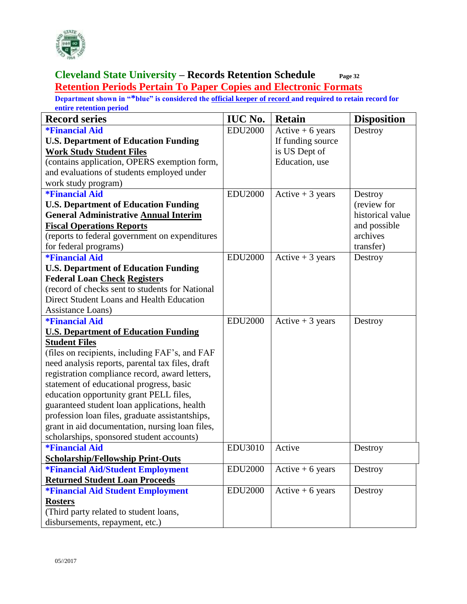

#### **Cleveland State University – Records Retention Schedule Page 32 Retention Periods Pertain To Paper Copies and Electronic Formats**

| <b>Record series</b>                             | <b>IUC No.</b> | <b>Retain</b>     | <b>Disposition</b> |
|--------------------------------------------------|----------------|-------------------|--------------------|
| <i><b>*Financial Aid</b></i>                     | <b>EDU2000</b> | Active $+6$ years | Destroy            |
| <b>U.S. Department of Education Funding</b>      |                | If funding source |                    |
| <b>Work Study Student Files</b>                  |                | is US Dept of     |                    |
| (contains application, OPERS exemption form,     |                | Education, use    |                    |
| and evaluations of students employed under       |                |                   |                    |
| work study program)                              |                |                   |                    |
| <i><b>*Financial Aid</b></i>                     | <b>EDU2000</b> | Active $+3$ years | Destroy            |
| <b>U.S. Department of Education Funding</b>      |                |                   | (review for        |
| <b>General Administrative Annual Interim</b>     |                |                   | historical value   |
| <b>Fiscal Operations Reports</b>                 |                |                   | and possible       |
| (reports to federal government on expenditures   |                |                   | archives           |
| for federal programs)                            |                |                   | transfer)          |
| <i><b>*Financial Aid</b></i>                     | <b>EDU2000</b> | Active $+3$ years | Destroy            |
| <b>U.S. Department of Education Funding</b>      |                |                   |                    |
| <b>Federal Loan Check Registers</b>              |                |                   |                    |
| (record of checks sent to students for National  |                |                   |                    |
| Direct Student Loans and Health Education        |                |                   |                    |
| Assistance Loans)                                |                |                   |                    |
| <i><b>*Financial Aid</b></i>                     | <b>EDU2000</b> | Active $+3$ years | Destroy            |
| <b>U.S. Department of Education Funding</b>      |                |                   |                    |
| <b>Student Files</b>                             |                |                   |                    |
| (files on recipients, including FAF's, and FAF   |                |                   |                    |
| need analysis reports, parental tax files, draft |                |                   |                    |
| registration compliance record, award letters,   |                |                   |                    |
| statement of educational progress, basic         |                |                   |                    |
| education opportunity grant PELL files,          |                |                   |                    |
| guaranteed student loan applications, health     |                |                   |                    |
| profession loan files, graduate assistantships,  |                |                   |                    |
| grant in aid documentation, nursing loan files,  |                |                   |                    |
| scholarships, sponsored student accounts)        |                |                   |                    |
| <i><b>*Financial Aid</b></i>                     | <b>EDU3010</b> | Active            | Destroy            |
| <b>Scholarship/Fellowship Print-Outs</b>         |                |                   |                    |
| <i><b>*Financial Aid/Student Employment</b></i>  | <b>EDU2000</b> | Active $+6$ years | Destroy            |
| <b>Returned Student Loan Proceeds</b>            |                |                   |                    |
| <b>*Financial Aid Student Employment</b>         | <b>EDU2000</b> | Active $+6$ years | Destroy            |
| <b>Rosters</b>                                   |                |                   |                    |
| (Third party related to student loans,           |                |                   |                    |
| disbursements, repayment, etc.)                  |                |                   |                    |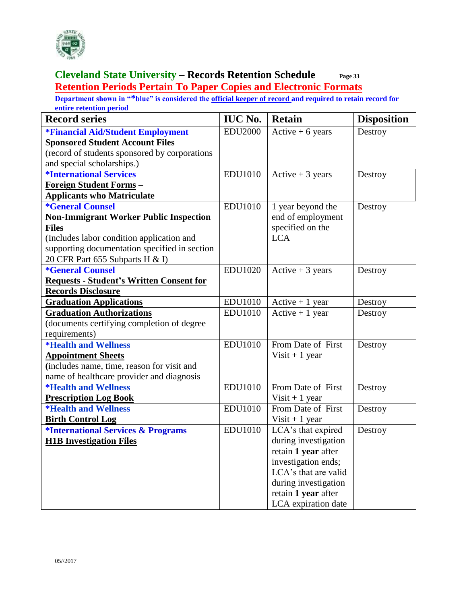

#### **Cleveland State University – Records Retention Schedule Page 33 Retention Periods Pertain To Paper Copies and Electronic Formats**

| <b>Record series</b>                                 | <b>IUC No.</b> | <b>Retain</b>        | <b>Disposition</b> |
|------------------------------------------------------|----------------|----------------------|--------------------|
| *Financial Aid/Student Employment                    | <b>EDU2000</b> | Active $+6$ years    | Destroy            |
| <b>Sponsored Student Account Files</b>               |                |                      |                    |
| (record of students sponsored by corporations        |                |                      |                    |
| and special scholarships.)                           |                |                      |                    |
| <i><b>*International Services</b></i>                | <b>EDU1010</b> | Active $+3$ years    | Destroy            |
| Foreign Student Forms -                              |                |                      |                    |
| <b>Applicants who Matriculate</b>                    |                |                      |                    |
| <i><b>*General Counsel</b></i>                       | <b>EDU1010</b> | 1 year beyond the    | Destroy            |
| <b>Non-Immigrant Worker Public Inspection</b>        |                | end of employment    |                    |
| <b>Files</b>                                         |                | specified on the     |                    |
| (Includes labor condition application and            |                | <b>LCA</b>           |                    |
| supporting documentation specified in section        |                |                      |                    |
| 20 CFR Part 655 Subparts H & I)                      |                |                      |                    |
| <i><b>*General Counsel</b></i>                       | <b>EDU1020</b> | Active $+3$ years    | Destroy            |
| <b>Requests - Student's Written Consent for</b>      |                |                      |                    |
| <b>Records Disclosure</b>                            |                |                      |                    |
| <b>Graduation Applications</b>                       | <b>EDU1010</b> | Active $+1$ year     | Destroy            |
| <b>Graduation Authorizations</b>                     | <b>EDU1010</b> | Active $+1$ year     | Destroy            |
| (documents certifying completion of degree           |                |                      |                    |
| requirements)                                        |                |                      |                    |
| <i><b>*Health and Wellness</b></i>                   | <b>EDU1010</b> | From Date of First   | Destroy            |
| <b>Appointment Sheets</b>                            |                | Visit + 1 year       |                    |
| (includes name, time, reason for visit and           |                |                      |                    |
| name of healthcare provider and diagnosis            |                |                      |                    |
| <i><b>*Health and Wellness</b></i>                   | <b>EDU1010</b> | From Date of First   | Destroy            |
| <b>Prescription Log Book</b>                         |                | Visit $+1$ year      |                    |
| <i><b>*Health and Wellness</b></i>                   | <b>EDU1010</b> | From Date of First   | Destroy            |
| <b>Birth Control Log</b>                             |                | Visit $+1$ year      |                    |
| <i><b>*International Services &amp; Programs</b></i> | <b>EDU1010</b> | LCA's that expired   | Destroy            |
| <b>H1B Investigation Files</b>                       |                | during investigation |                    |
|                                                      |                | retain 1 year after  |                    |
|                                                      |                | investigation ends;  |                    |
|                                                      |                | LCA's that are valid |                    |
|                                                      |                | during investigation |                    |
|                                                      |                | retain 1 year after  |                    |
|                                                      |                | LCA expiration date  |                    |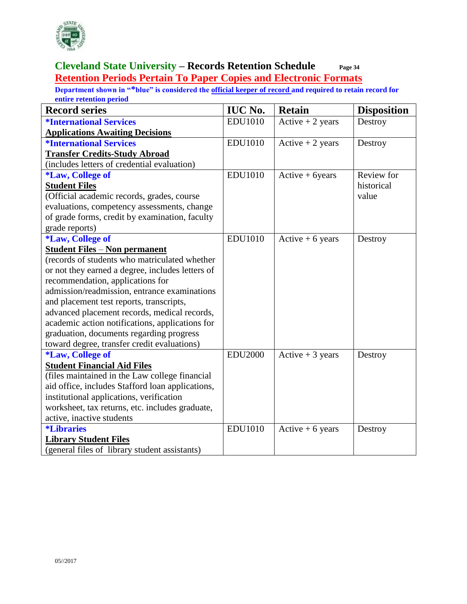

#### **Cleveland State University – Records Retention Schedule Page 34 Retention Periods Pertain To Paper Copies and Electronic Formats**

| <b>Record series</b>                             | <b>IUC No.</b> | <b>Retain</b>      | <b>Disposition</b> |
|--------------------------------------------------|----------------|--------------------|--------------------|
| <i><b>*International Services</b></i>            | <b>EDU1010</b> | Active $+2$ years  | Destroy            |
| <b>Applications Awaiting Decisions</b>           |                |                    |                    |
| <i><b>*International Services</b></i>            | <b>EDU1010</b> | Active $+2$ years  | Destroy            |
| <b>Transfer Credits-Study Abroad</b>             |                |                    |                    |
| (includes letters of credential evaluation)      |                |                    |                    |
| <i><b>*Law, College of</b></i>                   | <b>EDU1010</b> | $Active + 6 years$ | Review for         |
| <b>Student Files</b>                             |                |                    | historical         |
| (Official academic records, grades, course       |                |                    | value              |
| evaluations, competency assessments, change      |                |                    |                    |
| of grade forms, credit by examination, faculty   |                |                    |                    |
| grade reports)                                   |                |                    |                    |
| <i><b>*Law, College of</b></i>                   | <b>EDU1010</b> | Active $+6$ years  | Destroy            |
| <b>Student Files - Non permanent</b>             |                |                    |                    |
| (records of students who matriculated whether    |                |                    |                    |
| or not they earned a degree, includes letters of |                |                    |                    |
| recommendation, applications for                 |                |                    |                    |
| admission/readmission, entrance examinations     |                |                    |                    |
| and placement test reports, transcripts,         |                |                    |                    |
| advanced placement records, medical records,     |                |                    |                    |
| academic action notifications, applications for  |                |                    |                    |
| graduation, documents regarding progress         |                |                    |                    |
| toward degree, transfer credit evaluations)      |                |                    |                    |
| <i><b>*Law, College of</b></i>                   | <b>EDU2000</b> | Active $+3$ years  | Destroy            |
| <b>Student Financial Aid Files</b>               |                |                    |                    |
| (files maintained in the Law college financial   |                |                    |                    |
| aid office, includes Stafford loan applications, |                |                    |                    |
| institutional applications, verification         |                |                    |                    |
| worksheet, tax returns, etc. includes graduate,  |                |                    |                    |
| active, inactive students                        |                |                    |                    |
| <i><b>*Libraries</b></i>                         | <b>EDU1010</b> | Active $+6$ years  | Destroy            |
| <b>Library Student Files</b>                     |                |                    |                    |
| (general files of library student assistants)    |                |                    |                    |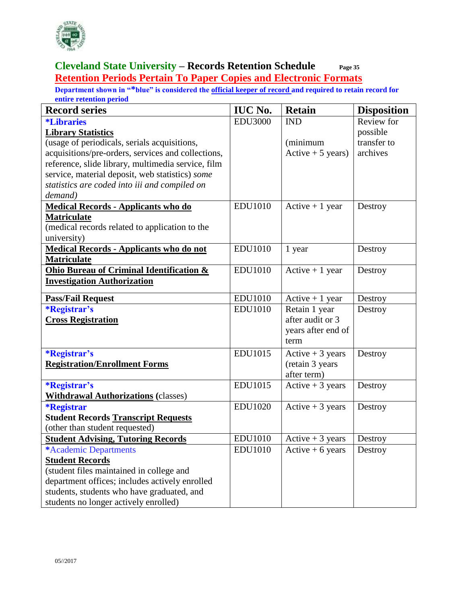

#### **Cleveland State University – Records Retention Schedule Page 35 Retention Periods Pertain To Paper Copies and Electronic Formats**

| <b>Record series</b>                                | <b>IUC No.</b> | <b>Retain</b>              | <b>Disposition</b> |
|-----------------------------------------------------|----------------|----------------------------|--------------------|
| <i><b>*Libraries</b></i>                            | <b>EDU3000</b> | <b>IND</b>                 | Review for         |
| <b>Library Statistics</b>                           |                |                            | possible           |
| (usage of periodicals, serials acquisitions,        |                | (minimum                   | transfer to        |
| acquisitions/pre-orders, services and collections,  |                | Active $+5$ years)         | archives           |
| reference, slide library, multimedia service, film  |                |                            |                    |
| service, material deposit, web statistics) some     |                |                            |                    |
| statistics are coded into iii and compiled on       |                |                            |                    |
| demand)                                             |                |                            |                    |
| <b>Medical Records - Applicants who do</b>          | <b>EDU1010</b> | Active $+1$ year           | Destroy            |
| <b>Matriculate</b>                                  |                |                            |                    |
| (medical records related to application to the      |                |                            |                    |
| university)                                         |                |                            |                    |
| <b>Medical Records - Applicants who do not</b>      | <b>EDU1010</b> | 1 year                     | Destroy            |
| <b>Matriculate</b>                                  |                |                            |                    |
| <b>Ohio Bureau of Criminal Identification &amp;</b> | <b>EDU1010</b> | Active $+1$ year           | Destroy            |
| <b>Investigation Authorization</b>                  |                |                            |                    |
| <b>Pass/Fail Request</b>                            | <b>EDU1010</b> | Active $+1$ year           | Destroy            |
| <i><b>*Registrar's</b></i>                          | <b>EDU1010</b> | Retain 1 year              | Destroy            |
| <b>Cross Registration</b>                           |                | after audit or 3           |                    |
|                                                     |                | years after end of         |                    |
|                                                     |                | term                       |                    |
| <i><b>*Registrar's</b></i>                          | EDU1015        | Active $+3$ years          | Destroy            |
| <b>Registration/Enrollment Forms</b>                |                | (retain 3 years            |                    |
|                                                     |                | after term)                |                    |
| <i><b>*Registrar's</b></i>                          | EDU1015        | Active $+3$ years          | Destroy            |
| <b>Withdrawal Authorizations (classes)</b>          |                |                            |                    |
| <i><b>*Registrar</b></i>                            | <b>EDU1020</b> | Active $+3$ years          | Destroy            |
| <b>Student Records Transcript Requests</b>          |                |                            |                    |
| (other than student requested)                      |                |                            |                    |
| <b>Student Advising, Tutoring Records</b>           | <b>EDU1010</b> | Active $+3$ years          | Destroy            |
| *Academic Departments                               | <b>EDU1010</b> | $Active + 6 \text{ years}$ | Destroy            |
| <b>Student Records</b>                              |                |                            |                    |
| (student files maintained in college and            |                |                            |                    |
| department offices; includes actively enrolled      |                |                            |                    |
| students, students who have graduated, and          |                |                            |                    |
| students no longer actively enrolled)               |                |                            |                    |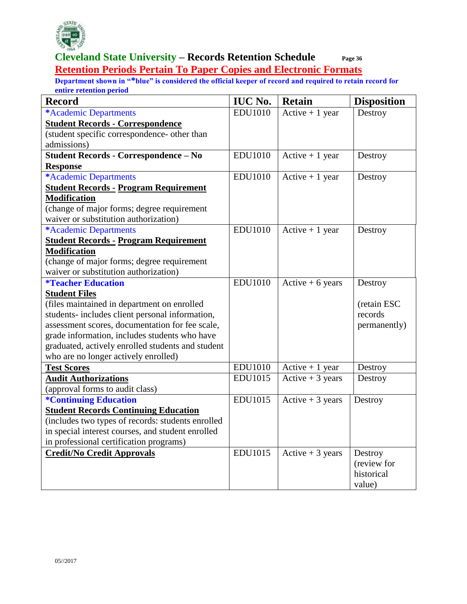

#### **Cleveland State University – Records Retention Schedule Page 36 Retention Periods Pertain To Paper Copies and Electronic Formats**

| <b>Record</b>                                     | <b>IUC No.</b> | <b>Retain</b>     | <b>Disposition</b> |
|---------------------------------------------------|----------------|-------------------|--------------------|
| *Academic Departments                             | <b>EDU1010</b> | Active $+1$ year  | Destroy            |
| <b>Student Records - Correspondence</b>           |                |                   |                    |
| (student specific correspondence- other than      |                |                   |                    |
| admissions)                                       |                |                   |                    |
| <b>Student Records - Correspondence - No</b>      | <b>EDU1010</b> | Active $+1$ year  | Destroy            |
| <b>Response</b>                                   |                |                   |                    |
| *Academic Departments                             | <b>EDU1010</b> | Active $+1$ year  | Destroy            |
| <b>Student Records - Program Requirement</b>      |                |                   |                    |
| <b>Modification</b>                               |                |                   |                    |
| (change of major forms; degree requirement        |                |                   |                    |
| waiver or substitution authorization)             |                |                   |                    |
| *Academic Departments                             | <b>EDU1010</b> | Active $+1$ year  | Destroy            |
| <b>Student Records - Program Requirement</b>      |                |                   |                    |
| <b>Modification</b>                               |                |                   |                    |
| (change of major forms; degree requirement        |                |                   |                    |
| waiver or substitution authorization)             |                |                   |                    |
| <i><b>*Teacher Education</b></i>                  | <b>EDU1010</b> | Active $+6$ years | Destroy            |
| <b>Student Files</b>                              |                |                   |                    |
| (files maintained in department on enrolled       |                |                   | (retain ESC        |
| students- includes client personal information,   |                |                   | records            |
| assessment scores, documentation for fee scale,   |                |                   | permanently)       |
| grade information, includes students who have     |                |                   |                    |
| graduated, actively enrolled students and student |                |                   |                    |
| who are no longer actively enrolled)              |                |                   |                    |
| <b>Test Scores</b>                                | <b>EDU1010</b> | Active $+1$ year  | Destroy            |
| <b>Audit Authorizations</b>                       | <b>EDU1015</b> | Active $+3$ years | Destroy            |
| (approval forms to audit class)                   |                |                   |                    |
| <i><b>*Continuing Education</b></i>               | <b>EDU1015</b> | Active $+3$ years | Destroy            |
| <b>Student Records Continuing Education</b>       |                |                   |                    |
| (includes two types of records: students enrolled |                |                   |                    |
| in special interest courses, and student enrolled |                |                   |                    |
| in professional certification programs)           |                |                   |                    |
| <b>Credit/No Credit Approvals</b>                 | <b>EDU1015</b> | Active $+3$ years | Destroy            |
|                                                   |                |                   | (review for        |
|                                                   |                |                   | historical         |
|                                                   |                |                   | value)             |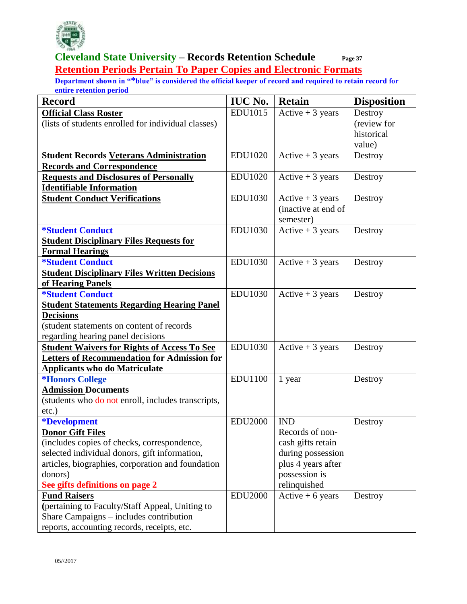

#### **Cleveland State University – Records Retention Schedule Page 37 Retention Periods Pertain To Paper Copies and Electronic Formats**

| <b>Record</b>                                                                              | <b>IUC No.</b> | <b>Retain</b>       | <b>Disposition</b> |
|--------------------------------------------------------------------------------------------|----------------|---------------------|--------------------|
| <b>Official Class Roster</b>                                                               | <b>EDU1015</b> | Active $+3$ years   | Destroy            |
| (lists of students enrolled for individual classes)                                        |                |                     | (review for        |
|                                                                                            |                |                     | historical         |
|                                                                                            |                |                     | value)             |
| <b>Student Records Veterans Administration</b>                                             | <b>EDU1020</b> | Active $+3$ years   | Destroy            |
| <b>Records and Correspondence</b>                                                          |                |                     |                    |
| <b>Requests and Disclosures of Personally</b>                                              | <b>EDU1020</b> | Active $+3$ years   | Destroy            |
| <b>Identifiable Information</b>                                                            |                |                     |                    |
| <b>Student Conduct Verifications</b>                                                       | <b>EDU1030</b> | Active $+3$ years   | Destroy            |
|                                                                                            |                | (inactive at end of |                    |
|                                                                                            |                | semester)           |                    |
| <i><b>*Student Conduct</b></i>                                                             | <b>EDU1030</b> | Active $+3$ years   | Destroy            |
| <b>Student Disciplinary Files Requests for</b>                                             |                |                     |                    |
| <b>Formal Hearings</b>                                                                     |                |                     |                    |
| <i><b>*Student Conduct</b></i>                                                             | <b>EDU1030</b> | Active $+3$ years   | Destroy            |
| <b>Student Disciplinary Files Written Decisions</b>                                        |                |                     |                    |
| of Hearing Panels                                                                          |                |                     |                    |
| <i><b>*Student Conduct</b></i>                                                             | <b>EDU1030</b> | Active $+3$ years   | Destroy            |
| <b>Student Statements Regarding Hearing Panel</b>                                          |                |                     |                    |
| <b>Decisions</b>                                                                           |                |                     |                    |
| (student statements on content of records                                                  |                |                     |                    |
| regarding hearing panel decisions                                                          |                |                     |                    |
| <b>Student Waivers for Rights of Access To See</b>                                         | <b>EDU1030</b> | Active $+3$ years   | Destroy            |
| <b>Letters of Recommendation for Admission for</b><br><b>Applicants who do Matriculate</b> |                |                     |                    |
| *Honors College                                                                            | <b>EDU1100</b> | 1 year              | Destroy            |
| <b>Admission Documents</b>                                                                 |                |                     |                    |
| (students who do not enroll, includes transcripts,                                         |                |                     |                    |
| $etc.$ )                                                                                   |                |                     |                    |
| <i><b>*Development</b></i>                                                                 | <b>EDU2000</b> | <b>IND</b>          | Destroy            |
| <b>Donor Gift Files</b>                                                                    |                | Records of non-     |                    |
| (includes copies of checks, correspondence,                                                |                | cash gifts retain   |                    |
| selected individual donors, gift information,                                              |                | during possession   |                    |
| articles, biographies, corporation and foundation                                          |                | plus 4 years after  |                    |
| donors)                                                                                    |                | possession is       |                    |
| See gifts definitions on page 2                                                            |                | relinquished        |                    |
| <b>Fund Raisers</b>                                                                        | <b>EDU2000</b> | Active $+6$ years   | Destroy            |
| (pertaining to Faculty/Staff Appeal, Uniting to                                            |                |                     |                    |
| Share Campaigns – includes contribution                                                    |                |                     |                    |
| reports, accounting records, receipts, etc.                                                |                |                     |                    |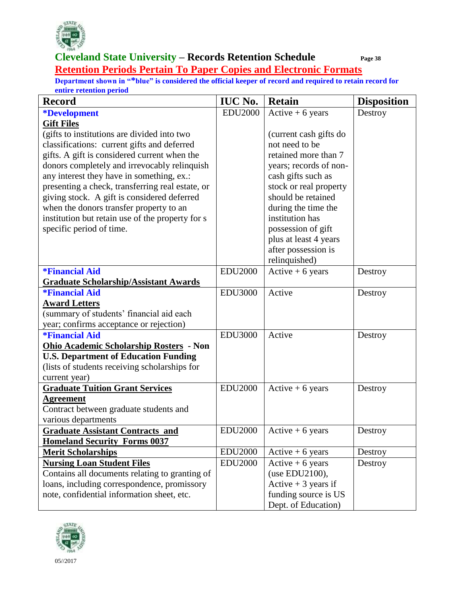

# **Retention Periods Pertain To Paper Copies and Electronic Formats**

| <b>Record</b>                                    | <b>IUC No.</b> | <b>Retain</b>          | <b>Disposition</b> |
|--------------------------------------------------|----------------|------------------------|--------------------|
| <i><b>*Development</b></i>                       | <b>EDU2000</b> | Active $+6$ years      | Destroy            |
| <b>Gift Files</b>                                |                |                        |                    |
| (gifts to institutions are divided into two      |                | (current cash gifts do |                    |
| classifications: current gifts and deferred      |                | not need to be         |                    |
| gifts. A gift is considered current when the     |                | retained more than 7   |                    |
| donors completely and irrevocably relinquish     |                | years; records of non- |                    |
| any interest they have in something, ex.:        |                | cash gifts such as     |                    |
| presenting a check, transferring real estate, or |                | stock or real property |                    |
| giving stock. A gift is considered deferred      |                | should be retained     |                    |
| when the donors transfer property to an          |                | during the time the    |                    |
| institution but retain use of the property for s |                | institution has        |                    |
| specific period of time.                         |                | possession of gift     |                    |
|                                                  |                | plus at least 4 years  |                    |
|                                                  |                | after possession is    |                    |
|                                                  |                | relinquished)          |                    |
| <b>*Financial Aid</b>                            | <b>EDU2000</b> | Active $+6$ years      | Destroy            |
| <b>Graduate Scholarship/Assistant Awards</b>     |                |                        |                    |
| <i><b>*Financial Aid</b></i>                     | <b>EDU3000</b> | Active                 | Destroy            |
| <b>Award Letters</b>                             |                |                        |                    |
| (summary of students' financial aid each         |                |                        |                    |
| year; confirms acceptance or rejection)          |                |                        |                    |
| <i><b>*Financial Aid</b></i>                     | <b>EDU3000</b> | Active                 | Destroy            |
| <b>Ohio Academic Scholarship Rosters - Non</b>   |                |                        |                    |
| <b>U.S. Department of Education Funding</b>      |                |                        |                    |
| (lists of students receiving scholarships for    |                |                        |                    |
| current year)                                    |                |                        |                    |
| <b>Graduate Tuition Grant Services</b>           | <b>EDU2000</b> | Active $+6$ years      | Destroy            |
| <b>Agreement</b>                                 |                |                        |                    |
| Contract between graduate students and           |                |                        |                    |
| various departments                              |                |                        |                    |
| <b>Graduate Assistant Contracts and</b>          | <b>EDU2000</b> | $Active + 6 years$     | Destroy            |
| <b>Homeland Security Forms 0037</b>              |                |                        |                    |
| <b>Merit Scholarships</b>                        | <b>EDU2000</b> | Active $+6$ years      | Destroy            |
| <b>Nursing Loan Student Files</b>                | <b>EDU2000</b> | Active $+6$ years      | Destroy            |
| Contains all documents relating to granting of   |                | (use EDU2100),         |                    |
| loans, including correspondence, promissory      |                | Active $+3$ years if   |                    |
| note, confidential information sheet, etc.       |                | funding source is US   |                    |
|                                                  |                | Dept. of Education)    |                    |

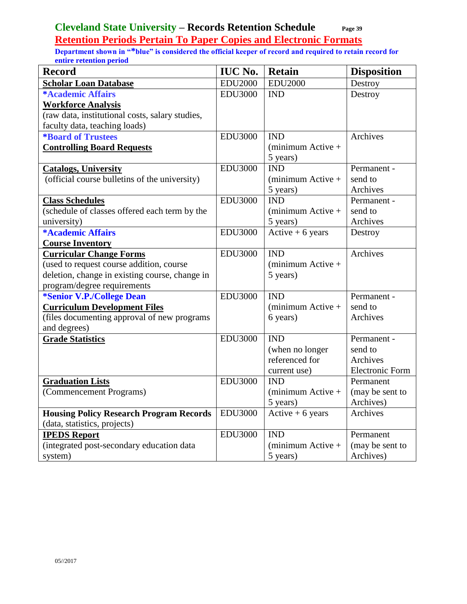**Retention Periods Pertain To Paper Copies and Electronic Formats** 

| <b>Record</b>                                   | <b>IUC No.</b> | <b>Retain</b>              | <b>Disposition</b>     |
|-------------------------------------------------|----------------|----------------------------|------------------------|
| <b>Scholar Loan Database</b>                    | <b>EDU2000</b> | <b>EDU2000</b>             | Destroy                |
| *Academic Affairs                               | <b>EDU3000</b> | <b>IND</b>                 | Destroy                |
| <b>Workforce Analysis</b>                       |                |                            |                        |
| (raw data, institutional costs, salary studies, |                |                            |                        |
| faculty data, teaching loads)                   |                |                            |                        |
| <b>*Board of Trustees</b>                       | <b>EDU3000</b> | <b>IND</b>                 | Archives               |
| <b>Controlling Board Requests</b>               |                | $(\text{minimum Active} +$ |                        |
|                                                 |                | 5 years)                   |                        |
| <b>Catalogs, University</b>                     | <b>EDU3000</b> | <b>IND</b>                 | Permanent -            |
| (official course bulletins of the university)   |                | $(minimum Active +$        | send to                |
|                                                 |                | 5 years)                   | Archives               |
| <b>Class Schedules</b>                          | <b>EDU3000</b> | <b>IND</b>                 | Permanent -            |
| (schedule of classes offered each term by the   |                | $(\text{minimum Active} +$ | send to                |
| university)                                     |                | 5 years)                   | Archives               |
| *Academic Affairs                               | <b>EDU3000</b> | Active $+6$ years          | Destroy                |
| <b>Course Inventory</b>                         |                |                            |                        |
| <b>Curricular Change Forms</b>                  | <b>EDU3000</b> | <b>IND</b>                 | Archives               |
| (used to request course addition, course        |                | $(minimum Active +$        |                        |
| deletion, change in existing course, change in  |                | 5 years)                   |                        |
| program/degree requirements                     |                |                            |                        |
| *Senior V.P./College Dean                       | <b>EDU3000</b> | <b>IND</b>                 | Permanent -            |
| <b>Curriculum Development Files</b>             |                | $(\text{minimum Active} +$ | send to                |
| (files documenting approval of new programs     |                | 6 years)                   | Archives               |
| and degrees)                                    |                |                            |                        |
| <b>Grade Statistics</b>                         | <b>EDU3000</b> | <b>IND</b>                 | Permanent -            |
|                                                 |                | (when no longer            | send to                |
|                                                 |                | referenced for             | Archives               |
|                                                 |                | current use)               | <b>Electronic Form</b> |
| <b>Graduation Lists</b>                         | <b>EDU3000</b> | <b>IND</b>                 | Permanent              |
| (Commencement Programs)                         |                | $(\text{minimum Active} +$ | (may be sent to        |
|                                                 |                | 5 years)                   | Archives)              |
| <b>Housing Policy Research Program Records</b>  | <b>EDU3000</b> | Active $+6$ years          | Archives               |
| (data, statistics, projects)                    |                |                            |                        |
| <b>IPEDS Report</b>                             | <b>EDU3000</b> | <b>IND</b>                 | Permanent              |
| (integrated post-secondary education data       |                | $(minimum Active +$        | (may be sent to        |
| system)                                         |                | 5 years)                   | Archives)              |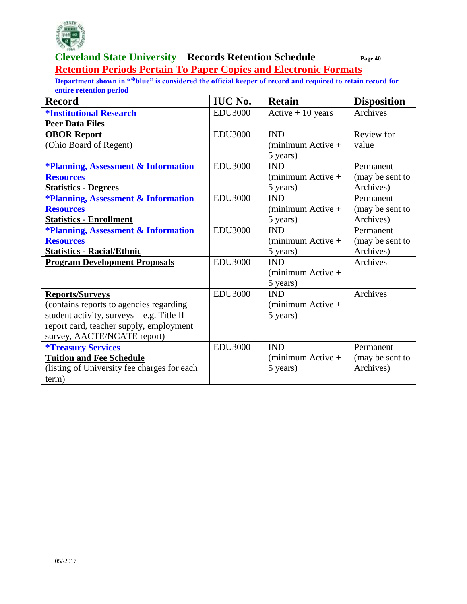

#### **Cleveland State University – Records Retention Schedule Page 40 Retention Periods Pertain To Paper Copies and Electronic Formats**

| <b>Record</b>                                  | <b>IUC No.</b> | <b>Retain</b>              | <b>Disposition</b> |
|------------------------------------------------|----------------|----------------------------|--------------------|
| <b><i><u>*Institutional Research</u></i></b>   | <b>EDU3000</b> | Active $+10$ years         | Archives           |
| <b>Peer Data Files</b>                         |                |                            |                    |
| <b>OBOR Report</b>                             | <b>EDU3000</b> | <b>IND</b>                 | Review for         |
| (Ohio Board of Regent)                         |                | $(minimum Active +$        | value              |
|                                                |                | 5 years)                   |                    |
| <b>*Planning, Assessment &amp; Information</b> | <b>EDU3000</b> | <b>IND</b>                 | Permanent          |
| <b>Resources</b>                               |                | $minimum$ Active +         | (may be sent to    |
| <b>Statistics - Degrees</b>                    |                | 5 years)                   | Archives)          |
| <b>*Planning, Assessment &amp; Information</b> | <b>EDU3000</b> | <b>IND</b>                 | Permanent          |
| <b>Resources</b>                               |                | $minimum$ Active +         | (may be sent to    |
| <b>Statistics - Enrollment</b>                 |                | 5 years)                   | Archives)          |
| <b>*Planning, Assessment &amp; Information</b> | <b>EDU3000</b> | <b>IND</b>                 | Permanent          |
| <b>Resources</b>                               |                | $minimum$ Active +         | (may be sent to    |
| <b>Statistics - Racial/Ethnic</b>              |                | 5 years)                   | Archives)          |
| <b>Program Development Proposals</b>           | <b>EDU3000</b> | <b>IND</b>                 | Archives           |
|                                                |                | (minimum Active +          |                    |
|                                                |                | 5 years)                   |                    |
| <b>Reports/Surveys</b>                         | <b>EDU3000</b> | <b>IND</b>                 | Archives           |
| (contains reports to agencies regarding        |                | (minimum Active +          |                    |
| student activity, surveys - e.g. Title II      |                | 5 years)                   |                    |
| report card, teacher supply, employment        |                |                            |                    |
| survey, AACTE/NCATE report)                    |                |                            |                    |
| <i><b>*Treasury Services</b></i>               | <b>EDU3000</b> | <b>IND</b>                 | Permanent          |
| <b>Tuition and Fee Schedule</b>                |                | $(\text{minimum Active} +$ | (may be sent to    |
| (listing of University fee charges for each)   |                | 5 years)                   | Archives)          |
| term)                                          |                |                            |                    |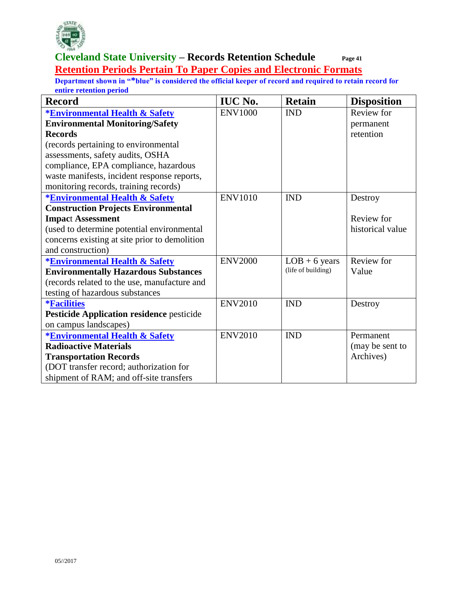

#### **Cleveland State University – Records Retention Schedule Page 41 Retention Periods Pertain To Paper Copies and Electronic Formats**

| <b>Record</b>                                    | <b>IUC No.</b> | <b>Retain</b>      | <b>Disposition</b> |
|--------------------------------------------------|----------------|--------------------|--------------------|
| <b>*Environmental Health &amp; Safety</b>        | <b>ENV1000</b> | <b>IND</b>         | Review for         |
| <b>Environmental Monitoring/Safety</b>           |                |                    | permanent          |
| <b>Records</b>                                   |                |                    | retention          |
| (records pertaining to environmental             |                |                    |                    |
| assessments, safety audits, OSHA                 |                |                    |                    |
| compliance, EPA compliance, hazardous            |                |                    |                    |
| waste manifests, incident response reports,      |                |                    |                    |
| monitoring records, training records)            |                |                    |                    |
| <b>*Environmental Health &amp; Safety</b>        | <b>ENV1010</b> | <b>IND</b>         | Destroy            |
| <b>Construction Projects Environmental</b>       |                |                    |                    |
| <b>Impact Assessment</b>                         |                |                    | Review for         |
| (used to determine potential environmental       |                |                    | historical value   |
| concerns existing at site prior to demolition    |                |                    |                    |
| and construction)                                |                |                    |                    |
| <b>*Environmental Health &amp; Safety</b>        | <b>ENV2000</b> | $LOB + 6$ years    | Review for         |
| <b>Environmentally Hazardous Substances</b>      |                | (life of building) | Value              |
| (records related to the use, manufacture and     |                |                    |                    |
| testing of hazardous substances                  |                |                    |                    |
| <i><b>*Facilities</b></i>                        | <b>ENV2010</b> | <b>IND</b>         | Destroy            |
| <b>Pesticide Application residence pesticide</b> |                |                    |                    |
| on campus landscapes)                            |                |                    |                    |
| <b>*Environmental Health &amp; Safety</b>        | <b>ENV2010</b> | <b>IND</b>         | Permanent          |
| <b>Radioactive Materials</b>                     |                |                    | (may be sent to    |
| <b>Transportation Records</b>                    |                |                    | Archives)          |
| (DOT transfer record; authorization for          |                |                    |                    |
| shipment of RAM; and off-site transfers          |                |                    |                    |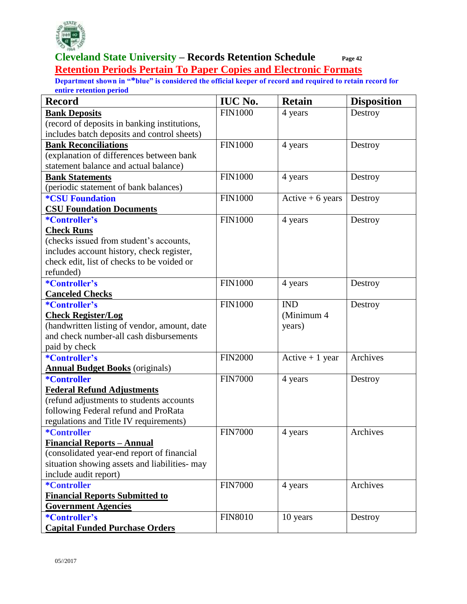

#### **Cleveland State University – Records Retention Schedule Page 42 Retention Periods Pertain To Paper Copies and Electronic Formats**

| <b>Record</b>                                 | <b>IUC No.</b> | <b>Retain</b>     | <b>Disposition</b> |
|-----------------------------------------------|----------------|-------------------|--------------------|
| <b>Bank Deposits</b>                          | <b>FIN1000</b> | 4 years           | Destroy            |
| (record of deposits in banking institutions,  |                |                   |                    |
| includes batch deposits and control sheets)   |                |                   |                    |
| <b>Bank Reconciliations</b>                   | <b>FIN1000</b> | 4 years           | Destroy            |
| (explanation of differences between bank      |                |                   |                    |
| statement balance and actual balance)         |                |                   |                    |
| <b>Bank Statements</b>                        | <b>FIN1000</b> | 4 years           | Destroy            |
| (periodic statement of bank balances)         |                |                   |                    |
| <b><i>*CSU Foundation</i></b>                 | <b>FIN1000</b> | Active $+6$ years | Destroy            |
| <b>CSU Foundation Documents</b>               |                |                   |                    |
| <i>*Controller's</i>                          | <b>FIN1000</b> | 4 years           | Destroy            |
| <b>Check Runs</b>                             |                |                   |                    |
| (checks issued from student's accounts,       |                |                   |                    |
| includes account history, check register,     |                |                   |                    |
| check edit, list of checks to be voided or    |                |                   |                    |
| refunded)                                     |                |                   |                    |
| *Controller's                                 | <b>FIN1000</b> | 4 years           | Destroy            |
| <b>Canceled Checks</b>                        |                |                   |                    |
| *Controller's                                 | <b>FIN1000</b> | <b>IND</b>        | Destroy            |
| <b>Check Register/Log</b>                     |                | (Minimum 4        |                    |
| (handwritten listing of vendor, amount, date  |                | years)            |                    |
| and check number-all cash disbursements       |                |                   |                    |
| paid by check                                 |                |                   |                    |
| *Controller's                                 | <b>FIN2000</b> | Active $+1$ year  | Archives           |
| <b>Annual Budget Books</b> (originals)        |                |                   |                    |
| *Controller                                   | <b>FIN7000</b> | 4 years           | Destroy            |
| <b>Federal Refund Adjustments</b>             |                |                   |                    |
| (refund adjustments to students accounts      |                |                   |                    |
| following Federal refund and ProRata          |                |                   |                    |
| regulations and Title IV requirements)        |                |                   |                    |
| *Controller                                   | <b>FIN7000</b> | 4 years           | Archives           |
| <b>Financial Reports - Annual</b>             |                |                   |                    |
| (consolidated year-end report of financial    |                |                   |                    |
| situation showing assets and liabilities- may |                |                   |                    |
| include audit report)                         |                |                   |                    |
| *Controller                                   | <b>FIN7000</b> | 4 years           | Archives           |
| <b>Financial Reports Submitted to</b>         |                |                   |                    |
| <b>Government Agencies</b>                    |                |                   |                    |
| <i>*Controller's</i>                          | <b>FIN8010</b> | 10 years          | Destroy            |
| <b>Capital Funded Purchase Orders</b>         |                |                   |                    |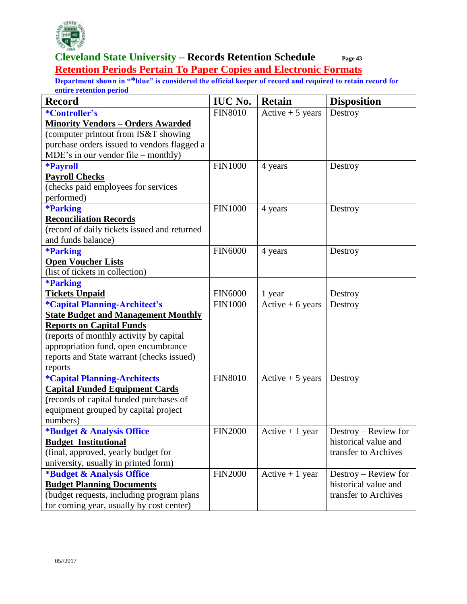

#### **Cleveland State University – Records Retention Schedule Page 43 Retention Periods Pertain To Paper Copies and Electronic Formats**

| <b>Record</b>                                | <b>IUC No.</b> | <b>Retain</b>     | <b>Disposition</b>   |
|----------------------------------------------|----------------|-------------------|----------------------|
| *Controller's                                | <b>FIN8010</b> | Active $+5$ years | Destroy              |
| <b>Minority Vendors - Orders Awarded</b>     |                |                   |                      |
| (computer printout from IS&T showing         |                |                   |                      |
| purchase orders issued to vendors flagged a  |                |                   |                      |
| MDE's in our vendor file – monthly)          |                |                   |                      |
| <b>*Payroll</b>                              | <b>FIN1000</b> | 4 years           | Destroy              |
| <b>Payroll Checks</b>                        |                |                   |                      |
| (checks paid employees for services          |                |                   |                      |
| performed)                                   |                |                   |                      |
| <b>*Parking</b>                              | <b>FIN1000</b> | 4 years           | Destroy              |
| <b>Reconciliation Records</b>                |                |                   |                      |
| (record of daily tickets issued and returned |                |                   |                      |
| and funds balance)                           |                |                   |                      |
| <b>*Parking</b>                              | <b>FIN6000</b> | 4 years           | Destroy              |
| <b>Open Voucher Lists</b>                    |                |                   |                      |
| (list of tickets in collection)              |                |                   |                      |
| <b>*Parking</b>                              |                |                   |                      |
| <b>Tickets Unpaid</b>                        | <b>FIN6000</b> | 1 year            | Destroy              |
| <i><b>*Capital Planning-Architect's</b></i>  | <b>FIN1000</b> | Active $+6$ years | Destroy              |
| <b>State Budget and Management Monthly</b>   |                |                   |                      |
| <b>Reports on Capital Funds</b>              |                |                   |                      |
| (reports of monthly activity by capital      |                |                   |                      |
| appropriation fund, open encumbrance         |                |                   |                      |
| reports and State warrant (checks issued)    |                |                   |                      |
| reports                                      |                |                   |                      |
| <i><b>*Capital Planning-Architects</b></i>   | <b>FIN8010</b> | Active $+5$ years | Destroy              |
| <b>Capital Funded Equipment Cards</b>        |                |                   |                      |
| (records of capital funded purchases of      |                |                   |                      |
| equipment grouped by capital project         |                |                   |                      |
| numbers)                                     |                |                   |                      |
| <b>*Budget &amp; Analysis Office</b>         | <b>FIN2000</b> | Active $+1$ year  | Destroy - Review for |
| <b>Budget Institutional</b>                  |                |                   | historical value and |
| (final, approved, yearly budget for          |                |                   | transfer to Archives |
| university, usually in printed form)         |                |                   |                      |
| *Budget & Analysis Office                    | <b>FIN2000</b> | Active $+1$ year  | Destroy – Review for |
| <b>Budget Planning Documents</b>             |                |                   | historical value and |
| (budget requests, including program plans    |                |                   | transfer to Archives |
| for coming year, usually by cost center)     |                |                   |                      |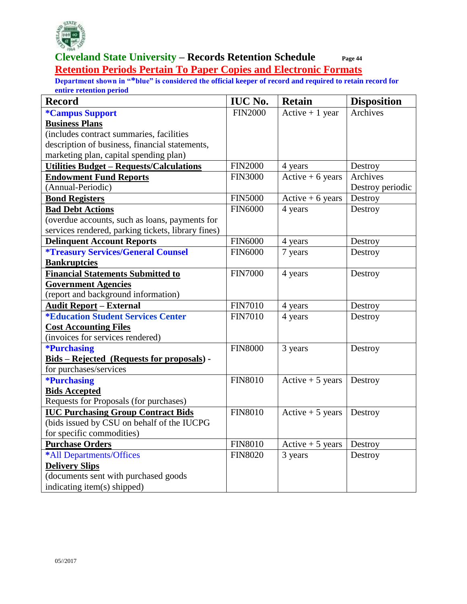

#### **Cleveland State University – Records Retention Schedule Page 44 Retention Periods Pertain To Paper Copies and Electronic Formats**

| <b>Record</b>                                      | <b>IUC No.</b> | <b>Retain</b>     | <b>Disposition</b> |
|----------------------------------------------------|----------------|-------------------|--------------------|
| <i><b>*Campus Support</b></i>                      | <b>FIN2000</b> | Active $+1$ year  | Archives           |
| <b>Business Plans</b>                              |                |                   |                    |
| (includes contract summaries, facilities           |                |                   |                    |
| description of business, financial statements,     |                |                   |                    |
| marketing plan, capital spending plan)             |                |                   |                    |
| <b>Utilities Budget - Requests/Calculations</b>    | FIN2000        | 4 years           | Destroy            |
| <b>Endowment Fund Reports</b>                      | <b>FIN3000</b> | Active $+6$ years | Archives           |
| (Annual-Periodic)                                  |                |                   | Destroy periodic   |
| <b>Bond Registers</b>                              | <b>FIN5000</b> | Active $+6$ years | Destroy            |
| <b>Bad Debt Actions</b>                            | <b>FIN6000</b> | 4 years           | Destroy            |
| (overdue accounts, such as loans, payments for     |                |                   |                    |
| services rendered, parking tickets, library fines) |                |                   |                    |
| <b>Delinquent Account Reports</b>                  | <b>FIN6000</b> | 4 years           | Destroy            |
| <i><b>*Treasury Services/General Counsel</b></i>   | <b>FIN6000</b> | 7 years           | Destroy            |
| <b>Bankruptcies</b>                                |                |                   |                    |
| <b>Financial Statements Submitted to</b>           | <b>FIN7000</b> | 4 years           | Destroy            |
| <b>Government Agencies</b>                         |                |                   |                    |
| (report and background information)                |                |                   |                    |
| <b>Audit Report - External</b>                     | <b>FIN7010</b> | 4 years           | Destroy            |
| <i><b>*Education Student Services Center</b></i>   | <b>FIN7010</b> | 4 years           | Destroy            |
| <b>Cost Accounting Files</b>                       |                |                   |                    |
| (invoices for services rendered)                   |                |                   |                    |
| <i><b>*Purchasing</b></i>                          | <b>FIN8000</b> | 3 years           | Destroy            |
| Bids - Rejected (Requests for proposals) -         |                |                   |                    |
| for purchases/services                             |                |                   |                    |
| *Purchasing                                        | <b>FIN8010</b> | Active $+5$ years | Destroy            |
| <b>Bids Accepted</b>                               |                |                   |                    |
| Requests for Proposals (for purchases)             |                |                   |                    |
| <b>IUC Purchasing Group Contract Bids</b>          | <b>FIN8010</b> | Active $+5$ years | Destroy            |
| (bids issued by CSU on behalf of the IUCPG         |                |                   |                    |
| for specific commodities)                          |                |                   |                    |
| <b>Purchase Orders</b>                             | <b>FIN8010</b> | Active $+5$ years | Destroy            |
| *All Departments/Offices                           | <b>FIN8020</b> | 3 years           | Destroy            |
| <b>Delivery Slips</b>                              |                |                   |                    |
| (documents sent with purchased goods               |                |                   |                    |
| indicating item(s) shipped)                        |                |                   |                    |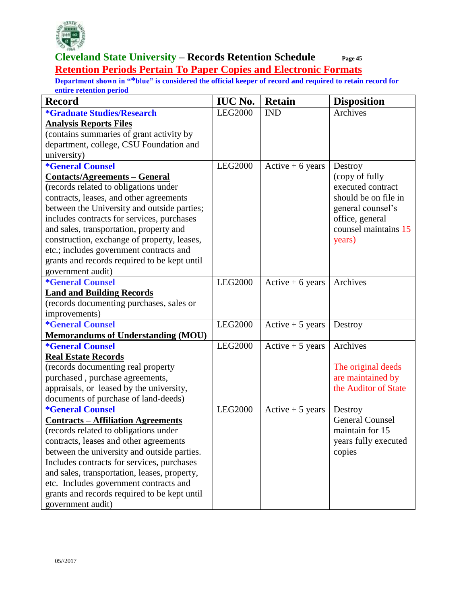

#### **Cleveland State University – Records Retention Schedule Page 45 Retention Periods Pertain To Paper Copies and Electronic Formats**

| <b>Record</b>                                | <b>IUC No.</b> | <b>Retain</b>     | <b>Disposition</b>     |
|----------------------------------------------|----------------|-------------------|------------------------|
| *Graduate Studies/Research                   | <b>LEG2000</b> | <b>IND</b>        | Archives               |
| <b>Analysis Reports Files</b>                |                |                   |                        |
| (contains summaries of grant activity by     |                |                   |                        |
| department, college, CSU Foundation and      |                |                   |                        |
| university)                                  |                |                   |                        |
| <i><b>*General Counsel</b></i>               | <b>LEG2000</b> | Active $+6$ years | Destroy                |
| <b>Contacts/Agreements – General</b>         |                |                   | (copy of fully         |
| (records related to obligations under        |                |                   | executed contract      |
| contracts, leases, and other agreements      |                |                   | should be on file in   |
| between the University and outside parties;  |                |                   | general counsel's      |
| includes contracts for services, purchases   |                |                   | office, general        |
| and sales, transportation, property and      |                |                   | counsel maintains 15   |
| construction, exchange of property, leases,  |                |                   | years)                 |
| etc.; includes government contracts and      |                |                   |                        |
| grants and records required to be kept until |                |                   |                        |
| government audit)                            |                |                   |                        |
| <i><b>*General Counsel</b></i>               | <b>LEG2000</b> | Active $+6$ years | Archives               |
| <b>Land and Building Records</b>             |                |                   |                        |
| (records documenting purchases, sales or     |                |                   |                        |
| improvements)                                |                |                   |                        |
| <i><b>*General Counsel</b></i>               | <b>LEG2000</b> | Active $+5$ years | Destroy                |
| <b>Memorandums of Understanding (MOU)</b>    |                |                   |                        |
| <i><b>*General Counsel</b></i>               | <b>LEG2000</b> | Active $+5$ years | Archives               |
| <b>Real Estate Records</b>                   |                |                   |                        |
| (records documenting real property           |                |                   | The original deeds     |
| purchased, purchase agreements,              |                |                   | are maintained by      |
| appraisals, or leased by the university,     |                |                   | the Auditor of State   |
| documents of purchase of land-deeds)         |                |                   |                        |
| <i><b>*General Counsel</b></i>               | <b>LEG2000</b> | Active $+5$ years | Destroy                |
| <b>Contracts - Affiliation Agreements</b>    |                |                   | <b>General Counsel</b> |
| (records related to obligations under        |                |                   | maintain for 15        |
| contracts, leases and other agreements       |                |                   | years fully executed   |
| between the university and outside parties.  |                |                   | copies                 |
| Includes contracts for services, purchases   |                |                   |                        |
| and sales, transportation, leases, property, |                |                   |                        |
| etc. Includes government contracts and       |                |                   |                        |
| grants and records required to be kept until |                |                   |                        |
| government audit)                            |                |                   |                        |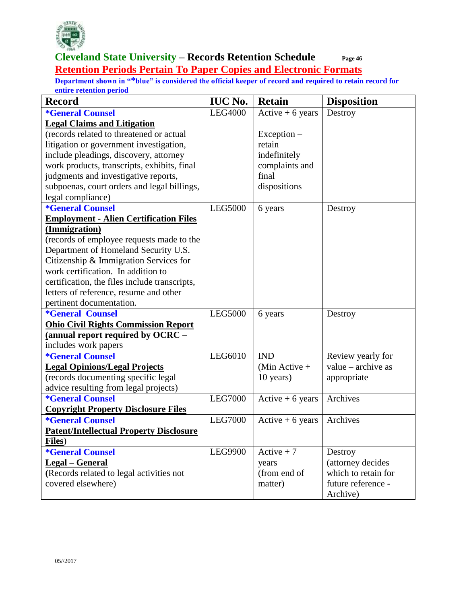

#### **Cleveland State University – Records Retention Schedule Page 46 Retention Periods Pertain To Paper Copies and Electronic Formats**

| <b>Record</b>                                  | <b>IUC No.</b> | <b>Retain</b>     | <b>Disposition</b>   |
|------------------------------------------------|----------------|-------------------|----------------------|
| <i><b>*General Counsel</b></i>                 | <b>LEG4000</b> | Active $+6$ years | Destroy              |
| <b>Legal Claims and Litigation</b>             |                |                   |                      |
| (records related to threatened or actual       |                | $Exception -$     |                      |
| litigation or government investigation,        |                | retain            |                      |
| include pleadings, discovery, attorney         |                | indefinitely      |                      |
| work products, transcripts, exhibits, final    |                | complaints and    |                      |
| judgments and investigative reports,           |                | final             |                      |
| subpoenas, court orders and legal billings,    |                | dispositions      |                      |
| legal compliance)                              |                |                   |                      |
| <i><b>*General Counsel</b></i>                 | <b>LEG5000</b> | 6 years           | Destroy              |
| <b>Employment - Alien Certification Files</b>  |                |                   |                      |
| (Immigration)                                  |                |                   |                      |
| (records of employee requests made to the      |                |                   |                      |
| Department of Homeland Security U.S.           |                |                   |                      |
| Citizenship & Immigration Services for         |                |                   |                      |
| work certification. In addition to             |                |                   |                      |
| certification, the files include transcripts,  |                |                   |                      |
| letters of reference, resume and other         |                |                   |                      |
| pertinent documentation.                       |                |                   |                      |
| <i><b>*General Counsel</b></i>                 | <b>LEG5000</b> | 6 years           | Destroy              |
| <b>Ohio Civil Rights Commission Report</b>     |                |                   |                      |
| (annual report required by OCRC -              |                |                   |                      |
| includes work papers                           |                |                   |                      |
| <i><b>*General Counsel</b></i>                 | LEG6010        | <b>IND</b>        | Review yearly for    |
| <b>Legal Opinions/Legal Projects</b>           |                | (Min Active $+$   | value $-$ archive as |
| (records documenting specific legal            |                | 10 years)         | appropriate          |
| advice resulting from legal projects)          |                |                   |                      |
| <i><b>*General Counsel</b></i>                 | <b>LEG7000</b> | Active $+6$ years | Archives             |
| <b>Copyright Property Disclosure Files</b>     |                |                   |                      |
| <i><b>*General Counsel</b></i>                 | <b>LEG7000</b> | Active $+6$ years | Archives             |
| <b>Patent/Intellectual Property Disclosure</b> |                |                   |                      |
| Files)                                         |                |                   |                      |
| <i><b>*General Counsel</b></i>                 | LEG9900        | Active $+7$       | Destroy              |
| <b>Legal</b> - General                         |                | years             | (attorney decides    |
| (Records related to legal activities not       |                | (from end of      | which to retain for  |
| covered elsewhere)                             |                | matter)           | future reference -   |
|                                                |                |                   | Archive)             |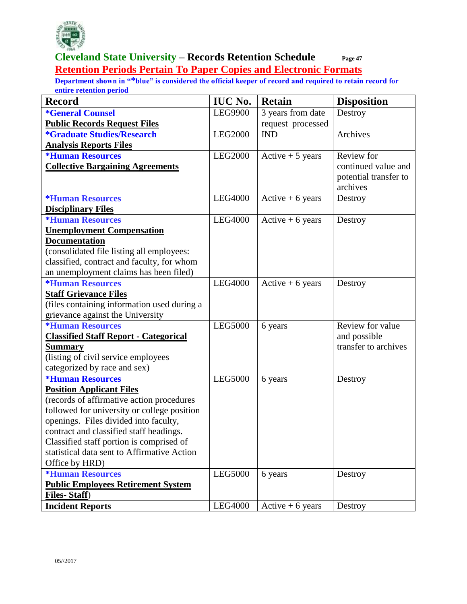

#### **Cleveland State University – Records Retention Schedule Page 47 Retention Periods Pertain To Paper Copies and Electronic Formats**

| <b>Record</b>                                                                        | <b>IUC No.</b> | <b>Retain</b>     | <b>Disposition</b>    |
|--------------------------------------------------------------------------------------|----------------|-------------------|-----------------------|
| <i><b>*General Counsel</b></i>                                                       | <b>LEG9900</b> | 3 years from date | Destroy               |
| <b>Public Records Request Files</b>                                                  |                | request processed |                       |
| <i><b>*Graduate Studies/Research</b></i>                                             | <b>LEG2000</b> | <b>IND</b>        | Archives              |
| <b>Analysis Reports Files</b>                                                        |                |                   |                       |
| <i><b>*Human Resources</b></i>                                                       | <b>LEG2000</b> | Active $+5$ years | Review for            |
| <b>Collective Bargaining Agreements</b>                                              |                |                   | continued value and   |
|                                                                                      |                |                   | potential transfer to |
|                                                                                      |                |                   | archives              |
| <i><b>*Human Resources</b></i>                                                       | <b>LEG4000</b> | Active $+6$ years | Destroy               |
| <b>Disciplinary Files</b>                                                            |                |                   |                       |
| <i><b>*Human Resources</b></i>                                                       | <b>LEG4000</b> | Active $+6$ years | Destroy               |
| <b>Unemployment Compensation</b>                                                     |                |                   |                       |
| <b>Documentation</b>                                                                 |                |                   |                       |
| (consolidated file listing all employees:                                            |                |                   |                       |
| classified, contract and faculty, for whom<br>an unemployment claims has been filed) |                |                   |                       |
| <i><b>*Human Resources</b></i>                                                       | <b>LEG4000</b> | Active $+6$ years | Destroy               |
| <b>Staff Grievance Files</b>                                                         |                |                   |                       |
| (files containing information used during a                                          |                |                   |                       |
| grievance against the University                                                     |                |                   |                       |
| <b>*Human Resources</b>                                                              | <b>LEG5000</b> | 6 years           | Review for value      |
| <b>Classified Staff Report - Categorical</b>                                         |                |                   | and possible          |
| <b>Summary</b>                                                                       |                |                   | transfer to archives  |
| (listing of civil service employees                                                  |                |                   |                       |
| categorized by race and sex)                                                         |                |                   |                       |
| <b>*Human Resources</b>                                                              | <b>LEG5000</b> | 6 years           | Destroy               |
| <b>Position Applicant Files</b>                                                      |                |                   |                       |
| (records of affirmative action procedures                                            |                |                   |                       |
| followed for university or college position                                          |                |                   |                       |
| openings. Files divided into faculty,                                                |                |                   |                       |
| contract and classified staff headings.                                              |                |                   |                       |
| Classified staff portion is comprised of                                             |                |                   |                       |
| statistical data sent to Affirmative Action                                          |                |                   |                       |
| Office by HRD)                                                                       |                |                   |                       |
| <i><b>*Human Resources</b></i>                                                       | <b>LEG5000</b> | 6 years           | Destroy               |
| <b>Public Employees Retirement System</b>                                            |                |                   |                       |
| <b>Files-Staff)</b>                                                                  |                |                   |                       |
| <b>Incident Reports</b>                                                              | LEG4000        | Active $+6$ years | Destroy               |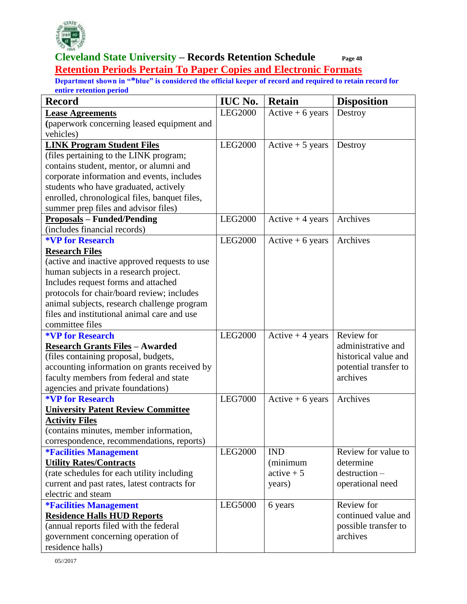

#### **Cleveland State University – Records Retention Schedule Page 48 Retention Periods Pertain To Paper Copies and Electronic Formats**

| <b>Record</b>                                                                  | <b>IUC No.</b> | <b>Retain</b>      | <b>Disposition</b>    |
|--------------------------------------------------------------------------------|----------------|--------------------|-----------------------|
| <b>Lease Agreements</b>                                                        | <b>LEG2000</b> | $Active + 6 years$ | Destroy               |
| (paperwork concerning leased equipment and                                     |                |                    |                       |
| vehicles)                                                                      |                |                    |                       |
| <b>LINK Program Student Files</b>                                              | <b>LEG2000</b> | Active $+5$ years  | Destroy               |
| (files pertaining to the LINK program;                                         |                |                    |                       |
| contains student, mentor, or alumni and                                        |                |                    |                       |
| corporate information and events, includes                                     |                |                    |                       |
| students who have graduated, actively                                          |                |                    |                       |
| enrolled, chronological files, banquet files,                                  |                |                    |                       |
| summer prep files and advisor files)                                           |                |                    |                       |
| <b>Proposals - Funded/Pending</b>                                              | <b>LEG2000</b> | Active $+4$ years  | Archives              |
| (includes financial records)                                                   |                |                    |                       |
| <b>*VP for Research</b>                                                        | <b>LEG2000</b> | Active $+6$ years  | Archives              |
| <b>Research Files</b>                                                          |                |                    |                       |
| (active and inactive approved requests to use                                  |                |                    |                       |
| human subjects in a research project.                                          |                |                    |                       |
| Includes request forms and attached                                            |                |                    |                       |
| protocols for chair/board review; includes                                     |                |                    |                       |
| animal subjects, research challenge program                                    |                |                    |                       |
| files and institutional animal care and use                                    |                |                    |                       |
| committee files<br><b>*VP for Research</b>                                     | <b>LEG2000</b> |                    | Review for            |
|                                                                                |                | Active $+4$ years  | administrative and    |
| <b>Research Grants Files - Awarded</b><br>(files containing proposal, budgets, |                |                    | historical value and  |
| accounting information on grants received by                                   |                |                    | potential transfer to |
| faculty members from federal and state                                         |                |                    | archives              |
| agencies and private foundations)                                              |                |                    |                       |
| <b>*VP for Research</b>                                                        | <b>LEG7000</b> | Active $+6$ years  | Archives              |
| <b>University Patent Review Committee</b>                                      |                |                    |                       |
| <b>Activity Files</b>                                                          |                |                    |                       |
| (contains minutes, member information,                                         |                |                    |                       |
| correspondence, recommendations, reports)                                      |                |                    |                       |
| <b><i>*Facilities Management</i></b>                                           | LEG2000        | <b>IND</b>         | Review for value to   |
| <b>Utility Rates/Contracts</b>                                                 |                | (minimum           | determine             |
| (rate schedules for each utility including                                     |                | $active + 5$       | $d$ estruction $-$    |
| current and past rates, latest contracts for                                   |                | years)             | operational need      |
| electric and steam                                                             |                |                    |                       |
| <i><b>*Facilities Management</b></i>                                           | LEG5000        | 6 years            | Review for            |
| <b>Residence Halls HUD Reports</b>                                             |                |                    | continued value and   |
| (annual reports filed with the federal                                         |                |                    | possible transfer to  |
| government concerning operation of                                             |                |                    | archives              |
| residence halls)                                                               |                |                    |                       |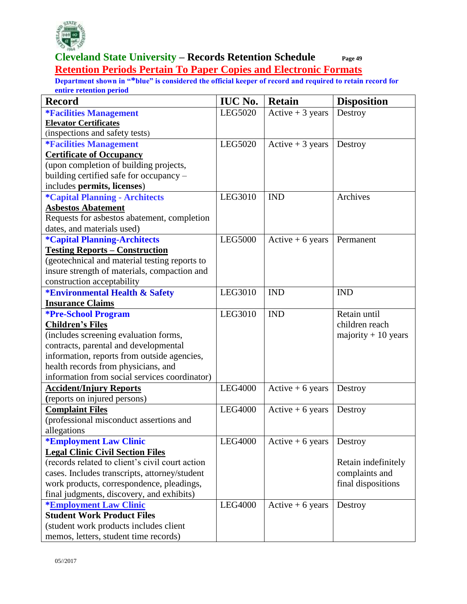

#### **Cleveland State University – Records Retention Schedule Page 49 Retention Periods Pertain To Paper Copies and Electronic Formats**

| <b>Record</b>                                   | <b>IUC No.</b> | <b>Retain</b>      | <b>Disposition</b>   |
|-------------------------------------------------|----------------|--------------------|----------------------|
| <b><i>*Facilities Management</i></b>            | LEG5020        | Active $+3$ years  | Destroy              |
| <b>Elevator Certificates</b>                    |                |                    |                      |
| (inspections and safety tests)                  |                |                    |                      |
| <b>*Facilities Management</b>                   | LEG5020        | Active $+3$ years  | Destroy              |
| <b>Certificate of Occupancy</b>                 |                |                    |                      |
| (upon completion of building projects,          |                |                    |                      |
| building certified safe for occupancy -         |                |                    |                      |
| includes permits, licenses)                     |                |                    |                      |
| <i><b>*Capital Planning - Architects</b></i>    | LEG3010        | <b>IND</b>         | Archives             |
| <b>Asbestos Abatement</b>                       |                |                    |                      |
| Requests for asbestos abatement, completion     |                |                    |                      |
| dates, and materials used)                      |                |                    |                      |
| *Capital Planning-Architects                    | <b>LEG5000</b> | Active $+6$ years  | Permanent            |
| <b>Testing Reports - Construction</b>           |                |                    |                      |
| (geotechnical and material testing reports to   |                |                    |                      |
| insure strength of materials, compaction and    |                |                    |                      |
| construction acceptability                      |                |                    |                      |
| *Environmental Health & Safety                  | LEG3010        | <b>IND</b>         | <b>IND</b>           |
| <b>Insurance Claims</b>                         |                |                    |                      |
| <b>*Pre-School Program</b>                      | LEG3010        | <b>IND</b>         | Retain until         |
| <b>Children's Files</b>                         |                |                    | children reach       |
| (includes screening evaluation forms,           |                |                    | majority $+10$ years |
| contracts, parental and developmental           |                |                    |                      |
| information, reports from outside agencies,     |                |                    |                      |
| health records from physicians, and             |                |                    |                      |
| information from social services coordinator)   |                |                    |                      |
| <b>Accident/Injury Reports</b>                  | <b>LEG4000</b> | $Active + 6 years$ | Destroy              |
| (reports on injured persons)                    |                |                    |                      |
| <b>Complaint Files</b>                          | <b>LEG4000</b> | Active $+6$ years  | Destroy              |
| (professional misconduct assertions and         |                |                    |                      |
| allegations                                     |                |                    |                      |
| <i><b>*Employment Law Clinic</b></i>            | <b>LEG4000</b> | $Active + 6 years$ | Destroy              |
| <b>Legal Clinic Civil Section Files</b>         |                |                    |                      |
| (records related to client's civil court action |                |                    | Retain indefinitely  |
| cases. Includes transcripts, attorney/student   |                |                    | complaints and       |
| work products, correspondence, pleadings,       |                |                    | final dispositions   |
| final judgments, discovery, and exhibits)       |                |                    |                      |
| <b>*Employment Law Clinic</b>                   | <b>LEG4000</b> | Active $+6$ years  | Destroy              |
| <b>Student Work Product Files</b>               |                |                    |                      |
| (student work products includes client          |                |                    |                      |
| memos, letters, student time records)           |                |                    |                      |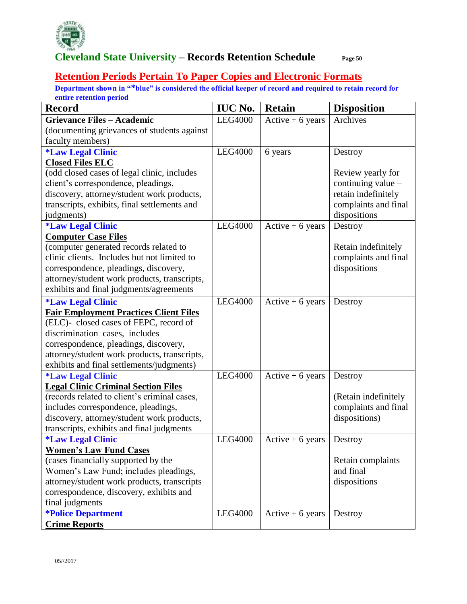

#### **Retention Periods Pertain To Paper Copies and Electronic Formats**

| <b>Record</b>                                 | <b>IUC No.</b> | <b>Retain</b>      | <b>Disposition</b>   |
|-----------------------------------------------|----------------|--------------------|----------------------|
| <b>Grievance Files - Academic</b>             | <b>LEG4000</b> | $Active + 6 years$ | Archives             |
| (documenting grievances of students against   |                |                    |                      |
| faculty members)                              |                |                    |                      |
| <i><b>*Law Legal Clinic</b></i>               | <b>LEG4000</b> | 6 years            | Destroy              |
| <b>Closed Files ELC</b>                       |                |                    |                      |
| (odd closed cases of legal clinic, includes   |                |                    | Review yearly for    |
| client's correspondence, pleadings,           |                |                    | continuing value -   |
| discovery, attorney/student work products,    |                |                    | retain indefinitely  |
| transcripts, exhibits, final settlements and  |                |                    | complaints and final |
| judgments)                                    |                |                    | dispositions         |
| <i><b>*Law Legal Clinic</b></i>               | <b>LEG4000</b> | Active $+6$ years  | Destroy              |
| <b>Computer Case Files</b>                    |                |                    |                      |
| (computer generated records related to        |                |                    | Retain indefinitely  |
| clinic clients. Includes but not limited to   |                |                    | complaints and final |
| correspondence, pleadings, discovery,         |                |                    | dispositions         |
| attorney/student work products, transcripts,  |                |                    |                      |
| exhibits and final judgments/agreements       |                |                    |                      |
| <i><b>*Law Legal Clinic</b></i>               | <b>LEG4000</b> | Active $+6$ years  | Destroy              |
| <b>Fair Employment Practices Client Files</b> |                |                    |                      |
| (ELC)- closed cases of FEPC, record of        |                |                    |                      |
| discrimination cases, includes                |                |                    |                      |
| correspondence, pleadings, discovery,         |                |                    |                      |
| attorney/student work products, transcripts,  |                |                    |                      |
| exhibits and final settlements/judgments)     |                |                    |                      |
| <i><b>*Law Legal Clinic</b></i>               | <b>LEG4000</b> | Active $+6$ years  | Destroy              |
| <b>Legal Clinic Criminal Section Files</b>    |                |                    |                      |
| (records related to client's criminal cases,  |                |                    | (Retain indefinitely |
| includes correspondence, pleadings,           |                |                    | complaints and final |
| discovery, attorney/student work products,    |                |                    | dispositions)        |
| transcripts, exhibits and final judgments     |                |                    |                      |
| <i><b>*Law Legal Clinic</b></i>               | <b>LEG4000</b> | Active $+6$ years  | Destroy              |
| <b>Women's Law Fund Cases</b>                 |                |                    |                      |
| (cases financially supported by the           |                |                    | Retain complaints    |
| Women's Law Fund; includes pleadings,         |                |                    | and final            |
| attorney/student work products, transcripts   |                |                    | dispositions         |
| correspondence, discovery, exhibits and       |                |                    |                      |
| final judgments                               |                |                    |                      |
| <b>*Police Department</b>                     | LEG4000        | Active $+6$ years  | Destroy              |
| <b>Crime Reports</b>                          |                |                    |                      |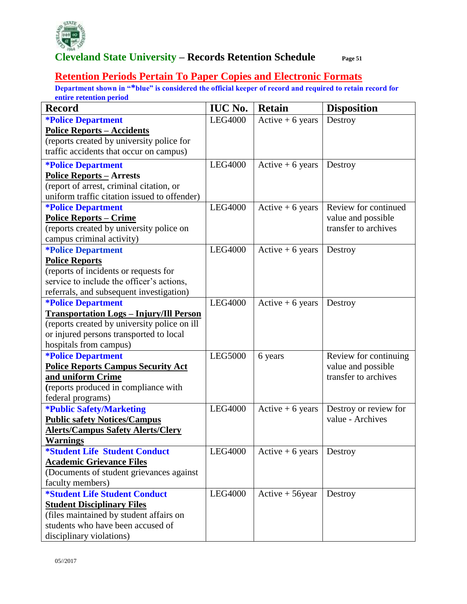

#### **Retention Periods Pertain To Paper Copies and Electronic Formats**

| <b>Record</b>                                  | <b>IUC No.</b> | <b>Retain</b>      | <b>Disposition</b>    |
|------------------------------------------------|----------------|--------------------|-----------------------|
| <i><b>*Police Department</b></i>               | <b>LEG4000</b> | Active $+6$ years  | Destroy               |
| <b>Police Reports - Accidents</b>              |                |                    |                       |
| (reports created by university police for      |                |                    |                       |
| traffic accidents that occur on campus)        |                |                    |                       |
| <i><b>*Police Department</b></i>               | <b>LEG4000</b> | Active $+6$ years  | Destroy               |
| <b>Police Reports - Arrests</b>                |                |                    |                       |
| (report of arrest, criminal citation, or       |                |                    |                       |
| uniform traffic citation issued to offender)   |                |                    |                       |
| <b>*Police Department</b>                      | LEG4000        | Active $+6$ years  | Review for continued  |
| <b>Police Reports - Crime</b>                  |                |                    | value and possible    |
| (reports created by university police on       |                |                    | transfer to archives  |
| campus criminal activity)                      |                |                    |                       |
| <i><b>*Police Department</b></i>               | <b>LEG4000</b> | Active $+6$ years  | Destroy               |
| <b>Police Reports</b>                          |                |                    |                       |
| (reports of incidents or requests for          |                |                    |                       |
| service to include the officer's actions,      |                |                    |                       |
| referrals, and subsequent investigation)       |                |                    |                       |
| <i><b>*Police Department</b></i>               | <b>LEG4000</b> | Active $+6$ years  | Destroy               |
| <b>Transportation Logs - Injury/Ill Person</b> |                |                    |                       |
| (reports created by university police on ill   |                |                    |                       |
| or injured persons transported to local        |                |                    |                       |
| hospitals from campus)                         |                |                    |                       |
| <b>*Police Department</b>                      | <b>LEG5000</b> | 6 years            | Review for continuing |
| <b>Police Reports Campus Security Act</b>      |                |                    | value and possible    |
| and uniform Crime                              |                |                    | transfer to archives  |
| (reports produced in compliance with           |                |                    |                       |
| federal programs)                              |                |                    |                       |
| <b>*Public Safety/Marketing</b>                | <b>LEG4000</b> | Active $+6$ years  | Destroy or review for |
| <b>Public safety Notices/Campus</b>            |                |                    | value - Archives      |
| <b>Alerts/Campus Safety Alerts/Clery</b>       |                |                    |                       |
| <b>Warnings</b>                                |                |                    |                       |
| <i><b>*Student Life Student Conduct</b></i>    | <b>LEG4000</b> | Active $+6$ years  | Destroy               |
| <b>Academic Grievance Files</b>                |                |                    |                       |
| (Documents of student grievances against       |                |                    |                       |
| faculty members)                               |                |                    |                       |
| <i><b>*Student Life Student Conduct</b></i>    | <b>LEG4000</b> | $Active + 56$ year | Destroy               |
| <b>Student Disciplinary Files</b>              |                |                    |                       |
| (files maintained by student affairs on        |                |                    |                       |
| students who have been accused of              |                |                    |                       |
| disciplinary violations)                       |                |                    |                       |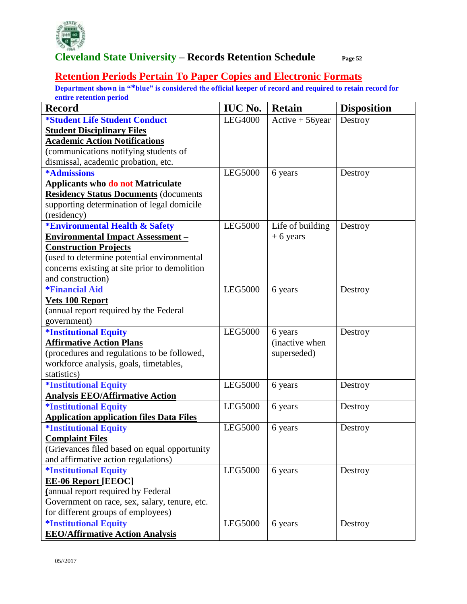

#### **Retention Periods Pertain To Paper Copies and Electronic Formats**

| <b>Record</b>                                   | <b>IUC No.</b> | <b>Retain</b>      | <b>Disposition</b> |
|-------------------------------------------------|----------------|--------------------|--------------------|
| <i><b>*Student Life Student Conduct</b></i>     | <b>LEG4000</b> | $Active + 56$ year | Destroy            |
| <b>Student Disciplinary Files</b>               |                |                    |                    |
| <b>Academic Action Notifications</b>            |                |                    |                    |
| (communications notifying students of           |                |                    |                    |
| dismissal, academic probation, etc.             |                |                    |                    |
| <b>*Admissions</b>                              | <b>LEG5000</b> | 6 years            | Destroy            |
| <b>Applicants who do not Matriculate</b>        |                |                    |                    |
| <b>Residency Status Documents (documents</b>    |                |                    |                    |
| supporting determination of legal domicile      |                |                    |                    |
| (residency)                                     |                |                    |                    |
| <b>*Environmental Health &amp; Safety</b>       | <b>LEG5000</b> | Life of building   | Destroy            |
| <b>Environmental Impact Assessment -</b>        |                | $+6$ years         |                    |
| <b>Construction Projects</b>                    |                |                    |                    |
| (used to determine potential environmental      |                |                    |                    |
| concerns existing at site prior to demolition   |                |                    |                    |
| and construction)                               |                |                    |                    |
| <i><b>*Financial Aid</b></i>                    | <b>LEG5000</b> | 6 years            | Destroy            |
| <b>Vets 100 Report</b>                          |                |                    |                    |
| (annual report required by the Federal          |                |                    |                    |
| government)                                     |                |                    |                    |
| <b>*Institutional Equity</b>                    | <b>LEG5000</b> | 6 years            | Destroy            |
| <b>Affirmative Action Plans</b>                 |                | (inactive when     |                    |
| (procedures and regulations to be followed,     |                | superseded)        |                    |
| workforce analysis, goals, timetables,          |                |                    |                    |
| statistics)                                     |                |                    |                    |
| <i><b>*Institutional Equity</b></i>             | <b>LEG5000</b> | 6 years            | Destroy            |
| <b>Analysis EEO/Affirmative Action</b>          |                |                    |                    |
| <i><b>*Institutional Equity</b></i>             | <b>LEG5000</b> | 6 years            | Destroy            |
| <b>Application application files Data Files</b> |                |                    |                    |
| <b>*Institutional Equity</b>                    | <b>LEG5000</b> | 6 years            | Destroy            |
| <b>Complaint Files</b>                          |                |                    |                    |
| (Grievances filed based on equal opportunity)   |                |                    |                    |
| and affirmative action regulations)             |                |                    |                    |
| <i><b>*Institutional Equity</b></i>             | <b>LEG5000</b> | 6 years            | Destroy            |
| <b>EE-06 Report [EEOC]</b>                      |                |                    |                    |
| (annual report required by Federal              |                |                    |                    |
| Government on race, sex, salary, tenure, etc.   |                |                    |                    |
| for different groups of employees)              |                |                    |                    |
| <i><b>*Institutional Equity</b></i>             | LEG5000        | 6 years            | Destroy            |
| <b>EEO/Affirmative Action Analysis</b>          |                |                    |                    |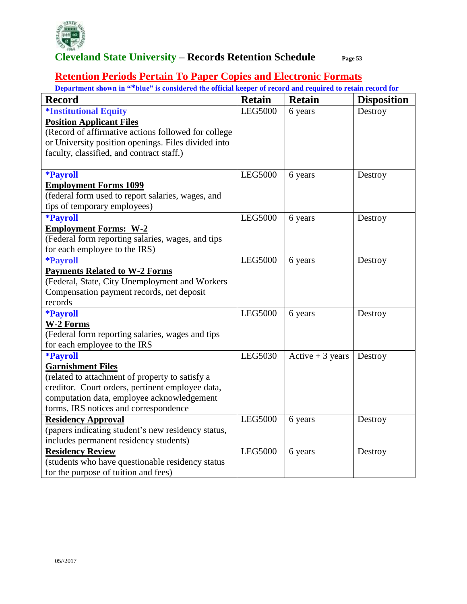

#### **Retention Periods Pertain To Paper Copies and Electronic Formats**

| <b>Record</b>                                       | <b>Retain</b>  | <b>Retain</b>     | <b>Disposition</b> |
|-----------------------------------------------------|----------------|-------------------|--------------------|
| <i><b>*Institutional Equity</b></i>                 | <b>LEG5000</b> | 6 years           | Destroy            |
| <b>Position Applicant Files</b>                     |                |                   |                    |
| (Record of affirmative actions followed for college |                |                   |                    |
| or University position openings. Files divided into |                |                   |                    |
| faculty, classified, and contract staff.)           |                |                   |                    |
|                                                     |                |                   |                    |
| <b>*Payroll</b>                                     | <b>LEG5000</b> | 6 years           | Destroy            |
| <b>Employment Forms 1099</b>                        |                |                   |                    |
| (federal form used to report salaries, wages, and   |                |                   |                    |
| tips of temporary employees)                        |                |                   |                    |
| <b>*Payroll</b>                                     | <b>LEG5000</b> | 6 years           | Destroy            |
| <b>Employment Forms: W-2</b>                        |                |                   |                    |
| (Federal form reporting salaries, wages, and tips   |                |                   |                    |
| for each employee to the IRS)                       |                |                   |                    |
| <b>*Payroll</b>                                     | <b>LEG5000</b> | 6 years           | Destroy            |
| <b>Payments Related to W-2 Forms</b>                |                |                   |                    |
| (Federal, State, City Unemployment and Workers      |                |                   |                    |
| Compensation payment records, net deposit           |                |                   |                    |
| records                                             |                |                   |                    |
| <b>*Payroll</b>                                     | <b>LEG5000</b> | 6 years           | Destroy            |
| <b>W-2 Forms</b>                                    |                |                   |                    |
| (Federal form reporting salaries, wages and tips    |                |                   |                    |
| for each employee to the IRS                        |                |                   |                    |
| <b>*Payroll</b>                                     | LEG5030        | Active $+3$ years | Destroy            |
| <b>Garnishment Files</b>                            |                |                   |                    |
| (related to attachment of property to satisfy a     |                |                   |                    |
| creditor. Court orders, pertinent employee data,    |                |                   |                    |
| computation data, employee acknowledgement          |                |                   |                    |
| forms, IRS notices and correspondence               |                |                   |                    |
| <b>Residency Approval</b>                           | <b>LEG5000</b> | 6 years           | Destroy            |
| (papers indicating student's new residency status,  |                |                   |                    |
| includes permanent residency students)              |                |                   |                    |
| <b>Residency Review</b>                             | <b>LEG5000</b> | 6 years           | Destroy            |
| (students who have questionable residency status    |                |                   |                    |
| for the purpose of tuition and fees)                |                |                   |                    |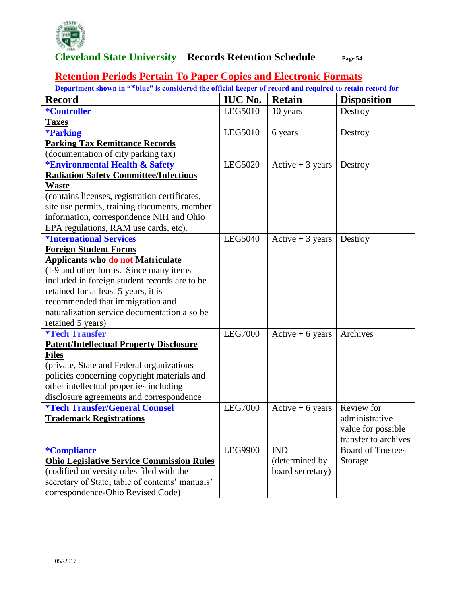

#### **Retention Periods Pertain To Paper Copies and Electronic Formats**

| <b>Record</b>                                    | <b>IUC No.</b> | <b>Retain</b>     | <b>Disposition</b>       |
|--------------------------------------------------|----------------|-------------------|--------------------------|
| *Controller                                      | LEG5010        | 10 years          | Destroy                  |
| <b>Taxes</b>                                     |                |                   |                          |
| <b>*Parking</b>                                  | LEG5010        | 6 years           | Destroy                  |
| <b>Parking Tax Remittance Records</b>            |                |                   |                          |
| (documentation of city parking tax)              |                |                   |                          |
| <b>*Environmental Health &amp; Safety</b>        | LEG5020        | Active $+3$ years | Destroy                  |
| <b>Radiation Safety Committee/Infectious</b>     |                |                   |                          |
| <b>Waste</b>                                     |                |                   |                          |
| (contains licenses, registration certificates,   |                |                   |                          |
| site use permits, training documents, member     |                |                   |                          |
| information, correspondence NIH and Ohio         |                |                   |                          |
| EPA regulations, RAM use cards, etc).            |                |                   |                          |
| <i><b>*International Services</b></i>            | LEG5040        | Active $+3$ years | Destroy                  |
| <u>Foreign Student Forms</u> -                   |                |                   |                          |
| <b>Applicants who do not Matriculate</b>         |                |                   |                          |
| (I-9 and other forms. Since many items           |                |                   |                          |
| included in foreign student records are to be    |                |                   |                          |
| retained for at least 5 years, it is             |                |                   |                          |
| recommended that immigration and                 |                |                   |                          |
| naturalization service documentation also be     |                |                   |                          |
| retained 5 years)                                |                |                   |                          |
| <b>*Tech Transfer</b>                            | <b>LEG7000</b> | Active $+6$ years | Archives                 |
| <b>Patent/Intellectual Property Disclosure</b>   |                |                   |                          |
| <b>Files</b>                                     |                |                   |                          |
| (private, State and Federal organizations)       |                |                   |                          |
| policies concerning copyright materials and      |                |                   |                          |
| other intellectual properties including          |                |                   |                          |
| disclosure agreements and correspondence         |                |                   |                          |
| <i><b>*Tech Transfer/General Counsel</b></i>     | <b>LEG7000</b> | Active $+6$ years | Review for               |
| <b>Trademark Registrations</b>                   |                |                   | administrative           |
|                                                  |                |                   | value for possible       |
|                                                  |                |                   | transfer to archives     |
| <i><b>*Compliance</b></i>                        | LEG9900        | <b>IND</b>        | <b>Board of Trustees</b> |
| <b>Ohio Legislative Service Commission Rules</b> |                | (determined by    | Storage                  |
| (codified university rules filed with the        |                | board secretary)  |                          |
| secretary of State; table of contents' manuals'  |                |                   |                          |
| correspondence-Ohio Revised Code)                |                |                   |                          |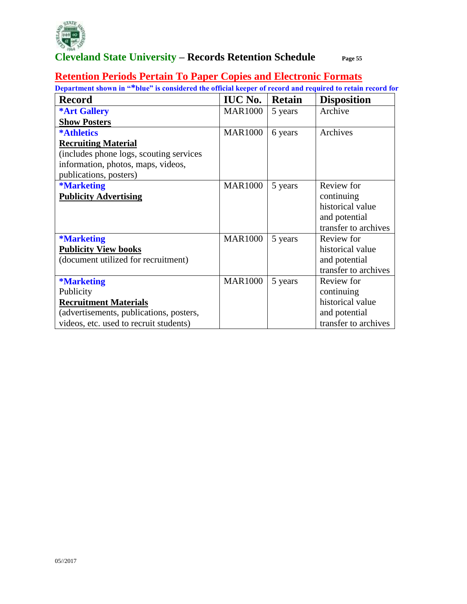

#### **Retention Periods Pertain To Paper Copies and Electronic Formats**

| Department shown in "*blue" is considered the official keeper of record and required to retain record for |                |               |                      |  |  |
|-----------------------------------------------------------------------------------------------------------|----------------|---------------|----------------------|--|--|
| <b>Record</b>                                                                                             | <b>IUC No.</b> | <b>Retain</b> | <b>Disposition</b>   |  |  |
| <b>*Art Gallery</b>                                                                                       | <b>MAR1000</b> | 5 years       | Archive              |  |  |
| <b>Show Posters</b>                                                                                       |                |               |                      |  |  |
| <b>*Athletics</b>                                                                                         | <b>MAR1000</b> | 6 years       | Archives             |  |  |
| <b>Recruiting Material</b>                                                                                |                |               |                      |  |  |
| (includes phone logs, scouting services)                                                                  |                |               |                      |  |  |
| information, photos, maps, videos,                                                                        |                |               |                      |  |  |
| publications, posters)                                                                                    |                |               |                      |  |  |
| <b>*Marketing</b>                                                                                         | <b>MAR1000</b> | 5 years       | Review for           |  |  |
| <b>Publicity Advertising</b>                                                                              |                |               | continuing           |  |  |
|                                                                                                           |                |               | historical value     |  |  |
|                                                                                                           |                |               | and potential        |  |  |
|                                                                                                           |                |               | transfer to archives |  |  |
| <b>*Marketing</b>                                                                                         | <b>MAR1000</b> | 5 years       | Review for           |  |  |
| <b>Publicity View books</b>                                                                               |                |               | historical value     |  |  |
| (document utilized for recruitment)                                                                       |                |               | and potential        |  |  |
|                                                                                                           |                |               | transfer to archives |  |  |
| <b>*Marketing</b>                                                                                         | <b>MAR1000</b> | 5 years       | Review for           |  |  |
| Publicity                                                                                                 |                |               | continuing           |  |  |
| <b>Recruitment Materials</b>                                                                              |                |               | historical value     |  |  |
| (advertisements, publications, posters,                                                                   |                |               | and potential        |  |  |
| videos, etc. used to recruit students)                                                                    |                |               | transfer to archives |  |  |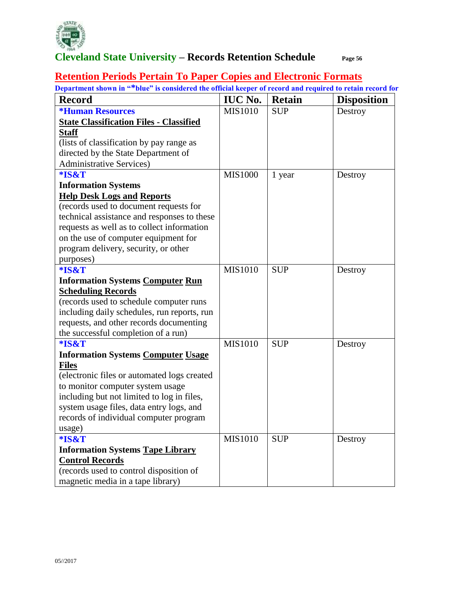

# **Retention Periods Pertain To Paper Copies and Electronic Formats**

| Department shown in "*blue" is considered the official keeper of record and required to retain record for |                |               |                    |
|-----------------------------------------------------------------------------------------------------------|----------------|---------------|--------------------|
| <b>Record</b>                                                                                             | <b>IUC No.</b> | <b>Retain</b> | <b>Disposition</b> |
| <b>*Human Resources</b>                                                                                   | <b>MIS1010</b> | <b>SUP</b>    | Destroy            |
| <b>State Classification Files - Classified</b>                                                            |                |               |                    |
| <b>Staff</b>                                                                                              |                |               |                    |
| (lists of classification by pay range as                                                                  |                |               |                    |
| directed by the State Department of                                                                       |                |               |                    |
| <b>Administrative Services</b> )                                                                          |                |               |                    |
| *IS&T                                                                                                     | <b>MIS1000</b> | 1 year        | Destroy            |
| <b>Information Systems</b>                                                                                |                |               |                    |
| <b>Help Desk Logs and Reports</b>                                                                         |                |               |                    |
| (records used to document requests for                                                                    |                |               |                    |
| technical assistance and responses to these                                                               |                |               |                    |
| requests as well as to collect information                                                                |                |               |                    |
| on the use of computer equipment for                                                                      |                |               |                    |
| program delivery, security, or other                                                                      |                |               |                    |
| purposes)                                                                                                 |                |               |                    |
| *IS&T                                                                                                     | <b>MIS1010</b> | <b>SUP</b>    | Destroy            |
| <b>Information Systems Computer Run</b>                                                                   |                |               |                    |
| <b>Scheduling Records</b>                                                                                 |                |               |                    |
| (records used to schedule computer runs                                                                   |                |               |                    |
| including daily schedules, run reports, run                                                               |                |               |                    |
| requests, and other records documenting                                                                   |                |               |                    |
| the successful completion of a run)                                                                       |                |               |                    |
| *IS&T                                                                                                     | <b>MIS1010</b> | <b>SUP</b>    | Destroy            |
| <b>Information Systems Computer Usage</b>                                                                 |                |               |                    |
| <b>Files</b>                                                                                              |                |               |                    |
| (electronic files or automated logs created                                                               |                |               |                    |
| to monitor computer system usage                                                                          |                |               |                    |
| including but not limited to log in files,                                                                |                |               |                    |
| system usage files, data entry logs, and                                                                  |                |               |                    |
| records of individual computer program                                                                    |                |               |                    |
| usage)                                                                                                    |                |               |                    |
| *IS&T                                                                                                     | <b>MIS1010</b> | <b>SUP</b>    | Destroy            |
| <b>Information Systems Tape Library</b>                                                                   |                |               |                    |
| <b>Control Records</b>                                                                                    |                |               |                    |
| (records used to control disposition of                                                                   |                |               |                    |
| magnetic media in a tape library)                                                                         |                |               |                    |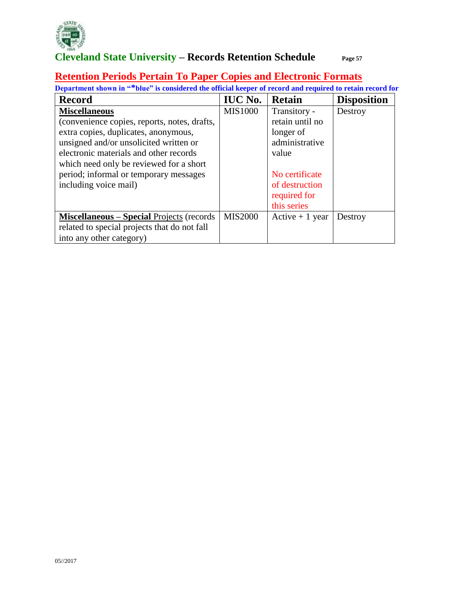

#### **Retention Periods Pertain To Paper Copies and Electronic Formats**

| <b>Record</b>                                     | <b>IUC No.</b> | <b>Retain</b>    | <b>Disposition</b> |
|---------------------------------------------------|----------------|------------------|--------------------|
| <b>Miscellaneous</b>                              | <b>MIS1000</b> | Transitory -     | Destroy            |
| (convenience copies, reports, notes, drafts,      |                | retain until no  |                    |
| extra copies, duplicates, anonymous,              |                | longer of        |                    |
| unsigned and/or unsolicited written or            |                | administrative   |                    |
| electronic materials and other records            |                | value            |                    |
| which need only be reviewed for a short           |                |                  |                    |
| period; informal or temporary messages            |                | No certificate   |                    |
| including voice mail)                             |                | of destruction   |                    |
|                                                   |                | required for     |                    |
|                                                   |                | this series      |                    |
| <b>Miscellaneous - Special Projects (records)</b> | <b>MIS2000</b> | Active $+1$ year | Destroy            |
| related to special projects that do not fall      |                |                  |                    |
| into any other category)                          |                |                  |                    |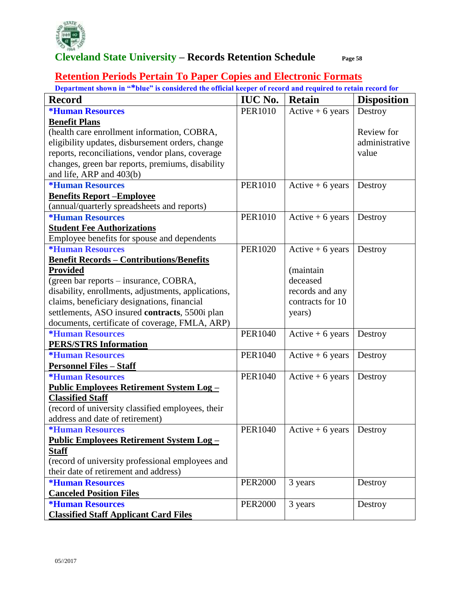

#### **Retention Periods Pertain To Paper Copies and Electronic Formats**

| осрагинент моми ш<br><u>but is considered the official Keeper of record and required to retain record for</u><br><b>Record</b> | <b>IUC No.</b> | <b>Retain</b>     | <b>Disposition</b> |
|--------------------------------------------------------------------------------------------------------------------------------|----------------|-------------------|--------------------|
| <i><b>*Human Resources</b></i>                                                                                                 | <b>PER1010</b> | Active $+6$ years | Destroy            |
| <b>Benefit Plans</b>                                                                                                           |                |                   |                    |
| (health care enrollment information, COBRA,                                                                                    |                |                   | Review for         |
| eligibility updates, disbursement orders, change                                                                               |                |                   | administrative     |
| reports, reconciliations, vendor plans, coverage                                                                               |                |                   | value              |
| changes, green bar reports, premiums, disability                                                                               |                |                   |                    |
| and life, ARP and 403(b)                                                                                                       |                |                   |                    |
| <i><b>*Human Resources</b></i>                                                                                                 | <b>PER1010</b> | Active $+6$ years | Destroy            |
| <b>Benefits Report-Employee</b>                                                                                                |                |                   |                    |
| (annual/quarterly spreadsheets and reports)                                                                                    |                |                   |                    |
| <i><b>*Human Resources</b></i>                                                                                                 | <b>PER1010</b> | Active $+6$ years | Destroy            |
| <b>Student Fee Authorizations</b>                                                                                              |                |                   |                    |
| Employee benefits for spouse and dependents                                                                                    |                |                   |                    |
| <i><b>*Human Resources</b></i>                                                                                                 | <b>PER1020</b> | Active $+6$ years | Destroy            |
| <b>Benefit Records - Contributions/Benefits</b>                                                                                |                |                   |                    |
| <b>Provided</b>                                                                                                                |                | (maintain         |                    |
| (green bar reports – insurance, COBRA,                                                                                         |                | deceased          |                    |
| disability, enrollments, adjustments, applications,                                                                            |                | records and any   |                    |
| claims, beneficiary designations, financial                                                                                    |                | contracts for 10  |                    |
| settlements, ASO insured contracts, 5500i plan                                                                                 |                | years)            |                    |
| documents, certificate of coverage, FMLA, ARP)                                                                                 |                |                   |                    |
| <i><b>*Human Resources</b></i>                                                                                                 | <b>PER1040</b> | Active $+6$ years | Destroy            |
| <b>PERS/STRS Information</b>                                                                                                   |                |                   |                    |
| <i><b>*Human Resources</b></i>                                                                                                 | <b>PER1040</b> | Active $+6$ years | Destroy            |
| <b>Personnel Files - Staff</b>                                                                                                 |                |                   |                    |
| <i><b>*Human Resources</b></i>                                                                                                 | <b>PER1040</b> | Active $+6$ years | Destroy            |
| <u> Public Employees Retirement System Log-</u>                                                                                |                |                   |                    |
| <b>Classified Staff</b>                                                                                                        |                |                   |                    |
| (record of university classified employees, their                                                                              |                |                   |                    |
| address and date of retirement)                                                                                                |                |                   |                    |
| <b>*Human Resources</b>                                                                                                        | <b>PER1040</b> | Active $+6$ years | Destroy            |
| <u> Public Employees Retirement System Log-</u>                                                                                |                |                   |                    |
| <b>Staff</b>                                                                                                                   |                |                   |                    |
| (record of university professional employees and                                                                               |                |                   |                    |
| their date of retirement and address)                                                                                          |                |                   |                    |
| <i><b>*Human Resources</b></i>                                                                                                 | <b>PER2000</b> | 3 years           | Destroy            |
| <b>Canceled Position Files</b>                                                                                                 |                |                   |                    |
| <i><b>*Human Resources</b></i>                                                                                                 | <b>PER2000</b> | 3 years           | Destroy            |
| <b>Classified Staff Applicant Card Files</b>                                                                                   |                |                   |                    |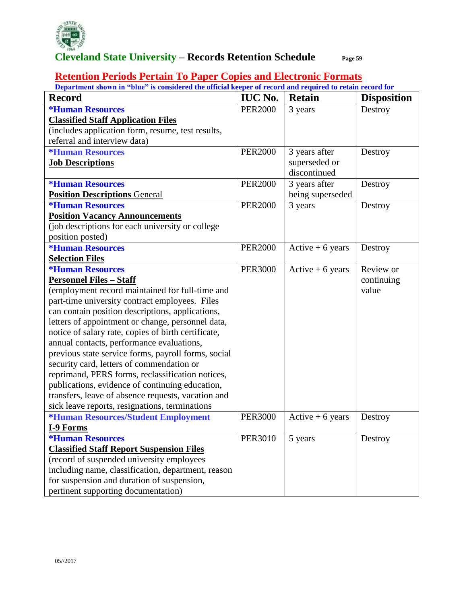

#### **Retention Periods Pertain To Paper Copies and Electronic Formats**

| Department shown in "blue" is considered the official Keeper of record and required to retain record for<br><b>Record</b> | <b>IUC No.</b> | <b>Retain</b>     | <b>Disposition</b> |
|---------------------------------------------------------------------------------------------------------------------------|----------------|-------------------|--------------------|
| <i><b>*Human Resources</b></i>                                                                                            | <b>PER2000</b> | 3 years           | Destroy            |
| <b>Classified Staff Application Files</b>                                                                                 |                |                   |                    |
| (includes application form, resume, test results,                                                                         |                |                   |                    |
| referral and interview data)                                                                                              |                |                   |                    |
| <i><b>*Human Resources</b></i>                                                                                            | <b>PER2000</b> | 3 years after     | Destroy            |
| <b>Job Descriptions</b>                                                                                                   |                | superseded or     |                    |
|                                                                                                                           |                | discontinued      |                    |
| <i><b>*Human Resources</b></i>                                                                                            | <b>PER2000</b> | 3 years after     | Destroy            |
| <b>Position Descriptions General</b>                                                                                      |                | being superseded  |                    |
| <i><b>*Human Resources</b></i>                                                                                            | <b>PER2000</b> | 3 years           | Destroy            |
| <b>Position Vacancy Announcements</b>                                                                                     |                |                   |                    |
| (job descriptions for each university or college                                                                          |                |                   |                    |
| position posted)                                                                                                          |                |                   |                    |
| <i><b>*Human Resources</b></i>                                                                                            | <b>PER2000</b> | Active $+6$ years | Destroy            |
| <b>Selection Files</b>                                                                                                    |                |                   |                    |
| <i><b>*Human Resources</b></i>                                                                                            | <b>PER3000</b> | Active $+6$ years | Review or          |
| <b>Personnel Files - Staff</b>                                                                                            |                |                   | continuing         |
| (employment record maintained for full-time and                                                                           |                |                   | value              |
| part-time university contract employees. Files                                                                            |                |                   |                    |
| can contain position descriptions, applications,                                                                          |                |                   |                    |
| letters of appointment or change, personnel data,                                                                         |                |                   |                    |
| notice of salary rate, copies of birth certificate,                                                                       |                |                   |                    |
| annual contacts, performance evaluations,                                                                                 |                |                   |                    |
| previous state service forms, payroll forms, social                                                                       |                |                   |                    |
| security card, letters of commendation or                                                                                 |                |                   |                    |
| reprimand, PERS forms, reclassification notices,                                                                          |                |                   |                    |
| publications, evidence of continuing education,                                                                           |                |                   |                    |
| transfers, leave of absence requests, vacation and                                                                        |                |                   |                    |
| sick leave reports, resignations, terminations                                                                            |                |                   |                    |
| *Human Resources/Student Employment                                                                                       | <b>PER3000</b> | Active $+6$ years | Destroy            |
| <b>I-9 Forms</b>                                                                                                          |                |                   |                    |
| <b>*Human Resources</b>                                                                                                   | <b>PER3010</b> | 5 years           | Destroy            |
| <b>Classified Staff Report Suspension Files</b>                                                                           |                |                   |                    |
| (record of suspended university employees                                                                                 |                |                   |                    |
| including name, classification, department, reason                                                                        |                |                   |                    |
| for suspension and duration of suspension,                                                                                |                |                   |                    |
| pertinent supporting documentation)                                                                                       |                |                   |                    |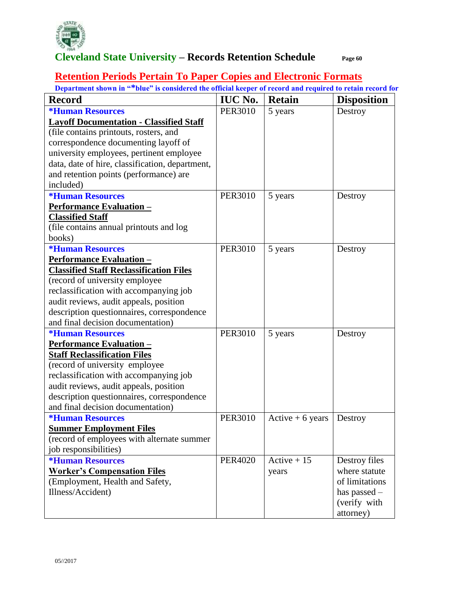

#### **Retention Periods Pertain To Paper Copies and Electronic Formats**

**Department shown in "\*blue" is considered the official keeper of record and required to retain record for Record IUC No. Retain Disposition \*Human Resources Layoff Documentation - Classified Staff** (file contains printouts, rosters, and correspondence documenting layoff of university employees, pertinent employee data, date of hire, classification, department, and retention points (performance) are included) PER3010 5 years Destroy **\*Human Resources Performance Evaluation – Classified Staff**  (file contains annual printouts and log books) PER3010 5 years Destroy **\*Human Resources Performance Evaluation – Classified Staff Reclassification Files**  (record of university employee reclassification with accompanying job audit reviews, audit appeals, position description questionnaires, correspondence and final decision documentation) PER3010 5 years Destroy **\*Human Resources Performance Evaluation – Staff Reclassification Files**  (record of university employee reclassification with accompanying job audit reviews, audit appeals, position description questionnaires, correspondence and final decision documentation) PER3010 5 years Destroy **\*Human Resources Summer Employment Files**  (record of employees with alternate summer job responsibilities) PER3010 Active + 6 years Destroy **\*Human Resources Worker's Compensation Files** (Employment, Health and Safety, Illness/Accident) PER4020 | Active + 15 years Destroy files where statute of limitations has passed – (verify with attorney)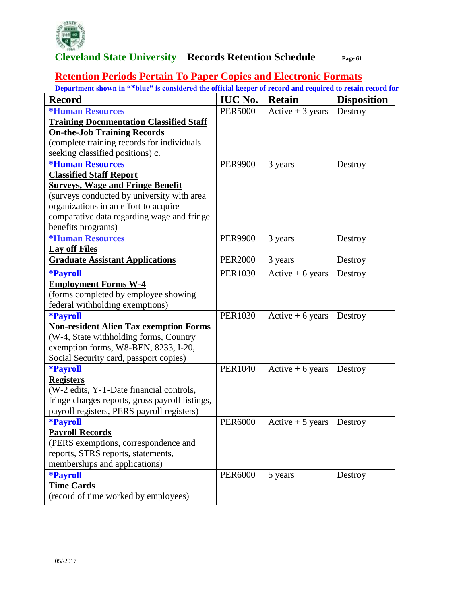

#### **Retention Periods Pertain To Paper Copies and Electronic Formats**

| <b>Record</b>                                   | <b>IUC No.</b> | <b>Retain</b>     | <b>Disposition</b> |
|-------------------------------------------------|----------------|-------------------|--------------------|
| <i><b>*Human Resources</b></i>                  | <b>PER5000</b> | Active $+3$ years | Destroy            |
| <b>Training Documentation Classified Staff</b>  |                |                   |                    |
| <b>On-the-Job Training Records</b>              |                |                   |                    |
| (complete training records for individuals      |                |                   |                    |
| seeking classified positions) c.                |                |                   |                    |
| <i><b>*Human Resources</b></i>                  | <b>PER9900</b> | 3 years           | Destroy            |
| <b>Classified Staff Report</b>                  |                |                   |                    |
| <b>Surveys, Wage and Fringe Benefit</b>         |                |                   |                    |
| (surveys conducted by university with area      |                |                   |                    |
| organizations in an effort to acquire           |                |                   |                    |
| comparative data regarding wage and fringe      |                |                   |                    |
| benefits programs)                              |                |                   |                    |
| <i><b>*Human Resources</b></i>                  | <b>PER9900</b> | 3 years           | Destroy            |
| <b>Lay off Files</b>                            |                |                   |                    |
| <b>Graduate Assistant Applications</b>          | <b>PER2000</b> | 3 years           | Destroy            |
| <i><b>*Payroll</b></i>                          | <b>PER1030</b> | Active $+6$ years | Destroy            |
| <b>Employment Forms W-4</b>                     |                |                   |                    |
| (forms completed by employee showing            |                |                   |                    |
| federal withholding exemptions)                 |                |                   |                    |
| *Payroll                                        | <b>PER1030</b> | Active $+6$ years | Destroy            |
| <b>Non-resident Alien Tax exemption Forms</b>   |                |                   |                    |
| (W-4, State withholding forms, Country          |                |                   |                    |
| exemption forms, W8-BEN, 8233, I-20,            |                |                   |                    |
| Social Security card, passport copies)          |                |                   |                    |
| <i><b>*Payroll</b></i>                          | <b>PER1040</b> | Active $+6$ years | Destroy            |
| <b>Registers</b>                                |                |                   |                    |
| (W-2 edits, Y-T-Date financial controls,        |                |                   |                    |
| fringe charges reports, gross payroll listings, |                |                   |                    |
| payroll registers, PERS payroll registers)      |                |                   |                    |
| <i><b>*Payroll</b></i>                          | <b>PER6000</b> | Active $+5$ years | Destroy            |
| <b>Payroll Records</b>                          |                |                   |                    |
| (PERS exemptions, correspondence and            |                |                   |                    |
| reports, STRS reports, statements,              |                |                   |                    |
| memberships and applications)                   | <b>PER6000</b> |                   |                    |
| <i><b>*Payroll</b></i>                          |                | 5 years           | Destroy            |
| <b>Time Cards</b>                               |                |                   |                    |
| (record of time worked by employees)            |                |                   |                    |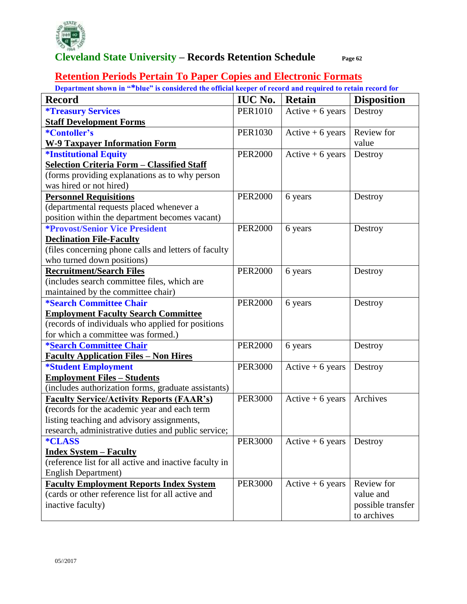

#### **Retention Periods Pertain To Paper Copies and Electronic Formats**

| <b>Record</b>                                          | <b>IUC No.</b> | <b>Retain</b>     | <b>Disposition</b> |
|--------------------------------------------------------|----------------|-------------------|--------------------|
| <i><b>*Treasury Services</b></i>                       | <b>PER1010</b> | Active $+6$ years | Destroy            |
| <b>Staff Development Forms</b>                         |                |                   |                    |
| *Contoller's                                           | <b>PER1030</b> | Active $+6$ years | Review for         |
| <b>W-9 Taxpayer Information Form</b>                   |                |                   | value              |
| <i><b>*Institutional Equity</b></i>                    | <b>PER2000</b> | Active $+6$ years | Destroy            |
| <b>Selection Criteria Form - Classified Staff</b>      |                |                   |                    |
| (forms providing explanations as to why person         |                |                   |                    |
| was hired or not hired)                                |                |                   |                    |
| <b>Personnel Requisitions</b>                          | <b>PER2000</b> | 6 years           | Destroy            |
| (departmental requests placed whenever a               |                |                   |                    |
| position within the department becomes vacant)         |                |                   |                    |
| <i><b>*Provost/Senior Vice President</b></i>           | <b>PER2000</b> | 6 years           | Destroy            |
| <b>Declination File-Faculty</b>                        |                |                   |                    |
| (files concerning phone calls and letters of faculty   |                |                   |                    |
| who turned down positions)                             |                |                   |                    |
| <b>Recruitment/Search Files</b>                        | <b>PER2000</b> | 6 years           | Destroy            |
| (includes search committee files, which are            |                |                   |                    |
| maintained by the committee chair)                     |                |                   |                    |
| <i><b>*Search Committee Chair</b></i>                  | <b>PER2000</b> | 6 years           | Destroy            |
| <b>Employment Faculty Search Committee</b>             |                |                   |                    |
| (records of individuals who applied for positions      |                |                   |                    |
| for which a committee was formed.)                     |                |                   |                    |
| *Search Committee Chair                                | <b>PER2000</b> | 6 years           | Destroy            |
| <b>Faculty Application Files - Non Hires</b>           |                |                   |                    |
| <i><b>*Student Employment</b></i>                      | <b>PER3000</b> | Active $+6$ years | Destroy            |
| <b>Employment Files - Students</b>                     |                |                   |                    |
| (includes authorization forms, graduate assistants)    |                |                   |                    |
| <b>Faculty Service/Activity Reports (FAAR's)</b>       | <b>PER3000</b> | Active $+6$ years | Archives           |
| (records for the academic year and each term           |                |                   |                    |
| listing teaching and advisory assignments,             |                |                   |                    |
| research, administrative duties and public service;    |                |                   |                    |
| <i><b>*CLASS</b></i>                                   | <b>PER3000</b> | Active $+6$ years | Destroy            |
| <u><b>Index System – Faculty</b></u>                   |                |                   |                    |
| (reference list for all active and inactive faculty in |                |                   |                    |
| <b>English Department)</b>                             |                |                   |                    |
| <b>Faculty Employment Reports Index System</b>         | <b>PER3000</b> | Active $+6$ years | Review for         |
| (cards or other reference list for all active and      |                |                   | value and          |
| inactive faculty)                                      |                |                   | possible transfer  |
|                                                        |                |                   | to archives        |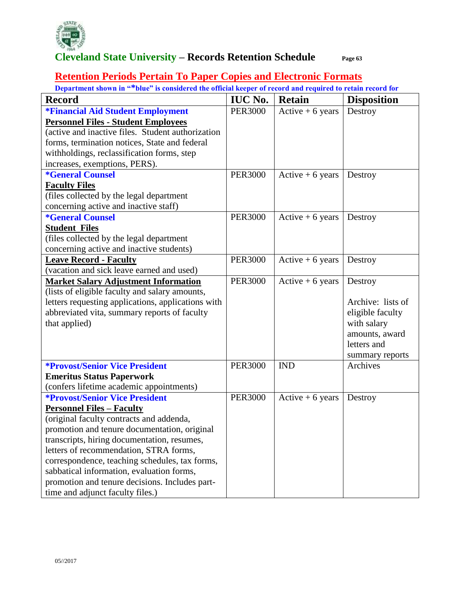

#### **Retention Periods Pertain To Paper Copies and Electronic Formats**

| <b>Record</b>                                      | <b>IUC No.</b> | <b>Retain</b>      | <b>Disposition</b> |
|----------------------------------------------------|----------------|--------------------|--------------------|
| *Financial Aid Student Employment                  | <b>PER3000</b> | $Active + 6 years$ | Destroy            |
| <b>Personnel Files - Student Employees</b>         |                |                    |                    |
| (active and inactive files. Student authorization  |                |                    |                    |
| forms, termination notices, State and federal      |                |                    |                    |
| withholdings, reclassification forms, step         |                |                    |                    |
| increases, exemptions, PERS).                      |                |                    |                    |
| <i><b>*General Counsel</b></i>                     | <b>PER3000</b> | Active $+6$ years  | Destroy            |
| <b>Faculty Files</b>                               |                |                    |                    |
| (files collected by the legal department           |                |                    |                    |
| concerning active and inactive staff)              |                |                    |                    |
| <i><b>*General Counsel</b></i>                     | <b>PER3000</b> | Active $+6$ years  | Destroy            |
| <b>Student Files</b>                               |                |                    |                    |
| (files collected by the legal department           |                |                    |                    |
| concerning active and inactive students)           |                |                    |                    |
| <b>Leave Record - Faculty</b>                      | <b>PER3000</b> | Active $+6$ years  | Destroy            |
| (vacation and sick leave earned and used)          |                |                    |                    |
| <b>Market Salary Adjustment Information</b>        | <b>PER3000</b> | Active $+6$ years  | Destroy            |
| (lists of eligible faculty and salary amounts,     |                |                    |                    |
| letters requesting applications, applications with |                |                    | Archive: lists of  |
| abbreviated vita, summary reports of faculty       |                |                    | eligible faculty   |
| that applied)                                      |                |                    | with salary        |
|                                                    |                |                    | amounts, award     |
|                                                    |                |                    | letters and        |
|                                                    |                |                    | summary reports    |
| <b>*Provost/Senior Vice President</b>              | <b>PER3000</b> | <b>IND</b>         | Archives           |
| <b>Emeritus Status Paperwork</b>                   |                |                    |                    |
| (confers lifetime academic appointments)           |                |                    |                    |
| <b>*Provost/Senior Vice President</b>              | <b>PER3000</b> | Active $+6$ years  | Destroy            |
| <b>Personnel Files - Faculty</b>                   |                |                    |                    |
| (original faculty contracts and addenda,           |                |                    |                    |
| promotion and tenure documentation, original       |                |                    |                    |
| transcripts, hiring documentation, resumes,        |                |                    |                    |
| letters of recommendation, STRA forms,             |                |                    |                    |
| correspondence, teaching schedules, tax forms,     |                |                    |                    |
| sabbatical information, evaluation forms,          |                |                    |                    |
| promotion and tenure decisions. Includes part-     |                |                    |                    |
| time and adjunct faculty files.)                   |                |                    |                    |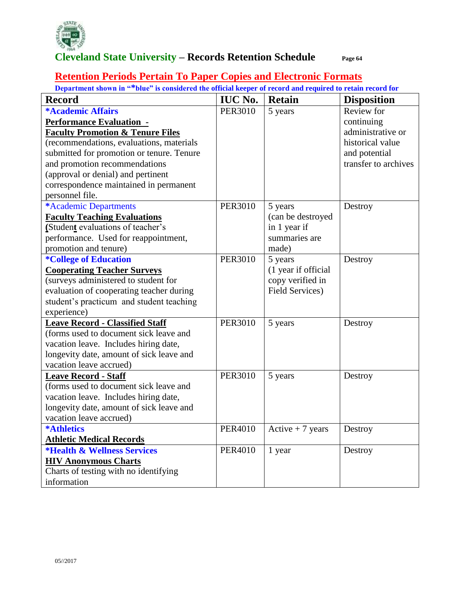

#### **Retention Periods Pertain To Paper Copies and Electronic Formats**

| Department shown in "*blue" is considered the official keeper of record and required to retain record for |                |                        |                      |  |
|-----------------------------------------------------------------------------------------------------------|----------------|------------------------|----------------------|--|
| <b>Record</b>                                                                                             | <b>IUC No.</b> | <b>Retain</b>          | <b>Disposition</b>   |  |
| <b>*Academic Affairs</b>                                                                                  | <b>PER3010</b> | 5 years                | Review for           |  |
| <b>Performance Evaluation -</b>                                                                           |                |                        | continuing           |  |
| <b>Faculty Promotion &amp; Tenure Files</b>                                                               |                |                        | administrative or    |  |
| (recommendations, evaluations, materials                                                                  |                |                        | historical value     |  |
| submitted for promotion or tenure. Tenure                                                                 |                |                        | and potential        |  |
| and promotion recommendations                                                                             |                |                        | transfer to archives |  |
| (approval or denial) and pertinent                                                                        |                |                        |                      |  |
| correspondence maintained in permanent                                                                    |                |                        |                      |  |
| personnel file.                                                                                           |                |                        |                      |  |
| *Academic Departments                                                                                     | <b>PER3010</b> | 5 years                | Destroy              |  |
| <b>Faculty Teaching Evaluations</b>                                                                       |                | (can be destroyed      |                      |  |
| (Student evaluations of teacher's                                                                         |                | in 1 year if           |                      |  |
| performance. Used for reappointment,                                                                      |                | summaries are          |                      |  |
| promotion and tenure)                                                                                     |                | made)                  |                      |  |
| <i><b>*College of Education</b></i>                                                                       | <b>PER3010</b> | 5 years                | Destroy              |  |
| <b>Cooperating Teacher Surveys</b>                                                                        |                | (1 year if official    |                      |  |
| (surveys administered to student for                                                                      |                | copy verified in       |                      |  |
| evaluation of cooperating teacher during                                                                  |                | <b>Field Services)</b> |                      |  |
| student's practicum and student teaching                                                                  |                |                        |                      |  |
| experience)                                                                                               |                |                        |                      |  |
| <b>Leave Record - Classified Staff</b>                                                                    | <b>PER3010</b> | 5 years                | Destroy              |  |
| (forms used to document sick leave and                                                                    |                |                        |                      |  |
| vacation leave. Includes hiring date,                                                                     |                |                        |                      |  |
| longevity date, amount of sick leave and                                                                  |                |                        |                      |  |
| vacation leave accrued)                                                                                   |                |                        |                      |  |
| <b>Leave Record - Staff</b>                                                                               | <b>PER3010</b> | 5 years                | Destroy              |  |
| (forms used to document sick leave and                                                                    |                |                        |                      |  |
| vacation leave. Includes hiring date,                                                                     |                |                        |                      |  |
| longevity date, amount of sick leave and                                                                  |                |                        |                      |  |
| vacation leave accrued)                                                                                   |                |                        |                      |  |
| <b>*Athletics</b>                                                                                         | PER4010        | Active $+7$ years      | Destroy              |  |
| <b>Athletic Medical Records</b>                                                                           |                |                        |                      |  |
| <b>*Health &amp; Wellness Services</b>                                                                    | <b>PER4010</b> | 1 year                 | Destroy              |  |
| <b>HIV Anonymous Charts</b>                                                                               |                |                        |                      |  |
| Charts of testing with no identifying                                                                     |                |                        |                      |  |
| information                                                                                               |                |                        |                      |  |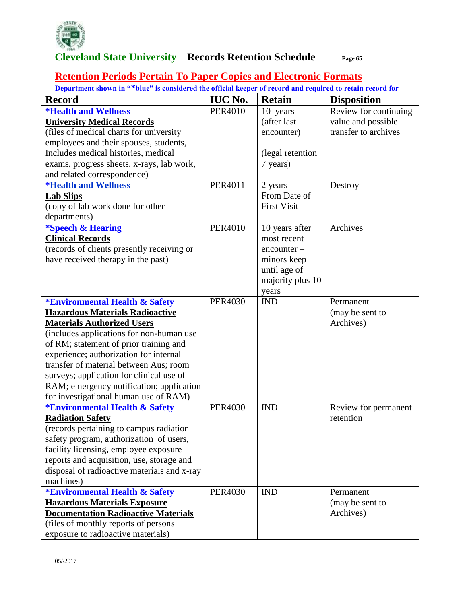

### **Retention Periods Pertain To Paper Copies and Electronic Formats**

|  | Department shown in "*blue" is considered the official keeper of record and required to retain record for |
|--|-----------------------------------------------------------------------------------------------------------|
|  |                                                                                                           |

|                                             |                |                    | <u>blue as considered the official neeper of record and required to retain record for</u> |
|---------------------------------------------|----------------|--------------------|-------------------------------------------------------------------------------------------|
| <b>Record</b>                               | <b>IUC No.</b> | <b>Retain</b>      | <b>Disposition</b>                                                                        |
| <i><b>*Health and Wellness</b></i>          | <b>PER4010</b> | 10 years           | Review for continuing                                                                     |
| <b>University Medical Records</b>           |                | (after last        | value and possible                                                                        |
| (files of medical charts for university     |                | encounter)         | transfer to archives                                                                      |
| employees and their spouses, students,      |                |                    |                                                                                           |
| Includes medical histories, medical         |                | (legal retention   |                                                                                           |
| exams, progress sheets, x-rays, lab work,   |                | 7 years)           |                                                                                           |
| and related correspondence)                 |                |                    |                                                                                           |
| <i><b>*Health and Wellness</b></i>          | <b>PER4011</b> | 2 years            | Destroy                                                                                   |
| <b>Lab Slips</b>                            |                | From Date of       |                                                                                           |
| (copy of lab work done for other            |                | <b>First Visit</b> |                                                                                           |
| departments)                                |                |                    |                                                                                           |
| <i><b>*Speech &amp; Hearing</b></i>         | <b>PER4010</b> | 10 years after     | Archives                                                                                  |
| <b>Clinical Records</b>                     |                | most recent        |                                                                                           |
| (records of clients presently receiving or  |                | $encounter -$      |                                                                                           |
| have received therapy in the past)          |                | minors keep        |                                                                                           |
|                                             |                | until age of       |                                                                                           |
|                                             |                | majority plus 10   |                                                                                           |
|                                             |                | years              |                                                                                           |
| <b>*Environmental Health &amp; Safety</b>   | <b>PER4030</b> | <b>IND</b>         | Permanent                                                                                 |
| <b>Hazardous Materials Radioactive</b>      |                |                    | (may be sent to                                                                           |
| <b>Materials Authorized Users</b>           |                |                    | Archives)                                                                                 |
| (includes applications for non-human use    |                |                    |                                                                                           |
| of RM; statement of prior training and      |                |                    |                                                                                           |
| experience; authorization for internal      |                |                    |                                                                                           |
| transfer of material between Aus; room      |                |                    |                                                                                           |
| surveys; application for clinical use of    |                |                    |                                                                                           |
| RAM; emergency notification; application    |                |                    |                                                                                           |
| for investigational human use of RAM)       |                |                    |                                                                                           |
| <b>*Environmental Health &amp; Safety</b>   | <b>PER4030</b> | <b>IND</b>         | Review for permanent                                                                      |
| <b>Radiation Safety</b>                     |                |                    | retention                                                                                 |
| (records pertaining to campus radiation     |                |                    |                                                                                           |
| safety program, authorization of users,     |                |                    |                                                                                           |
| facility licensing, employee exposure       |                |                    |                                                                                           |
| reports and acquisition, use, storage and   |                |                    |                                                                                           |
| disposal of radioactive materials and x-ray |                |                    |                                                                                           |
| machines)                                   |                |                    |                                                                                           |
| <b>*Environmental Health &amp; Safety</b>   | <b>PER4030</b> | <b>IND</b>         | Permanent                                                                                 |
| <b>Hazardous Materials Exposure</b>         |                |                    | (may be sent to                                                                           |
| <b>Documentation Radioactive Materials</b>  |                |                    | Archives)                                                                                 |
| (files of monthly reports of persons        |                |                    |                                                                                           |
| exposure to radioactive materials)          |                |                    |                                                                                           |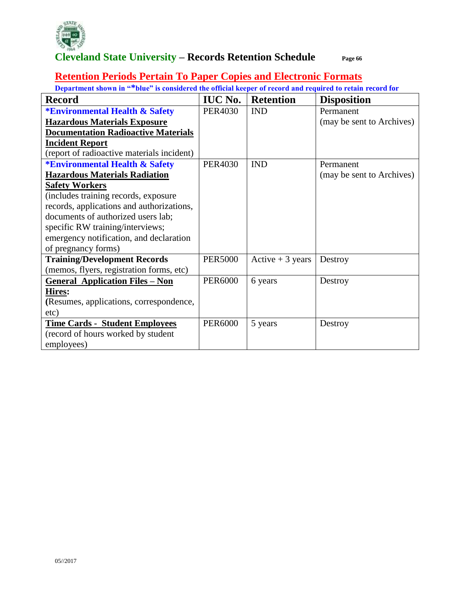

#### **Retention Periods Pertain To Paper Copies and Electronic Formats**

| <b>Record</b>                              | <b>IUC No.</b> | <b>Retention</b>  | <b>Disposition</b>        |
|--------------------------------------------|----------------|-------------------|---------------------------|
| <b>*Environmental Health &amp; Safety</b>  | <b>PER4030</b> | <b>IND</b>        | Permanent                 |
| <b>Hazardous Materials Exposure</b>        |                |                   | (may be sent to Archives) |
| <b>Documentation Radioactive Materials</b> |                |                   |                           |
| <b>Incident Report</b>                     |                |                   |                           |
| (report of radioactive materials incident) |                |                   |                           |
| <b>*Environmental Health &amp; Safety</b>  | <b>PER4030</b> | <b>IND</b>        | Permanent                 |
| <b>Hazardous Materials Radiation</b>       |                |                   | (may be sent to Archives) |
| <b>Safety Workers</b>                      |                |                   |                           |
| (includes training records, exposure       |                |                   |                           |
| records, applications and authorizations,  |                |                   |                           |
| documents of authorized users lab;         |                |                   |                           |
| specific RW training/interviews;           |                |                   |                           |
| emergency notification, and declaration    |                |                   |                           |
| of pregnancy forms)                        |                |                   |                           |
| <b>Training/Development Records</b>        | <b>PER5000</b> | Active $+3$ years | Destroy                   |
| (memos, flyers, registration forms, etc)   |                |                   |                           |
| <b>General Application Files - Non</b>     | <b>PER6000</b> | 6 years           | Destroy                   |
| Hires:                                     |                |                   |                           |
| (Resumes, applications, correspondence,    |                |                   |                           |
| etc)                                       |                |                   |                           |
| <b>Time Cards - Student Employees</b>      | <b>PER6000</b> | 5 years           | Destroy                   |
| (record of hours worked by student         |                |                   |                           |
| employees)                                 |                |                   |                           |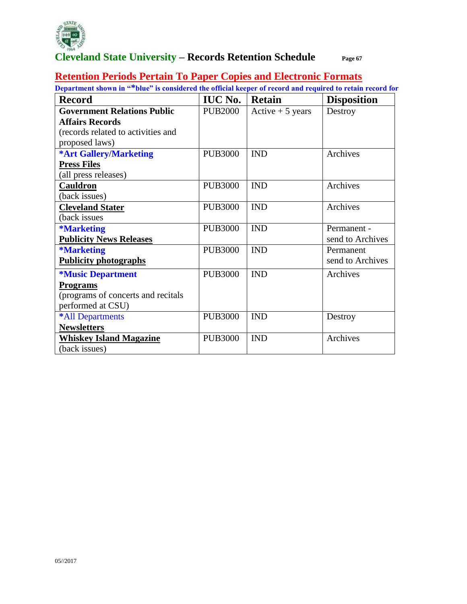

#### **Retention Periods Pertain To Paper Copies and Electronic Formats**

| <b>Record</b>                      | <b>IUC No.</b> | <b>Retain</b>     | <b>Disposition</b> |
|------------------------------------|----------------|-------------------|--------------------|
| <b>Government Relations Public</b> | <b>PUB2000</b> | Active $+5$ years | Destroy            |
| <b>Affairs Records</b>             |                |                   |                    |
| (records related to activities and |                |                   |                    |
| proposed laws)                     |                |                   |                    |
| <b>*Art Gallery/Marketing</b>      | <b>PUB3000</b> | <b>IND</b>        | Archives           |
| <b>Press Files</b>                 |                |                   |                    |
| (all press releases)               |                |                   |                    |
| <b>Cauldron</b>                    | <b>PUB3000</b> | <b>IND</b>        | Archives           |
| (back issues)                      |                |                   |                    |
| <b>Cleveland Stater</b>            | <b>PUB3000</b> | <b>IND</b>        | Archives           |
| (back issues                       |                |                   |                    |
| <i><b>*Marketing</b></i>           | <b>PUB3000</b> | <b>IND</b>        | Permanent -        |
| <b>Publicity News Releases</b>     |                |                   | send to Archives   |
| <b>*Marketing</b>                  | <b>PUB3000</b> | <b>IND</b>        | Permanent          |
| <b>Publicity photographs</b>       |                |                   | send to Archives   |
| <i><b>*Music Department</b></i>    | <b>PUB3000</b> | <b>IND</b>        | Archives           |
| <b>Programs</b>                    |                |                   |                    |
| (programs of concerts and recitals |                |                   |                    |
| performed at CSU)                  |                |                   |                    |
| *All Departments                   | <b>PUB3000</b> | <b>IND</b>        | Destroy            |
| <b>Newsletters</b>                 |                |                   |                    |
| <b>Whiskey Island Magazine</b>     | <b>PUB3000</b> | <b>IND</b>        | Archives           |
| (back issues)                      |                |                   |                    |